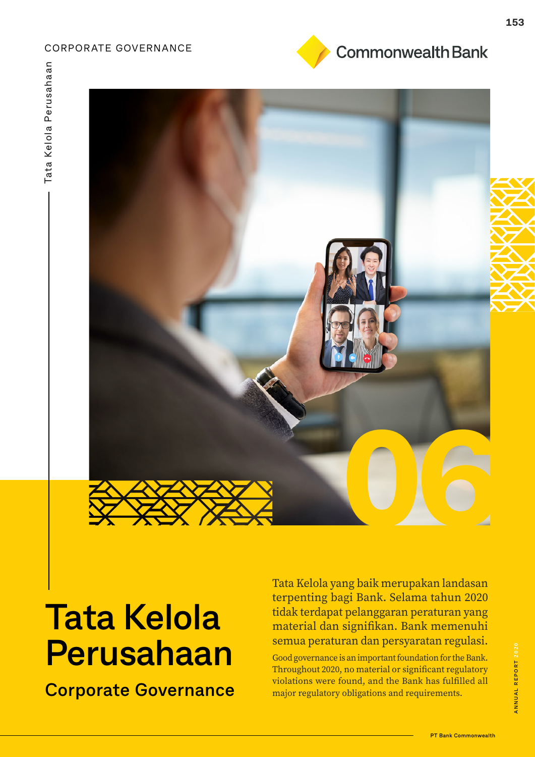### CORPORATE GOVERNANCE



# **Tata Kelola Perusahaan**

**Corporate Governance**

Tata Kelola yang baik merupakan landasan terpenting bagi Bank. Selama tahun 2020 tidak terdapat pelanggaran peraturan yang material dan signifikan. Bank memenuhi semua peraturan dan persyaratan regulasi.

Good governance is an important foundation for the Bank. Throughout 2020, no material or significant regulatory violations were found, and the Bank has fulfilled all major regulatory obligations and requirements.

**Commonwealth Bank**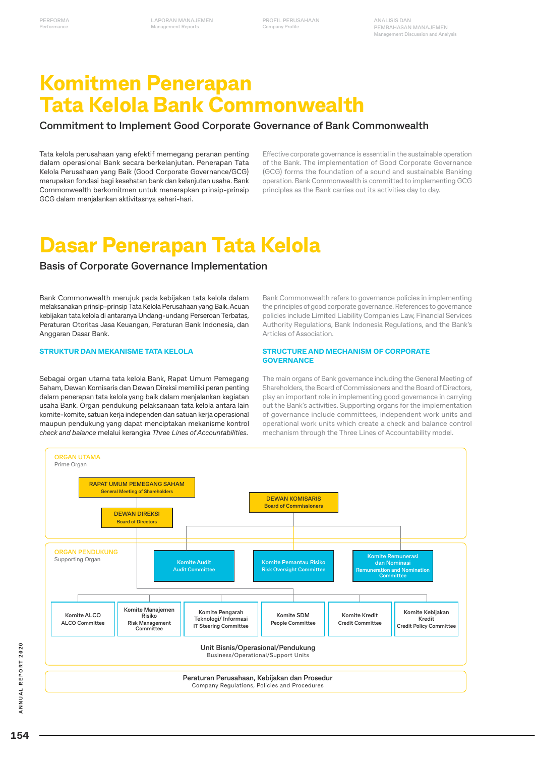**PROFIL PERUSAHAAN Company Profile**

# **Komitmen Penerapan Tata Kelola Bank Commonwealth**

### **Commitment to Implement Good Corporate Governance of Bank Commonwealth**

Tata kelola perusahaan yang efektif memegang peranan penting dalam operasional Bank secara berkelanjutan. Penerapan Tata Kelola Perusahaan yang Baik (Good Corporate Governance/GCG) merupakan fondasi bagi kesehatan bank dan kelanjutan usaha. Bank Commonwealth berkomitmen untuk menerapkan prinsip-prinsip GCG dalam menjalankan aktivitasnya sehari-hari.

Effective corporate governance is essential in the sustainable operation of the Bank. The implementation of Good Corporate Governance (GCG) forms the foundation of a sound and sustainable Banking operation. Bank Commonwealth is committed to implementing GCG principles as the Bank carries out its activities day to day.

# **Dasar Penerapan Tata Kelola**

### **Basis of Corporate Governance Implementation**

Bank Commonwealth merujuk pada kebijakan tata kelola dalam melaksanakan prinsip-prinsip Tata Kelola Perusahaan yang Baik. Acuan kebijakan tata kelola di antaranya Undang-undang Perseroan Terbatas, Peraturan Otoritas Jasa Keuangan, Peraturan Bank Indonesia, dan Anggaran Dasar Bank.

### **STRUKTUR DAN MEKANISME TATA KELOLA**

Sebagai organ utama tata kelola Bank, Rapat Umum Pemegang Saham, Dewan Komisaris dan Dewan Direksi memiliki peran penting dalam penerapan tata kelola yang baik dalam menjalankan kegiatan usaha Bank. Organ pendukung pelaksanaan tata kelola antara lain komite-komite, satuan kerja independen dan satuan kerja operasional maupun pendukung yang dapat menciptakan mekanisme kontrol *check and balance* melalui kerangka *Three Lines of Accountabilities*.

Bank Commonwealth refers to governance policies in implementing the principles of good corporate governance. References to governance policies include Limited Liability Companies Law, Financial Services Authority Regulations, Bank Indonesia Regulations, and the Bank's Articles of Association.

#### **STRUCTURE AND MECHANISM OF CORPORATE GOVERNANCE**

The main organs of Bank governance including the General Meeting of Shareholders, the Board of Commissioners and the Board of Directors, play an important role in implementing good governance in carrying out the Bank's activities. Supporting organs for the implementation of governance include committees, independent work units and operational work units which create a check and balance control mechanism through the Three Lines of Accountability model.

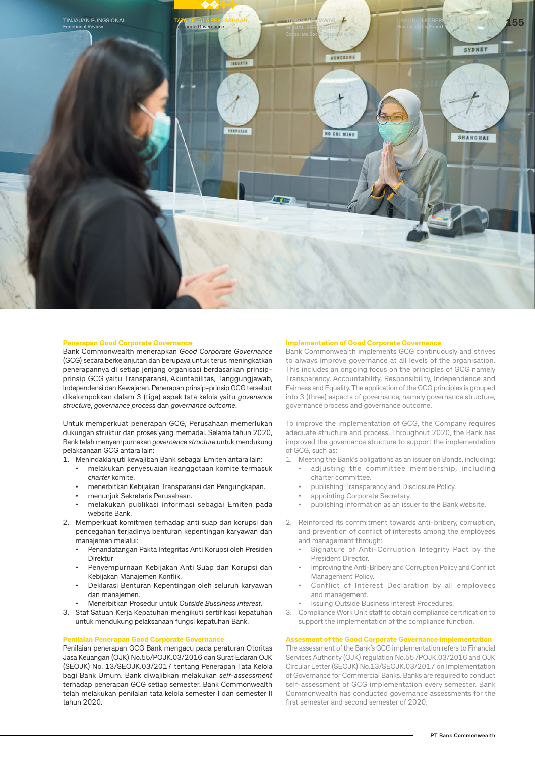

#### **Penerapan Good Corporate Governance**

Bank Commonwealth menerapkan *Good Corporate Governance* (GCG) secara berkelanjutan dan berupaya untuk terus meningkatkan penerapannya di setiap jenjang organisasi berdasarkan prinsipprinsip GCG yaitu Transparansi, Akuntabilitas, Tanggungjawab, Independensi dan Kewajaran. Penerapan prinsip-prinsip GCG tersebut dikelompokkan dalam 3 (tiga) aspek tata kelola yaitu *govenance structure*, *governance process* dan *governance outcome*.

Untuk memperkuat penerapan GCG, Perusahaan memerlukan dukungan struktur dan proses yang memadai. Selama tahun 2020, Bank telah menyempurnakan *governance structure* untuk mendukung pelaksanaan GCG antara lain:

1. Menindaklanjuti kewajiban Bank sebagai Emiten antara lain:

- melakukan penyesuaian keanggotaan komite termasuk *charter* komite.
- menerbitkan Kebijakan Transparansi dan Pengungkapan.
- menunjuk Sekretaris Perusahaan.
- melakukan publikasi informasi sebagai Emiten pada website Bank.
- 2. Memperkuat komitmen terhadap anti suap dan korupsi dan pencegahan terjadinya benturan kepentingan karyawan dan manajemen melalui:
	- Penandatangan Pakta Integritas Anti Korupsi oleh Presiden Direktur
	- Penyempurnaan Kebijakan Anti Suap dan Korupsi dan Kebijakan Manajemen Konflik.
	- Deklarasi Benturan Kepentingan oleh seluruh karyawan dan manajemen.
	- Menerbitkan Prosedur untuk *Outside Bussiness Interest*.
- 3. Staf Satuan Kerja Kepatuhan mengikuti sertifikasi kepatuhan untuk mendukung pelaksanaan fungsi kepatuhan Bank.

#### **Penilaian Penerapan Good Corporate Governance**

Penilaian penerapan GCG Bank mengacu pada peraturan Otoritas Jasa Keuangan (OJK) No.55/POJK.03/2016 dan Surat Edaran OJK (SEOJK) No. 13/SEOJK.03/2017 tentang Penerapan Tata Kelola bagi Bank Umum. Bank diwajibkan melakukan *self-assessment*  terhadap penerapan GCG setiap semester. Bank Commonwealth telah melakukan penilaian tata kelola semester I dan semester II tahun 2020.

#### **Implementation of Good Corporate Governance**

Bank Commonwealth implements GCG continuously and strives to always improve governance at all levels of the organisation. This includes an ongoing focus on the principles of GCG namely Transparency, Accountability, Responsibility, Independence and Fairness and Equality. The application of the GCG principles is grouped into 3 (three) aspects of governance, namely governance structure, governance process and governance outcome.

To improve the implementation of GCG, the Company requires adequate structure and process. Throughout 2020, the Bank has improved the governance structure to support the implementation of GCG, such as:

- 1. Meeting the Bank's obligations as an issuer on Bonds, including: • adjusting the committee membership, including
	- charter committee.
	- publishing Transparency and Disclosure Policy.
	- appointing Corporate Secretary.
	- publishing information as an issuer to the Bank website.
- 2. Reinforced its commitment towards anti-bribery, corruption, and prevention of conflict of interests among the employees and management through:
	- Signature of Anti-Corruption Integrity Pact by the President Director.
	- Improving the Anti-Bribery and Corruption Policy and Conflict Management Policy.
	- Conflict of Interest Declaration by all employees and management.
	- Issuing Outside Business Interest Procedures.
- 3. Compliance Work Unit staff to obtain compliance certification to support the implementation of the compliance function.

#### **Assesment of the Good Corporate Governance Implementation**

The assessment of the Bank's GCG implementation refers to Financial Services Authority (OJK) regulation No.55 /POJK.03/2016 and OJK Circular Letter (SEOJK) No.13/SEOJK.03/2017 on Implementation of Governance for Commercial Banks. Banks are required to conduct self-assessment of GCG implementation every semester. Bank Commonwealth has conducted governance assessments for the first semester and second semester of 2020.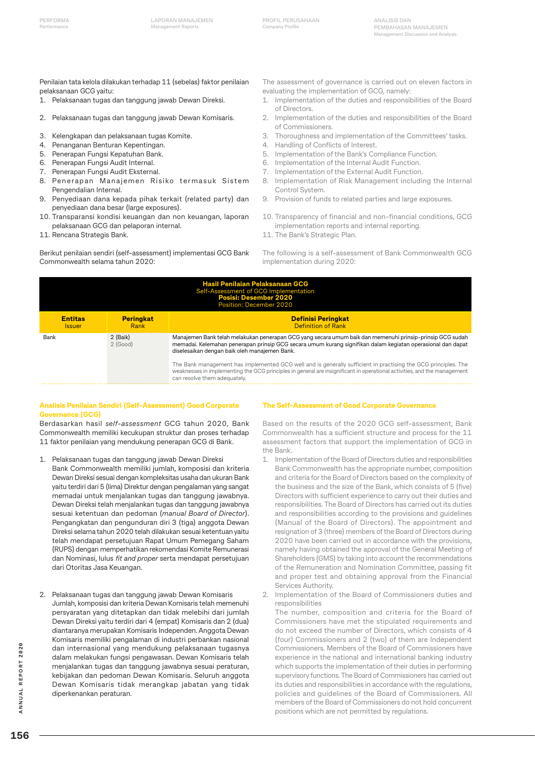Penilaian tata kelola dilakukan terhadap 11 (sebelas) faktor penilaian pelaksanaan GCG yaitu:

- 1. Pelaksanaan tugas dan tanggung jawab Dewan Direksi.
- 2. Pelaksanaan tugas dan tanggung jawab Dewan Komisaris.
- 3. Kelengkapan dan pelaksanaan tugas Komite.
- 4. Penanganan Benturan Kepentingan.
- 5. Penerapan Fungsi Kepatuhan Bank.
- 6. Penerapan Fungsi Audit Internal.
- 7. Penerapan Fungsi Audit Eksternal.
- 8. Penerapan Manajemen Risiko termasuk Sistem Pengendalian Internal.
- 9. Penyediaan dana kepada pihak terkait (related party) dan penyediaan dana besar (large exposures).
- 10. Transparansi kondisi keuangan dan non keuangan, laporan pelaksanaan GCG dan pelaporan internal.
- 11. Rencana Strategis Bank.

Berikut penilaian sendiri (self-assessment) implementasi GCG Bank Commonwealth selama tahun 2020:

The assessment of governance is carried out on eleven factors in evaluating the implementation of GCG, namely:

- 1. Implementation of the duties and responsibilities of the Board of Directors.
- 2. Implementation of the duties and responsibilities of the Board of Commissioners.
- 3. Thoroughness and implementation of the Committees' tasks.
- 4. Handling of Conflicts of Interest.
- 5. Implementation of the Bank's Compliance Function.
- 6. Implementation of the Internal Audit Function.
- 7. Implementation of the External Audit Function.
- 8. Implementation of Risk Management including the Internal Control System.
- 9. Provision of funds to related parties and large exposures.
- 10. Transparency of financial and non-financial conditions, GCG implementation reports and internal reporting.
- 11. The Bank's Strategic Plan.

The following is a self-assessment of Bank Commonwealth GCG implementation during 2020:

| <b>Hasil Penilaian Pelaksanaan GCG</b><br>Self-Assessment of GCG Implementation<br><b>Posisi: Desember 2020</b><br><b>Position: December 2020</b> |                          |                                                                                                                                                                                                                                                                            |  |  |
|---------------------------------------------------------------------------------------------------------------------------------------------------|--------------------------|----------------------------------------------------------------------------------------------------------------------------------------------------------------------------------------------------------------------------------------------------------------------------|--|--|
| <b>Entitas</b><br><b>Issuer</b>                                                                                                                   | <b>Peringkat</b><br>Rank | <b>Definisi Peringkat</b><br><b>Definition of Rank</b>                                                                                                                                                                                                                     |  |  |
| 2 (Baik)<br>Bank<br>$2$ (Good)<br>diselesaikan dengan baik oleh manajemen Bank.                                                                   |                          | Manajemen Bank telah melakukan penerapan GCG yang secara umum baik dan memenuhi prinsip-prinsip GCG sudah<br>memadai. Kelemahan penerapan prinsip GCG secara umum kurang signifikan dalam kegiatan operasional dan dapat                                                   |  |  |
|                                                                                                                                                   |                          | The Bank management has implemented GCG well and is generally sufficient in practising the GCG principles. The<br>weaknesses in implementing the GCG principles in general are insignificant in operational activities, and the management<br>can resolve them adequately. |  |  |

#### **Analisis Penilaian Sendiri (Self-Assessment) Good Corporate Governance (GCG)**

Berdasarkan hasil *self-assessment* GCG tahun 2020, Bank Commonwealth memiliki kecukupan struktur dan proses terhadap 11 faktor penilaian yang mendukung penerapan GCG di Bank.

- 1. Pelaksanaan tugas dan tanggung jawab Dewan Direksi Bank Commonwealth memiliki jumlah, komposisi dan kriteria Dewan Direksi sesuai dengan kompleksitas usaha dan ukuran Bank yaitu terdiri dari 5 (lima) Direktur dengan pengalaman yang sangat memadai untuk menjalankan tugas dan tanggung jawabnya. Dewan Direksi telah menjalankan tugas dan tanggung jawabnya sesuai ketentuan dan pedoman (*manual Board of Director*). Pengangkatan dan pengunduran diri 3 (tiga) anggota Dewan Direksi selama tahun 2020 telah dilakukan sesuai ketentuan yaitu telah mendapat persetujuan Rapat Umum Pemegang Saham (RUPS) dengan memperhatikan rekomendasi Komite Remunerasi dan Nominasi, lulus *fit and proper* serta mendapat persetujuan dari Otoritas Jasa Keuangan.
- 2. Pelaksanaan tugas dan tanggung jawab Dewan Komisaris Jumlah, komposisi dan kriteria Dewan Komisaris telah memenuhi persyaratan yang ditetapkan dan tidak melebihi dari jumlah Dewan Direksi yaitu terdiri dari 4 (empat) Komisaris dan 2 (dua) diantaranya merupakan Komisaris Independen. Anggota Dewan Komisaris memiliki pengalaman di industri perbankan nasional dan internasional yang mendukung pelaksanaan tugasnya dalam melakukan fungsi pengawasan. Dewan Komisaris telah menjalankan tugas dan tanggung jawabnya sesuai peraturan, kebijakan dan pedoman Dewan Komisaris. Seluruh anggota Dewan Komisaris tidak merangkap jabatan yang tidak diperkenankan peraturan.

#### **The Self-Assessment of Good Corporate Governance**

Based on the results of the 2020 GCG self-assessment, Bank Commonwealth has a sufficient structure and process for the 11 assessment factors that support the implementation of GCG in the Bank.

- 1. Implementation of the Board of Directors duties and responsibilities Bank Commonwealth has the appropriate number, composition and criteria for the Board of Directors based on the complexity of the business and the size of the Bank, which consists of 5 (five) Directors with sufficient experience to carry out their duties and responsibilities. The Board of Directors has carried out its duties and responsibilities according to the provisions and guidelines (Manual of the Board of Directors). The appointment and resignation of 3 (three) members of the Board of Directors during 2020 have been carried out in accordance with the provisions, namely having obtained the approval of the General Meeting of Shareholders (GMS) by taking into account the recommendations of the Remuneration and Nomination Committee, passing fit and proper test and obtaining approval from the Financial Services Authority.
- Implementation of the Board of Commissioners duties and responsibilities

The number, composition and criteria for the Board of Commissioners have met the stipulated requirements and do not exceed the number of Directors, which consists of 4 (four) Commissioners and 2 (two) of them are Independent Commissioners. Members of the Board of Commissioners have experience in the national and international banking industry which supports the implementation of their duties in performing supervisory functions. The Board of Commissioners has carried out its duties and responsibilities in accordance with the regulations, policies and guidelines of the Board of Commissioners. All members of the Board of Commissioners do not hold concurrent positions which are not permitted by regulations.

**156ANNUAL REPORT 2020** ANNUAL REPORT 2020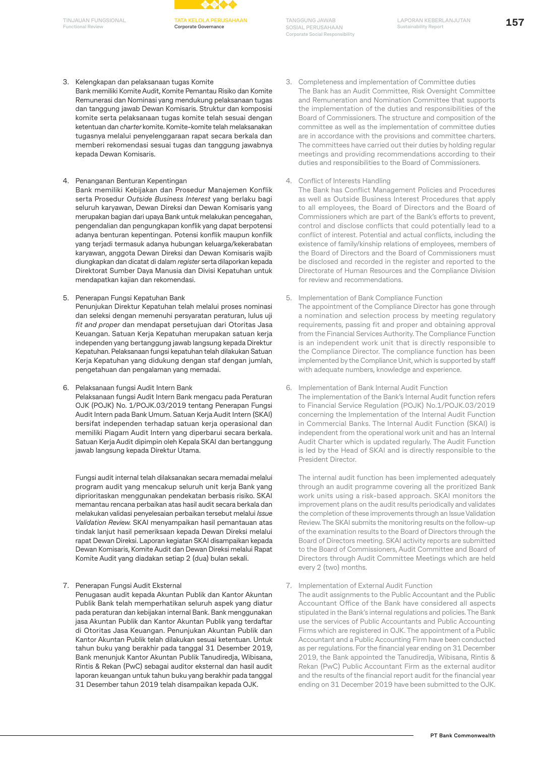**Functional Revie** 



**Corporate Governance**

**TANGGUNG JAWAB SOSIAL PERUSAHAAN Corporate Social Responsibility**

- 3. Kelengkapan dan pelaksanaan tugas Komite
- Bank memiliki Komite Audit, Komite Pemantau Risiko dan Komite Remunerasi dan Nominasi yang mendukung pelaksanaan tugas dan tanggung jawab Dewan Komisaris. Struktur dan komposisi komite serta pelaksanaan tugas komite telah sesuai dengan ketentuan dan *charter* komite. Komite-komite telah melaksanakan tugasnya melalui penyelenggaraan rapat secara berkala dan memberi rekomendasi sesuai tugas dan tanggung jawabnya kepada Dewan Komisaris.
- 4. Penanganan Benturan Kepentingan

Bank memiliki Kebijakan dan Prosedur Manajemen Konflik serta Prosedur *Outside Business Interest* yang berlaku bagi seluruh karyawan, Dewan Direksi dan Dewan Komisaris yang merupakan bagian dari upaya Bank untuk melakukan pencegahan, pengendalian dan pengungkapan konflik yang dapat berpotensi adanya benturan kepentingan. Potensi konflik maupun konfilk yang terjadi termasuk adanya hubungan keluarga/kekerabatan karyawan, anggota Dewan Direksi dan Dewan Komisaris wajib diungkapkan dan dicatat di dalam *register* serta dilaporkan kepada Direktorat Sumber Daya Manusia dan Divisi Kepatuhan untuk mendapatkan kajian dan rekomendasi.

5. Penerapan Fungsi Kepatuhan Bank

Penunjukan Direktur Kepatuhan telah melalui proses nominasi dan seleksi dengan memenuhi persyaratan peraturan, lulus uji *fit and proper* dan mendapat persetujuan dari Otoritas Jasa Keuangan. Satuan Kerja Kepatuhan merupakan satuan kerja independen yang bertanggung jawab langsung kepada Direktur Kepatuhan. Pelaksanaan fungsi kepatuhan telah dilakukan Satuan Kerja Kepatuhan yang didukung dengan staf dengan jumlah, pengetahuan dan pengalaman yang memadai.

6. Pelaksanaan fungsi Audit Intern Bank

Pelaksanaan fungsi Audit Intern Bank mengacu pada Peraturan OJK (POJK) No. 1/POJK.03/2019 tentang Penerapan Fungsi Audit Intern pada Bank Umum. Satuan Kerja Audit Intern (SKAI) bersifat independen terhadap satuan kerja operasional dan memiliki Piagam Audit Intern yang diperbarui secara berkala. Satuan Kerja Audit dipimpin oleh Kepala SKAI dan bertanggung jawab langsung kepada Direktur Utama.

Fungsi audit internal telah dilaksanakan secara memadai melalui program audit yang mencakup seluruh unit kerja Bank yang diprioritaskan menggunakan pendekatan berbasis risiko. SKAI memantau rencana perbaikan atas hasil audit secara berkala dan melakukan validasi penyelesaian perbaikan tersebut melalui *Issue Validation Review.* SKAI menyampaikan hasil pemantauan atas tindak lanjut hasil pemeriksaan kepada Dewan Direksi melalui rapat Dewan Direksi. Laporan kegiatan SKAI disampaikan kepada Dewan Komisaris, Komite Audit dan Dewan Direksi melalui Rapat Komite Audit yang diadakan setiap 2 (dua) bulan sekali.

7. Penerapan Fungsi Audit Eksternal

Penugasan audit kepada Akuntan Publik dan Kantor Akuntan Publik Bank telah memperhatikan seluruh aspek yang diatur pada peraturan dan kebijakan internal Bank. Bank menggunakan jasa Akuntan Publik dan Kantor Akuntan Publik yang terdaftar di Otoritas Jasa Keuangan. Penunjukan Akuntan Publik dan Kantor Akuntan Publik telah dilakukan sesuai ketentuan. Untuk tahun buku yang berakhir pada tanggal 31 Desember 2019, Bank menunjuk Kantor Akuntan Publik Tanudiredja, Wibisana, Rintis & Rekan (PwC) sebagai auditor eksternal dan hasil audit laporan keuangan untuk tahun buku yang berakhir pada tanggal 31 Desember tahun 2019 telah disampaikan kepada OJK.

- 3. Completeness and implementation of Committee duties The Bank has an Audit Committee, Risk Oversight Committee and Remuneration and Nomination Committee that supports the implementation of the duties and responsibilities of the Board of Commissioners. The structure and composition of the committee as well as the implementation of committee duties are in accordance with the provisions and committee charters. The committees have carried out their duties by holding regular meetings and providing recommendations according to their duties and responsibilities to the Board of Commissioners.
- 4. Conflict of Interests Handling

The Bank has Conflict Management Policies and Procedures as well as Outside Business Interest Procedures that apply to all employees, the Board of Directors and the Board of Commissioners which are part of the Bank's efforts to prevent, control and disclose conflicts that could potentially lead to a conflict of interest. Potential and actual conflicts, including the existence of family/kinship relations of employees, members of the Board of Directors and the Board of Commissioners must be disclosed and recorded in the register and reported to the Directorate of Human Resources and the Compliance Division for review and recommendations.

5. Implementation of Bank Compliance Function

The appointment of the Compliance Director has gone through a nomination and selection process by meeting regulatory requirements, passing fit and proper and obtaining approval from the Financial Services Authority. The Compliance Function is an independent work unit that is directly responsible to the Compliance Director. The compliance function has been implemented by the Compliance Unit, which is supported by staff with adequate numbers, knowledge and experience.

6. Implementation of Bank Internal Audit Function

The implementation of the Bank's Internal Audit function refers to Financial Service Regulation (POJK) No.1/POJK.03/2019 concerning the Implementation of the Internal Audit Function in Commercial Banks. The Internal Audit Function (SKAI) is independent from the operational work unit and has an Internal Audit Charter which is updated regularly. The Audit Function is led by the Head of SKAI and is directly responsible to the President Director.

The internal audit function has been implemented adequately through an audit programme covering all the proritized Bank work units using a risk-based approach. SKAI monitors the improvement plans on the audit results periodically and validates the completion of these improvements through an Issue Validation Review. The SKAI submits the monitoring results on the follow-up of the examination results to the Board of Directors through the Board of Directors meeting. SKAI activity reports are submitted to the Board of Commissioners, Audit Committee and Board of Directors through Audit Committee Meetings which are held every 2 (two) months.

7. Implementation of External Audit Function

The audit assignments to the Public Accountant and the Public Accountant Office of the Bank have considered all aspects stipulated in the Bank's internal regulations and policies. The Bank use the services of Public Accountants and Public Accounting Firms which are registered in OJK. The appointment of a Public Accountant and a Public Accounting Firm have been conducted as per regulations. For the financial year ending on 31 December 2019, the Bank appointed the Tanudiredja, Wibisana, Rintis & Rekan (PwC) Public Accountant Firm as the external auditor and the results of the financial report audit for the financial year ending on 31 December 2019 have been submitted to the OJK.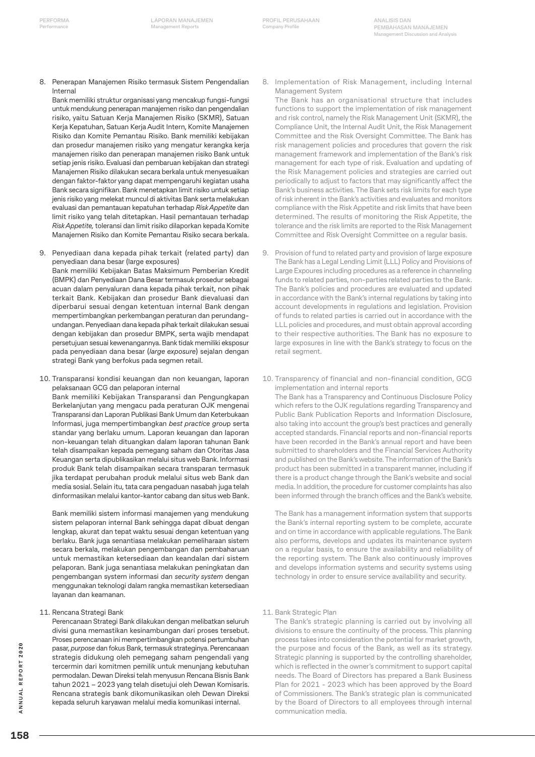8. Penerapan Manajemen Risiko termasuk Sistem Pengendalian Internal

Bank memiliki struktur organisasi yang mencakup fungsi-fungsi untuk mendukung penerapan manajemen risiko dan pengendalian risiko, yaitu Satuan Kerja Manajemen Risiko (SKMR), Satuan Kerja Kepatuhan, Satuan Kerja Audit Intern, Komite Manajemen Risiko dan Komite Pemantau Risiko. Bank memiliki kebijakan dan prosedur manajemen risiko yang mengatur kerangka kerja manajemen risiko dan penerapan manajemen risiko Bank untuk setiap jenis risiko. Evaluasi dan pembaruan kebijakan dan strategi Manajemen Risiko dilakukan secara berkala untuk menyesuaikan dengan faktor-faktor yang dapat mempengaruhi kegiatan usaha Bank secara signifikan. Bank menetapkan limit risiko untuk setiap jenis risiko yang melekat muncul di aktivitas Bank serta melakukan evaluasi dan pemantauan kepatuhan terhadap *Risk Appetite* dan limit risiko yang telah ditetapkan. Hasil pemantauan terhadap *Risk Appetite,* toleransi dan limit risiko dilaporkan kepada Komite Manajemen Risiko dan Komite Pemantau Risiko secara berkala.

- 9. Penyediaan dana kepada pihak terkait (related party) dan penyediaan dana besar (large exposures) Bank memiliki Kebijakan Batas Maksimum Pemberian Kredit (BMPK) dan Penyediaan Dana Besar termasuk prosedur sebagai acuan dalam penyaluran dana kepada pihak terkait, non pihak terkait Bank. Kebijakan dan prosedur Bank dievaluasi dan diperbarui sesuai dengan ketentuan internal Bank dengan mempertimbangkan perkembangan peraturan dan perundangundangan. Penyediaan dana kepada pihak terkait dilakukan sesuai dengan kebijakan dan prosedur BMPK, serta wajib mendapat persetujuan sesuai kewenangannya. Bank tidak memiliki eksposur pada penyediaan dana besar (*large exposure*) sejalan dengan strategi Bank yang berfokus pada segmen retail.
- 10. Transparansi kondisi keuangan dan non keuangan, laporan pelaksanaan GCG dan pelaporan internal Bank memiliki Kebijakan Transparansi dan Pengungkapan Berkelanjutan yang mengacu pada peraturan OJK mengenai Transparansi dan Laporan Publikasi Bank Umum dan Keterbukaan Informasi, juga mempertimbangkan *best practice grou*p serta standar yang berlaku umum. Laporan keuangan dan laporan non-keuangan telah dituangkan dalam laporan tahunan Bank telah disampaikan kepada pemegang saham dan Otoritas Jasa Keuangan serta dipublikasikan melalui situs web Bank. Informasi produk Bank telah disampaikan secara transparan termasuk jika terdapat perubahan produk melalui situs web Bank dan media sosial. Selain itu, tata cara pengaduan nasabah juga telah dinformasikan melalui kantor-kantor cabang dan situs web Bank.

Bank memiliki sistem informasi manajemen yang mendukung sistem pelaporan internal Bank sehingga dapat dibuat dengan lengkap, akurat dan tepat waktu sesuai dengan ketentuan yang berlaku. Bank juga senantiasa melakukan pemeliharaan sistem secara berkala, melakukan pengembangan dan pembaharuan untuk memastikan ketersediaan dan keandalan dari sistem pelaporan. Bank juga senantiasa melakukan peningkatan dan pengembangan system informasi dan *security system* dengan menggunakan teknologi dalam rangka memastikan ketersediaan layanan dan keamanan.

11. Rencana Strategi Bank

Perencanaan Strategi Bank dilakukan dengan melibatkan seluruh divisi guna memastikan kesinambungan dari proses tersebut. Proses perencanaan ini mempertimbangkan potensi pertumbuhan pasar, *purpose* dan fokus Bank, termasuk strateginya. Perencanaan strategis didukung oleh pemegang saham pengendali yang tercermin dari komitmen pemilik untuk menunjang kebutuhan permodalan. Dewan Direksi telah menyusun Rencana Bisnis Bank tahun 2021 – 2023 yang telah disetujui oleh Dewan Komisaris. Rencana strategis bank dikomunikasikan oleh Dewan Direksi kepada seluruh karyawan melalui media komunikasi internal.

8. Implementation of Risk Management, including Internal Management System

The Bank has an organisational structure that includes functions to support the implementation of risk management and risk control, namely the Risk Management Unit (SKMR), the Compliance Unit, the Internal Audit Unit, the Risk Management Committee and the Risk Oversight Committee. The Bank has risk management policies and procedures that govern the risk management framework and implementation of the Bank's risk management for each type of risk. Evaluation and updating of the Risk Management policies and strategies are carried out periodically to adjust to factors that may significantly affect the Bank's business activities. The Bank sets risk limits for each type of risk inherent in the Bank's activities and evaluates and monitors compliance with the Risk Appetite and risk limits that have been determined. The results of monitoring the Risk Appetite, the tolerance and the risk limits are reported to the Risk Management Committee and Risk Oversight Committee on a regular basis.

9. Provision of fund to related party and provision of large exposure The Bank has a Legal Lending Limit (LLL) Policy and Provisions of Large Expoures including procedures as a reference in channeling funds to related parties, non-parties related parties to the Bank. The Bank's policies and procedures are evaluated and updated in accordance with the Bank's internal regulations by taking into account developments in regulations and legislation. Provision of funds to related parties is carried out in accordance with the LLL policies and procedures, and must obtain approval according to their respective authorities. The Bank has no exposure to large exposures in line with the Bank's strategy to focus on the retail segment.

10. Transparency of financial and non-financial condition, GCG implementation and internal reports

The Bank has a Transparency and Continuous Disclosure Policy which refers to the OJK regulations regarding Transparency and Public Bank Publication Reports and Information Disclosure, also taking into account the group's best practices and generally accepted standards. Financial reports and non-financial reports have been recorded in the Bank's annual report and have been submitted to shareholders and the Financial Services Authority and published on the Bank's website. The information of the Bank's product has been submitted in a transparent manner, including if there is a product change through the Bank's website and social media. In addition, the procedure for customer complaints has also been informed through the branch offices and the Bank's website.

The Bank has a management information system that supports the Bank's internal reporting system to be complete, accurate and on time in accordance with applicable regulations. The Bank also performs, develops and updates its maintenance system on a regular basis, to ensure the availability and reliability of the reporting system. The Bank also continuously improves and develops information systems and security systems using technology in order to ensure service availability and security.

11. Bank Strategic Plan

The Bank's strategic planning is carried out by involving all divisions to ensure the continuity of the process. This planning process takes into consideration the potential for market growth, the purpose and focus of the Bank, as well as its strategy. Strategic planning is supported by the controlling shareholder, which is reflected in the owner's commitment to support capital needs. The Board of Directors has prepared a Bank Business Plan for 2021 - 2023 which has been approved by the Board of Commissioners. The Bank's strategic plan is communicated by the Board of Directors to all employees through internal communication media.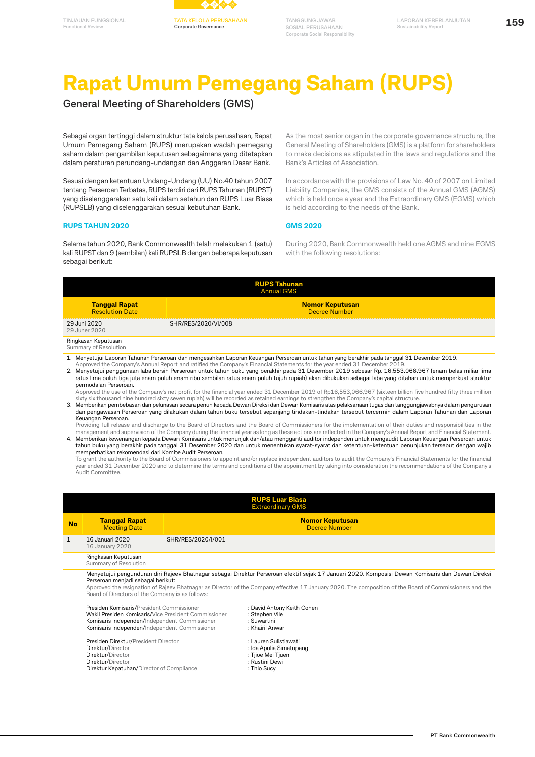

# **Rapat Umum Pemegang Saham (RUPS)**

**General Meeting of Shareholders (GMS)**

Sebagai organ tertinggi dalam struktur tata kelola perusahaan, Rapat Umum Pemegang Saham (RUPS) merupakan wadah pemegang saham dalam pengambilan keputusan sebagaimana yang ditetapkan dalam peraturan perundang-undangan dan Anggaran Dasar Bank.

Sesuai dengan ketentuan Undang-Undang (UU) No.40 tahun 2007 tentang Perseroan Terbatas, RUPS terdiri dari RUPS Tahunan (RUPST) yang diselenggarakan satu kali dalam setahun dan RUPS Luar Biasa (RUPSLB) yang diselenggarakan sesuai kebutuhan Bank.

#### **RUPS TAHUN 2020**

Selama tahun 2020, Bank Commonwealth telah melakukan 1 (satu) kali RUPST dan 9 (sembilan) kali RUPSLB dengan beberapa keputusan sebagai berikut:

As the most senior organ in the corporate governance structure, the General Meeting of Shareholders (GMS) is a platform for shareholders to make decisions as stipulated in the laws and regulations and the Bank's Articles of Association.

In accordance with the provisions of Law No. 40 of 2007 on Limited Liability Companies, the GMS consists of the Annual GMS (AGMS) which is held once a year and the Extraordinary GMS (EGMS) which is held according to the needs of the Bank.

#### **GMS 2020**

During 2020, Bank Commonwealth held one AGMS and nine EGMS with the following resolutions:

| <b>RUPS Tahunan</b><br><b>Annual GMS</b>                                                                                                                                                                                                                                                                                                                                                                                                                                                                                                                                                                                                                                                                                                                                                                                     |                                         |  |  |  |  |
|------------------------------------------------------------------------------------------------------------------------------------------------------------------------------------------------------------------------------------------------------------------------------------------------------------------------------------------------------------------------------------------------------------------------------------------------------------------------------------------------------------------------------------------------------------------------------------------------------------------------------------------------------------------------------------------------------------------------------------------------------------------------------------------------------------------------------|-----------------------------------------|--|--|--|--|
| <b>Tanggal Rapat</b><br><b>Resolution Date</b>                                                                                                                                                                                                                                                                                                                                                                                                                                                                                                                                                                                                                                                                                                                                                                               | <b>Nomor Keputusan</b><br>Decree Number |  |  |  |  |
| 29 Juni 2020<br>SHR/RES/2020/VI/008<br>29 Juner 2020                                                                                                                                                                                                                                                                                                                                                                                                                                                                                                                                                                                                                                                                                                                                                                         |                                         |  |  |  |  |
| Ringkasan Keputusan<br>Summary of Resolution                                                                                                                                                                                                                                                                                                                                                                                                                                                                                                                                                                                                                                                                                                                                                                                 |                                         |  |  |  |  |
| 1. Menyetujui Laporan Tahunan Perseroan dan mengesahkan Laporan Keuangan Perseroan untuk tahun yang berakhir pada tanggal 31 Desember 2019.<br>Approved the Company's Annual Report and ratified the Company's Financial Statements for the year ended 31 December 2019.<br>2. Menyetujui penggunaan laba bersih Perseroan untuk tahun buku yang berakhir pada 31 Desember 2019 sebesar Rp. 16.553.066.967 (enam belas miliar lima<br>ratus lima puluh tiga juta enam puluh enam ribu sembilan ratus enam puluh tujuh rupiah) akan dibukukan sebagai laba yang ditahan untuk memperkuat struktur<br>permodalan Perseroan.<br>Approved the use of the Company's net profit for the financial year ended 31 December 2019 of Rp16,553,066,967 (sixteen billion five hundred fifty three million                                |                                         |  |  |  |  |
| sixty six thousand nine hundred sixty seven rupiah) will be recorded as retained earnings to strengthen the Company's capital structure.<br>3. Memberikan pembebasan dan pelunasan secara penuh kepada Dewan Direksi dan Dewan Komisaris atas pelaksanaan tugas dan tanggungjawabnya dalam pengurusan<br>dan pengawasan Perseroan yang dilakukan dalam tahun buku tersebut sepanjang tindakan-tindakan tersebut tercermin dalam Laporan Tahunan dan Laporan<br>Keuangan Perseroan.<br>Providing full release and discharge to the Board of Directors and the Board of Commissioners for the implementation of their duties and responsibilities in the<br>management and supervision of the Company during the financial year as long as these actions are reflected in the Company's Annual Report and Financial Statement. |                                         |  |  |  |  |

4. Memberikan kewenangan kepada Dewan Komisaris untuk menunjuk dan/atau mengganti auditor independen untuk mengaudit Laporan Keuangan Perseroan untuk tahun buku yang berakhir pada tanggal 31 Desember 2020 dan untuk menentukan syarat-syarat dan ketentuan-ketentuan penunjukan tersebut dengan wajib memperhatikan rekomendasi dari Komite Audit Perseroan.

To grant the authority to the Board of Commissioners to appoint and/or replace independent auditors to audit the Company's Financial Statements for the financial year ended 31 December 2020 and to determine the terms and conditions of the appointment by taking into consideration the recommendations of the Company's Audit Committee.

|              | <b>RUPS Luar Biasa</b><br><b>Extraordinary GMS</b>                                                                                                                                                                                                                                                                                                                                                       |                                                |                                                                                                        |  |  |  |
|--------------|----------------------------------------------------------------------------------------------------------------------------------------------------------------------------------------------------------------------------------------------------------------------------------------------------------------------------------------------------------------------------------------------------------|------------------------------------------------|--------------------------------------------------------------------------------------------------------|--|--|--|
| <b>No</b>    | <b>Tanggal Rapat</b><br><b>Meeting Date</b>                                                                                                                                                                                                                                                                                                                                                              | <b>Nomor Keputusan</b><br><b>Decree Number</b> |                                                                                                        |  |  |  |
| $\mathbf{1}$ | 16 Januari 2020<br>16 January 2020                                                                                                                                                                                                                                                                                                                                                                       | SHR/RES/2020/I/001                             |                                                                                                        |  |  |  |
|              | Ringkasan Keputusan<br>Summary of Resolution                                                                                                                                                                                                                                                                                                                                                             |                                                |                                                                                                        |  |  |  |
|              | Menyetujui pengunduran diri Rajeev Bhatnagar sebagai Direktur Perseroan efektif sejak 17 Januari 2020. Komposisi Dewan Komisaris dan Dewan Direksi<br>Perseroan menjadi sebagai berikut:<br>Approved the resignation of Rajeev Bhatnagar as Director of the Company effective 17 January 2020. The composition of the Board of Commissioners and the<br>Board of Directors of the Company is as follows: |                                                |                                                                                                        |  |  |  |
|              | Presiden Komisaris/President Commissioner<br>Wakil Presiden Komisaris/Vice President Commissioner<br>Komisaris Independen/Independent Commissioner<br>Komisaris Independen/Independent Commissioner                                                                                                                                                                                                      |                                                | : David Antony Keith Cohen<br>: Stephen Vile<br>: Suwartini<br>: Khairil Anwar                         |  |  |  |
|              | Presiden Direktur/President Director<br>Direktur/Director<br>Direktur/Director<br>Direktur/Director<br>Direktur Kepatuhan/Director of Compliance                                                                                                                                                                                                                                                         |                                                | : Lauren Sulistiawati<br>: Ida Apulia Simatupang<br>: Tjioe Mei Tjuen<br>: Rustini Dewi<br>: Thio Sucy |  |  |  |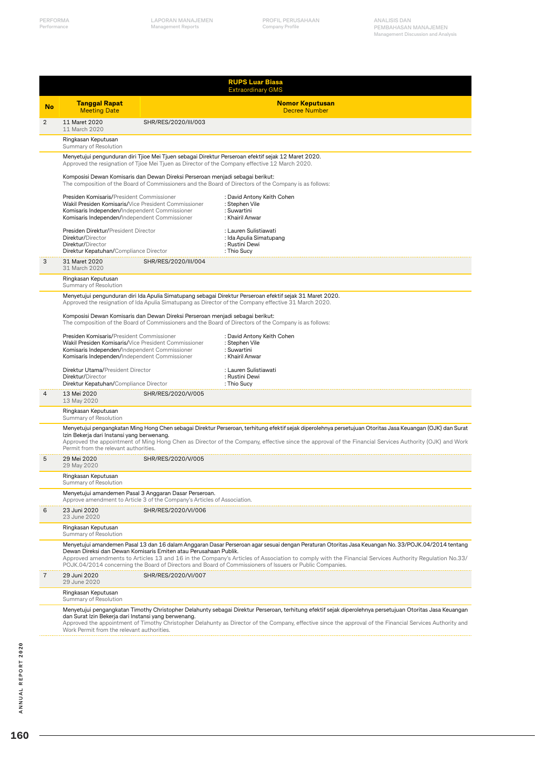|                | <b>RUPS Luar Biasa</b><br><b>Extraordinary GMS</b>                                                                                                                                                  |                                                                                                                                                                                                        |                                                                                                                                                                                                                                                                                                                                                                                                                          |  |  |  |
|----------------|-----------------------------------------------------------------------------------------------------------------------------------------------------------------------------------------------------|--------------------------------------------------------------------------------------------------------------------------------------------------------------------------------------------------------|--------------------------------------------------------------------------------------------------------------------------------------------------------------------------------------------------------------------------------------------------------------------------------------------------------------------------------------------------------------------------------------------------------------------------|--|--|--|
| <b>No</b>      | <b>Tanggal Rapat</b><br><b>Meeting Date</b>                                                                                                                                                         |                                                                                                                                                                                                        | <b>Nomor Keputusan</b><br><b>Decree Number</b>                                                                                                                                                                                                                                                                                                                                                                           |  |  |  |
| $\overline{2}$ | 11 Maret 2020<br>11 March 2020                                                                                                                                                                      | SHR/RES/2020/III/003                                                                                                                                                                                   |                                                                                                                                                                                                                                                                                                                                                                                                                          |  |  |  |
|                | Ringkasan Keputusan<br>Summary of Resolution                                                                                                                                                        |                                                                                                                                                                                                        |                                                                                                                                                                                                                                                                                                                                                                                                                          |  |  |  |
|                |                                                                                                                                                                                                     | Menyetujui pengunduran diri Tjioe Mei Tjuen sebagai Direktur Perseroan efektif sejak 12 Maret 2020.<br>Approved the resignation of Tjioe Mei Tjuen as Director of the Company effective 12 March 2020. |                                                                                                                                                                                                                                                                                                                                                                                                                          |  |  |  |
|                |                                                                                                                                                                                                     | Komposisi Dewan Komisaris dan Dewan Direksi Perseroan menjadi sebagai berikut:                                                                                                                         | The composition of the Board of Commissioners and the Board of Directors of the Company is as follows:                                                                                                                                                                                                                                                                                                                   |  |  |  |
|                | Presiden Komisaris/President Commissioner<br>Wakil Presiden Komisaris/Vice President Commissioner<br>Komisaris Independen/Independent Commissioner<br>Komisaris Independen/Independent Commissioner |                                                                                                                                                                                                        | : David Antony Keith Cohen<br>: Stephen Vile<br>: Suwartini<br>: Khairil Anwar                                                                                                                                                                                                                                                                                                                                           |  |  |  |
|                | Presiden Direktur/President Director<br>Direktur/Director<br>Direktur/Director<br>Direktur Kepatuhan/Compliance Director                                                                            |                                                                                                                                                                                                        | : Lauren Sulistiawati<br>: Ida Apulia Simatupang<br>: Rustini Dewi<br>: Thio Sucy                                                                                                                                                                                                                                                                                                                                        |  |  |  |
| 3              | 31 Maret 2020<br>31 March 2020                                                                                                                                                                      | SHR/RES/2020/III/004                                                                                                                                                                                   |                                                                                                                                                                                                                                                                                                                                                                                                                          |  |  |  |
|                | Ringkasan Keputusan<br>Summary of Resolution                                                                                                                                                        |                                                                                                                                                                                                        |                                                                                                                                                                                                                                                                                                                                                                                                                          |  |  |  |
|                |                                                                                                                                                                                                     |                                                                                                                                                                                                        | Menyetujui pengunduran diri Ida Apulia Simatupang sebagai Direktur Perseroan efektif sejak 31 Maret 2020.<br>Approved the resignation of Ida Apulia Simatupang as Director of the Company effective 31 March 2020.                                                                                                                                                                                                       |  |  |  |
|                |                                                                                                                                                                                                     | Komposisi Dewan Komisaris dan Dewan Direksi Perseroan menjadi sebagai berikut:                                                                                                                         | The composition of the Board of Commissioners and the Board of Directors of the Company is as follows:                                                                                                                                                                                                                                                                                                                   |  |  |  |
|                | Presiden Komisaris/President Commissioner<br>Wakil Presiden Komisaris/Vice President Commissioner<br>Komisaris Independen/Independent Commissioner<br>Komisaris Independen/Independent Commissioner |                                                                                                                                                                                                        | : David Antony Keith Cohen<br>: Stephen Vile<br>: Suwartini<br>: Khairil Anwar                                                                                                                                                                                                                                                                                                                                           |  |  |  |
|                | Direktur Utama/President Director<br>Direktur/Director<br>Direktur Kepatuhan/Compliance Director                                                                                                    |                                                                                                                                                                                                        | : Lauren Sulistiawati<br>: Rustini Dewi<br>: Thio Sucy                                                                                                                                                                                                                                                                                                                                                                   |  |  |  |
| 4              | 13 Mei 2020<br>13 May 2020                                                                                                                                                                          | SHR/RES/2020/V/005                                                                                                                                                                                     |                                                                                                                                                                                                                                                                                                                                                                                                                          |  |  |  |
|                | Ringkasan Keputusan<br>Summary of Resolution                                                                                                                                                        |                                                                                                                                                                                                        |                                                                                                                                                                                                                                                                                                                                                                                                                          |  |  |  |
|                | Izin Bekerja dari Instansi yang berwenang.<br>Permit from the relevant authorities.                                                                                                                 |                                                                                                                                                                                                        | Menyetujui pengangkatan Ming Hong Chen sebagai Direktur Perseroan, terhitung efektif sejak diperolehnya persetujuan Otoritas Jasa Keuangan (OJK) dan Surat<br>Approved the appointment of Ming Hong Chen as Director of the Company, effective since the approval of the Financial Services Authority (OJK) and Work                                                                                                     |  |  |  |
| 5              | 29 Mei 2020<br>29 May 2020                                                                                                                                                                          | SHR/RES/2020/V/005                                                                                                                                                                                     |                                                                                                                                                                                                                                                                                                                                                                                                                          |  |  |  |
|                | Ringkasan Keputusan<br>Summary of Resolution                                                                                                                                                        |                                                                                                                                                                                                        |                                                                                                                                                                                                                                                                                                                                                                                                                          |  |  |  |
|                | Menyetujui amandemen Pasal 3 Anggaran Dasar Perseroan.                                                                                                                                              | Approve amendment to Article 3 of the Company's Articles of Association.                                                                                                                               |                                                                                                                                                                                                                                                                                                                                                                                                                          |  |  |  |
| 6              | 23 Juni 2020<br>23 June 2020                                                                                                                                                                        | SHR/RES/2020/VI/006                                                                                                                                                                                    |                                                                                                                                                                                                                                                                                                                                                                                                                          |  |  |  |
|                | Ringkasan Keputusan<br>Summary of Resolution                                                                                                                                                        |                                                                                                                                                                                                        |                                                                                                                                                                                                                                                                                                                                                                                                                          |  |  |  |
|                |                                                                                                                                                                                                     | Dewan Direksi dan Dewan Komisaris Emiten atau Perusahaan Publik.                                                                                                                                       | Menyetujui amandemen Pasal 13 dan 16 dalam Anggaran Dasar Perseroan agar sesuai dengan Peraturan Otoritas Jasa Keuangan No. 33/POJK.04/2014 tentang<br>Approved amendments to Articles 13 and 16 in the Company's Articles of Association to comply with the Financial Services Authority Regulation No.33/<br>POJK.04/2014 concerning the Board of Directors and Board of Commissioners of Issuers or Public Companies. |  |  |  |
| 7              | 29 Juni 2020<br>29 June 2020                                                                                                                                                                        | SHR/RES/2020/VI/007                                                                                                                                                                                    |                                                                                                                                                                                                                                                                                                                                                                                                                          |  |  |  |
|                | Ringkasan Keputusan<br>Summary of Resolution                                                                                                                                                        |                                                                                                                                                                                                        |                                                                                                                                                                                                                                                                                                                                                                                                                          |  |  |  |
|                | dan Surat Izin Bekerja dari Instansi yang berwenang.<br>Work Permit from the relevant authorities.                                                                                                  |                                                                                                                                                                                                        | Menyetujui pengangkatan Timothy Christopher Delahunty sebagai Direktur Perseroan, terhitung efektif sejak diperolehnya persetujuan Otoritas Jasa Keuangan<br>Approved the appointment of Timothy Christopher Delahunty as Director of the Company, effective since the approval of the Financial Services Authority and                                                                                                  |  |  |  |

J.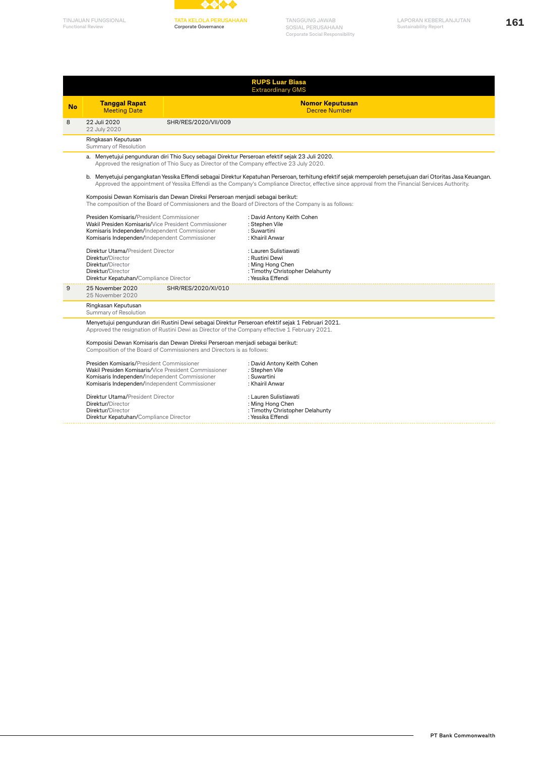



**TATA KELOLA PERUSAHAAN Corporate Governance**

**TANGGUNG JAWAB SOSIAL PERUSAHAAN Corporate Social Responsibility**

**161 TINJAUAN FUNGSIONAL LAPORAN KEBERLANJUTAN Sustainability Report**

|    | <b>RUPS Luar Biasa</b><br><b>Extraordinary GMS</b>                                                                                                                                                                                                                                                                                                               |                                         |                                                                                                                                                                                                                                                                                                                   |  |  |  |
|----|------------------------------------------------------------------------------------------------------------------------------------------------------------------------------------------------------------------------------------------------------------------------------------------------------------------------------------------------------------------|-----------------------------------------|-------------------------------------------------------------------------------------------------------------------------------------------------------------------------------------------------------------------------------------------------------------------------------------------------------------------|--|--|--|
| No | <b>Tanggal Rapat</b><br><b>Meeting Date</b>                                                                                                                                                                                                                                                                                                                      | <b>Nomor Keputusan</b><br>Decree Number |                                                                                                                                                                                                                                                                                                                   |  |  |  |
| 8  | 22 Juli 2020<br>22 July 2020                                                                                                                                                                                                                                                                                                                                     | SHR/RES/2020/VII/009                    |                                                                                                                                                                                                                                                                                                                   |  |  |  |
|    | Ringkasan Keputusan<br>Summary of Resolution                                                                                                                                                                                                                                                                                                                     |                                         |                                                                                                                                                                                                                                                                                                                   |  |  |  |
|    |                                                                                                                                                                                                                                                                                                                                                                  |                                         | a. Menyetujui pengunduran diri Thio Sucy sebagai Direktur Perseroan efektif sejak 23 Juli 2020.<br>Approved the resignation of Thio Sucy as Director of the Company effective 23 July 2020.                                                                                                                       |  |  |  |
|    |                                                                                                                                                                                                                                                                                                                                                                  |                                         | b. Menyetujui pengangkatan Yessika Effendi sebagai Direktur Kepatuhan Perseroan, terhitung efektif sejak memperoleh persetujuan dari Otoritas Jasa Keuangan.<br>Approved the appointment of Yessika Effendi as the Company's Compliance Director, effective since approval from the Financial Services Authority. |  |  |  |
|    | Komposisi Dewan Komisaris dan Dewan Direksi Perseroan menjadi sebagai berikut:                                                                                                                                                                                                                                                                                   |                                         | The composition of the Board of Commissioners and the Board of Directors of the Company is as follows:                                                                                                                                                                                                            |  |  |  |
|    | Presiden Komisaris/President Commissioner<br>: David Antony Keith Cohen<br>Wakil Presiden Komisaris/Vice President Commissioner<br>: Stephen Vile<br>: Suwartini<br>Komisaris Independen/Independent Commissioner<br>Komisaris Independen/Independent Commissioner<br>: Khairil Anwar                                                                            |                                         |                                                                                                                                                                                                                                                                                                                   |  |  |  |
|    | Direktur Utama/President Director<br>Direktur/Director<br>Direktur/Director<br>Direktur/Director<br>Direktur Kepatuhan/Compliance Director                                                                                                                                                                                                                       |                                         | : Lauren Sulistiawati<br>: Rustini Dewi<br>: Ming Hong Chen<br>: Timothy Christopher Delahunty<br>: Yessika Effendi                                                                                                                                                                                               |  |  |  |
| 9  | 25 November 2020<br>25 November 2020                                                                                                                                                                                                                                                                                                                             | SHR/RES/2020/XI/010                     |                                                                                                                                                                                                                                                                                                                   |  |  |  |
|    | Ringkasan Keputusan<br>Summary of Resolution                                                                                                                                                                                                                                                                                                                     |                                         |                                                                                                                                                                                                                                                                                                                   |  |  |  |
|    | Menyetujui pengunduran diri Rustini Dewi sebagai Direktur Perseroan efektif sejak 1 Februari 2021.<br>Approved the resignation of Rustini Dewi as Director of the Company effective 1 February 2021.<br>Komposisi Dewan Komisaris dan Dewan Direksi Perseroan menjadi sebagai berikut:<br>Composition of the Board of Commissioners and Directors is as follows: |                                         |                                                                                                                                                                                                                                                                                                                   |  |  |  |
|    | Presiden Komisaris/President Commissioner<br>Wakil Presiden Komisaris/Vice President Commissioner<br>Komisaris Independen/Independent Commissioner<br>Komisaris Independen/Independent Commissioner                                                                                                                                                              |                                         | : David Antony Keith Cohen<br>: Stephen Vile<br>: Suwartini<br>: Khairil Anwar                                                                                                                                                                                                                                    |  |  |  |
|    | Direktur Utama/President Director<br>: Lauren Sulistiawati<br>Direktur/Director<br>: Ming Hong Chen<br>: Timothy Christopher Delahunty<br>Direktur/Director<br>: Yessika Effendi<br>Direktur Kepatuhan/Compliance Director                                                                                                                                       |                                         |                                                                                                                                                                                                                                                                                                                   |  |  |  |

L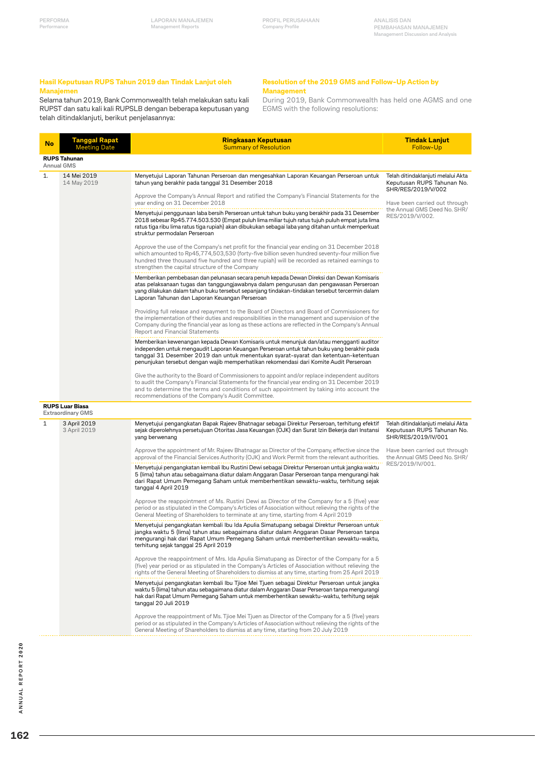#### **Hasil Keputusan RUPS Tahun 2019 dan Tindak Lanjut oleh Manajemen**

Selama tahun 2019, Bank Commonwealth telah melakukan satu kali RUPST dan satu kali kali RUPSLB dengan beberapa keputusan yang telah ditindaklanjuti, berikut penjelasannya:

#### **Resolution of the 2019 GMS and Follow-Up Action by Management**

During 2019, Bank Commonwealth has held one AGMS and one EGMS with the following resolutions:

| No | <b>Tanggal Rapat</b><br><b>Meeting Date</b>        | <b>Ringkasan Keputusan</b><br><b>Summary of Resolution</b>                                                                                                                                                                                                                                                                                                           | <b>Tindak Lanjut</b><br>Follow-Up                                                       |
|----|----------------------------------------------------|----------------------------------------------------------------------------------------------------------------------------------------------------------------------------------------------------------------------------------------------------------------------------------------------------------------------------------------------------------------------|-----------------------------------------------------------------------------------------|
|    | <b>RUPS Tahunan</b><br><b>Annual GMS</b>           |                                                                                                                                                                                                                                                                                                                                                                      |                                                                                         |
| 1. | 14 Mei 2019<br>14 May 2019                         | Menyetujui Laporan Tahunan Perseroan dan mengesahkan Laporan Keuangan Perseroan untuk<br>tahun yang berakhir pada tanggal 31 Desember 2018                                                                                                                                                                                                                           | Telah ditindaklanjuti melalui Akta<br>Keputusan RUPS Tahunan No.<br>SHR/RES/2019/V/002  |
|    |                                                    | Approve the Company's Annual Report and ratified the Company's Financial Statements for the<br>year ending on 31 December 2018                                                                                                                                                                                                                                       | Have been carried out through                                                           |
|    |                                                    | Menyetujui penggunaan laba bersih Perseroan untuk tahun buku yang berakhir pada 31 Desember<br>2018 sebesar Rp45.774.503.530 (Empat puluh lima miliar tujuh ratus tujuh puluh empat juta lima<br>ratus tiga ribu lima ratus tiga rupiah) akan dibukukan sebagai laba yang ditahan untuk memperkuat<br>struktur permodalan Perseroan                                  | the Annual GMS Deed No. SHR/<br>RES/2019/V/002.                                         |
|    |                                                    | Approve the use of the Company's net profit for the financial year ending on 31 December 2018<br>which amounted to Rp45,774,503,530 (forty-five billion seven hundred seventy-four million five<br>hundred three thousand five hundred and three rupiah) will be recorded as retained earnings to<br>strengthen the capital structure of the Company                 |                                                                                         |
|    |                                                    | Memberikan pembebasan dan pelunasan secara penuh kepada Dewan Direksi dan Dewan Komisaris<br>atas pelaksanaan tugas dan tanggungjawabnya dalam pengurusan dan pengawasan Perseroan<br>yang dilakukan dalam tahun buku tersebut sepanjang tindakan-tindakan tersebut tercermin dalam<br>Laporan Tahunan dan Laporan Keuangan Perseroan                                |                                                                                         |
|    |                                                    | Providing full release and repayment to the Board of Directors and Board of Commissioners for<br>the implementation of their duties and responsibilities in the management and supervision of the<br>Company during the financial year as long as these actions are reflected in the Company's Annual<br>Report and Financial Statements                             |                                                                                         |
|    |                                                    | Memberikan kewenangan kepada Dewan Komisaris untuk menunjuk dan/atau mengganti auditor<br>independen untuk mengaudit Laporan Keuangan Perseroan untuk tahun buku yang berakhir pada<br>tanggal 31 Desember 2019 dan untuk menentukan syarat-syarat dan ketentuan-ketentuan<br>penunjukan tersebut dengan wajib memperhatikan rekomendasi dari Komite Audit Perseroan |                                                                                         |
|    |                                                    | Give the authority to the Board of Commissioners to appoint and/or replace independent auditors<br>to audit the Company's Financial Statements for the financial year ending on 31 December 2019<br>and to determine the terms and conditions of such appointment by taking into account the<br>recommendations of the Company's Audit Committee.                    |                                                                                         |
|    | <b>RUPS Luar Biasa</b><br><b>Extraordinary GMS</b> |                                                                                                                                                                                                                                                                                                                                                                      |                                                                                         |
| 1  | 3 April 2019<br>3 April 2019                       | Menyetujui pengangkatan Bapak Rajeev Bhatnagar sebagai Direktur Perseroan, terhitung efektif<br>sejak diperolehnya persetujuan Otoritas Jasa Keuangan (OJK) dan Surat Izin Bekerja dari Instansi<br>yang berwenang                                                                                                                                                   | Telah ditindaklanjuti melalui Akta<br>Keputusan RUPS Tahunan No.<br>SHR/RES/2019/IV/001 |
|    |                                                    | Approve the appointment of Mr. Rajeev Bhatnagar as Director of the Company, effective since the<br>approval of the Financial Services Authority (OJK) and Work Permit from the relevant authorities.                                                                                                                                                                 | Have been carried out through<br>the Annual GMS Deed No. SHR/                           |
|    |                                                    | Menyetujui pengangkatan kembali Ibu Rustini Dewi sebagai Direktur Perseroan untuk jangka waktu<br>5 (lima) tahun atau sebagaimana diatur dalam Anggaran Dasar Perseroan tanpa mengurangi hak<br>dari Rapat Umum Pemegang Saham untuk memberhentikan sewaktu-waktu, terhitung sejak<br>tanggal 4 April 2019                                                           | RES/2019/IV/001.                                                                        |
|    |                                                    | Approve the reappointment of Ms. Rustini Dewi as Director of the Company for a 5 (five) year<br>period or as stipulated in the Company's Articles of Association without relieving the rights of the<br>General Meeting of Shareholders to terminate at any time, starting from 4 April 2019                                                                         |                                                                                         |
|    |                                                    | Menyetujui pengangkatan kembali Ibu Ida Apulia Simatupang sebagai Direktur Perseroan untuk<br>jangka waktu 5 (lima) tahun atau sebagaimana diatur dalam Anggaran Dasar Perseroan tanpa<br>mengurangi hak dari Rapat Umum Pemegang Saham untuk memberhentikan sewaktu-waktu,<br>terhitung sejak tanggal 25 April 2019                                                 |                                                                                         |
|    |                                                    | Approve the reappointment of Mrs. Ida Apulia Simatupang as Director of the Company for a 5<br>(five) year period or as stipulated in the Company's Articles of Association without relieving the<br>rights of the General Meeting of Shareholders to dismiss at any time, starting from 25 April 2019                                                                |                                                                                         |
|    |                                                    | Menyetujui pengangkatan kembali Ibu Tjioe Mei Tjuen sebagai Direktur Perseroan untuk jangka<br>waktu 5 (lima) tahun atau sebagaimana diatur dalam Anggaran Dasar Perseroan tanpa mengurangi<br>hak dari Rapat Umum Pemegang Saham untuk memberhentikan sewaktu-waktu, terhitung sejak<br>tanggal 20 Juli 2019                                                        |                                                                                         |
|    |                                                    | Approve the reappointment of Ms. Tjioe Mei Tjuen as Director of the Company for a 5 (five) years<br>period or as stipulated in the Company's Articles of Association without relieving the rights of the                                                                                                                                                             |                                                                                         |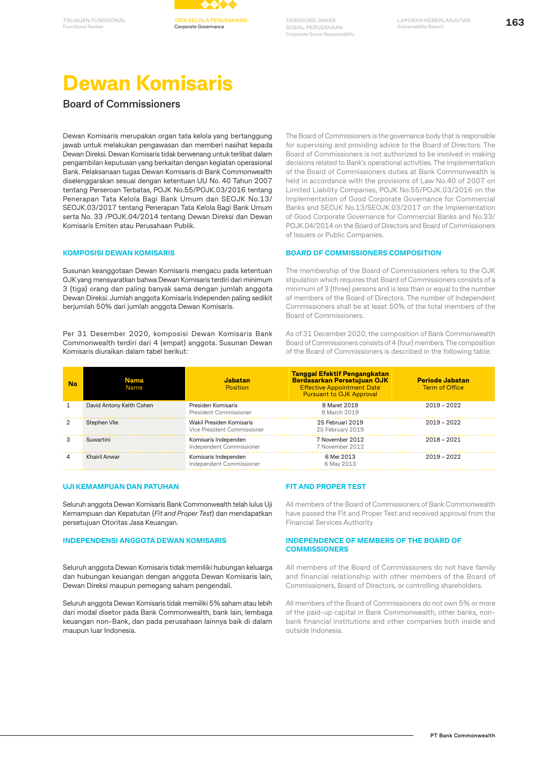



# **Dewan Komisaris**

### **Board of Commissioners**

Dewan Komisaris merupakan organ tata kelola yang bertanggung jawab untuk melakukan pengawasan dan memberi nasihat kepada Dewan Direksi. Dewan Komisaris tidak berwenang untuk terlibat dalam pengambilan keputusan yang berkaitan dengan kegiatan operasional Bank. Pelaksanaan tugas Dewan Komisaris di Bank Commonwealth diselenggarakan sesuai dengan ketentuan UU No. 40 Tahun 2007 tentang Perseroan Terbatas, POJK No.55/POJK.03/2016 tentang Penerapan Tata Kelola Bagi Bank Umum dan SEOJK No.13/ SEOJK.03/2017 tentang Penerapan Tata Kelola Bagi Bank Umum serta No. 33 /POJK.04/2014 tentang Dewan Direksi dan Dewan Komisaris Emiten atau Perusahaan Publik.

#### **KOMPOSISI DEWAN KOMISARIS**

Susunan keanggotaan Dewan Komisaris mengacu pada ketentuan OJK yang mensyaratkan bahwa Dewan Komisaris terdiri dari minimum 3 (tiga) orang dan paling banyak sama dengan jumlah anggota Dewan Direksi. Jumlah anggota Komisaris Independen paling sedikit berjumlah 50% dari jumlah anggota Dewan Komisaris.

Per 31 Desember 2020, komposisi Dewan Komisaris Bank Commonwealth terdiri dari 4 (empat) anggota. Susunan Dewan Komisaris diuraikan dalam tabel berikut:

The Board of Commissioners is the governance body that is responsible for supervising and providing advice to the Board of Directors. The Board of Commissioners is not authorized to be involved in making decisions related to Bank's operational activities. The implementation of the Board of Commissioners duties at Bank Commonwealth is held in accordance with the provisions of Law No.40 of 2007 on Limited Liability Companies, POJK No.55/POJK.03/2016 on the Implementation of Good Corporate Governance for Commercial Banks and SEOJK No.13/SEOJK.03/2017 on the Implementation of Good Corporate Governance for Commercial Banks and No.33/ POJK.04/2014 on the Board of Directors and Board of Commissioners of Issuers or Public Companies.

#### **BOARD OF COMMISSIONERS COMPOSITION**

The membership of the Board of Commissioners refers to the OJK stipulation which requires that Board of Commissioners consists of a minimum of 3 (three) persons and is less than or equal to the number of members of the Board of Directors. The number of Independent Commissioners shall be at least 50% of the total members of the Board of Commissioners.

As of 31 December 2020, the composition of Bank Commonwealth Board of Commissioners consists of 4 (four) members. The composition of the Board of Commissioners is described in the following table:

| No | Nama<br>Name             | Jabatan<br>Position                                     | <b>Tanggal Efektif Pengangkatan</b><br><b>Berdasarkan Persetujuan OJK</b><br><b>Effective Appointment Date</b><br><b>Pursuant to OJK Approval</b> | <b>Periode Jabatan</b><br><b>Term of Office</b> |
|----|--------------------------|---------------------------------------------------------|---------------------------------------------------------------------------------------------------------------------------------------------------|-------------------------------------------------|
|    | David Antony Keith Cohen | Presiden Komisaris<br>President Commissioner            | 8 Maret 2019<br>8 March 2019                                                                                                                      | $2019 - 2022$                                   |
|    | Stephen Vile             | Wakil Presiden Komisaris<br>Vice President Commissioner | 25 Februari 2019<br>25 February 2019                                                                                                              | $2019 - 2022$                                   |
|    | Suwartini                | Komisaris Independen<br>Independent Commissioner        | 7 November 2012<br>7 November 2012                                                                                                                | $2018 - 2021$                                   |
|    | Khairil Anwar            | Komisaris Independen<br>Independent Commissioner        | 6 Mei 2013<br>6 May 2013                                                                                                                          | $2019 - 2022$                                   |

#### **UJI KEMAMPUAN DAN PATUHAN**

Seluruh anggota Dewan Komisaris Bank Commonwealth telah lulus Uji Kemampuan dan Kepatutan (*Fit and Proper Test*) dan mendapatkan persetujuan Otoritas Jasa Keuangan.

#### **INDEPENDENSI ANGGOTA DEWAN KOMISARIS**

Seluruh anggota Dewan Komisaris tidak memiliki hubungan keluarga dan hubungan keuangan dengan anggota Dewan Komisaris lain, Dewan Direksi maupun pemegang saham pengendali.

Seluruh anggota Dewan Komisaris tidak memiliki 5% saham atau lebih dari modal disetor pada Bank Commonwealth, bank lain, lembaga keuangan non-Bank, dan pada perusahaan lainnya baik di dalam maupun luar Indonesia.

#### **FIT AND PROPER TEST**

All members of the Board of Commissioners of Bank Commonwealth have passed the Fit and Proper Test and received approval from the Financial Services Authority

#### **INDEPENDENCE OF MEMBERS OF THE BOARD OF COMMISSIONERS**

All members of the Board of Commissioners do not have family and financial relationship with other members of the Board of Commissioners, Board of Directors, or controlling shareholders.

All members of the Board of Commissioners do not own 5% or more of the paid-up capital in Bank Commonwealth, other banks, nonbank financial institutions and other companies both inside and outside Indonesia.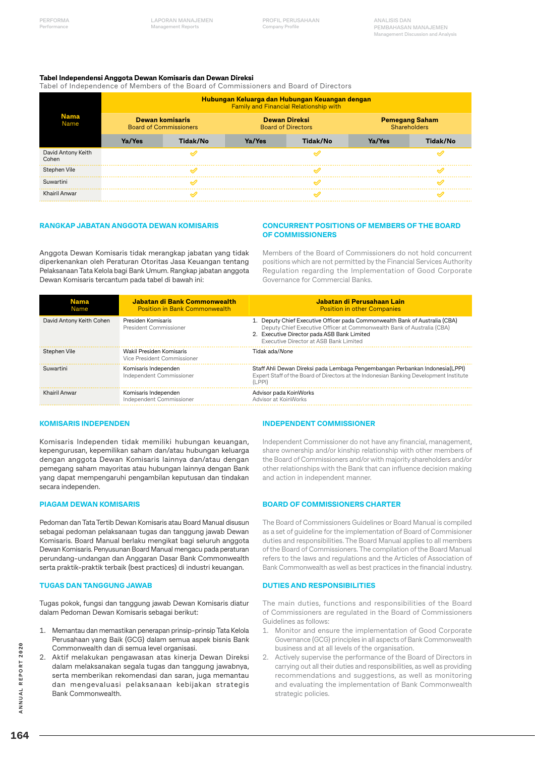#### **Tabel Independensi Anggota Dewan Komisaris dan Dewan Direksi**

Tabel of Independence of Members of the Board of Commissioners and Board of Directors

| <b>Nama</b><br>Name         | Hubungan Keluarga dan Hubungan Keuangan dengan<br><b>Family and Financial Relationship with</b> |          |                                                   |          |                                       |          |
|-----------------------------|-------------------------------------------------------------------------------------------------|----------|---------------------------------------------------|----------|---------------------------------------|----------|
|                             | Dewan komisaris<br><b>Board of Commissioners</b>                                                |          | <b>Dewan Direksi</b><br><b>Board of Directors</b> |          | <b>Pemegang Saham</b><br>Shareholders |          |
|                             | Ya/Yes                                                                                          | Tidak/No | Ya/Yes                                            | Tidak/No | Ya/Yes                                | Tidak/No |
| David Antony Keith<br>Cohen |                                                                                                 |          |                                                   |          |                                       |          |
| Stephen Vile                |                                                                                                 |          |                                                   |          |                                       |          |
| Suwartini                   |                                                                                                 |          |                                                   |          |                                       |          |
| Khairil Anwar               |                                                                                                 |          |                                                   |          |                                       |          |

#### **RANGKAP JABATAN ANGGOTA DEWAN KOMISARIS**

Anggota Dewan Komisaris tidak merangkap jabatan yang tidak diperkenankan oleh Peraturan Otoritas Jasa Keuangan tentang Pelaksanaan Tata Kelola bagi Bank Umum. Rangkap jabatan anggota Dewan Komisaris tercantum pada tabel di bawah ini:

#### **CONCURRENT POSITIONS OF MEMBERS OF THE BOARD OF COMMISSIONERS**

Members of the Board of Commissioners do not hold concurrent positions which are not permitted by the Financial Services Authority Regulation regarding the Implementation of Good Corporate Governance for Commercial Banks.

| <b>Nama</b><br>Name      | Jabatan di Bank Commonwealth<br><b>Position in Bank Commonwealth</b> | Jabatan di Perusahaan Lain<br><b>Position in other Companies</b>                                                                                                                                                                               |
|--------------------------|----------------------------------------------------------------------|------------------------------------------------------------------------------------------------------------------------------------------------------------------------------------------------------------------------------------------------|
| David Antony Keith Cohen | Presiden Komisaris<br>President Commissioner                         | 1. Deputy Chief Executive Officer pada Commonwealth Bank of Australia (CBA)<br>Deputy Chief Executive Officer at Commonwealth Bank of Australia (CBA)<br>2. Executive Director pada ASB Bank Limited<br>Executive Director at ASB Bank Limited |
| Stephen Vile             | Wakil Presiden Komisaris<br>Vice President Commissioner              | Tidak ada/None                                                                                                                                                                                                                                 |
| Suwartini                | Komisaris Independen<br>Independent Commissioner                     | Staff Ahli Dewan Direksi pada Lembaga Pengembangan Perbankan Indonesia (LPPI)<br>Expert Staff of the Board of Directors at the Indonesian Banking Development Institute<br>(LPPI)                                                              |
| Khairil Anwar            | Komisaris Independen<br>Independent Commissioner                     | Advisor pada KoinWorks<br>Advisor at KoinWorks                                                                                                                                                                                                 |

#### **KOMISARIS INDEPENDEN**

Komisaris Independen tidak memiliki hubungan keuangan, kepengurusan, kepemilikan saham dan/atau hubungan keluarga dengan anggota Dewan Komisaris lainnya dan/atau dengan pemegang saham mayoritas atau hubungan lainnya dengan Bank yang dapat mempengaruhi pengambilan keputusan dan tindakan secara independen.

#### **PIAGAM DEWAN KOMISARIS**

Pedoman dan Tata Tertib Dewan Komisaris atau Board Manual disusun sebagai pedoman pelaksanaan tugas dan tanggung jawab Dewan Komisaris. Board Manual berlaku mengikat bagi seluruh anggota Dewan Komisaris. Penyusunan Board Manual mengacu pada peraturan perundang-undangan dan Anggaran Dasar Bank Commonwealth serta praktik-praktik terbaik (best practices) di industri keuangan.

#### **TUGAS DAN TANGGUNG JAWAB**

Tugas pokok, fungsi dan tanggung jawab Dewan Komisaris diatur dalam Pedoman Dewan Komisaris sebagai berikut:

- 1. Memantau dan memastikan penerapan prinsip-prinsip Tata Kelola Perusahaan yang Baik (GCG) dalam semua aspek bisnis Bank Commonwealth dan di semua level organisasi.
- 2. Aktif melakukan pengawasan atas kinerja Dewan Direksi dalam melaksanakan segala tugas dan tanggung jawabnya, serta memberikan rekomendasi dan saran, juga memantau dan mengevaluasi pelaksanaan kebijakan strategis Bank Commonwealth.

#### **INDEPENDENT COMMISSIONER**

Independent Commissioner do not have any financial, management, share ownership and/or kinship relationship with other members of the Board of Commissioners and/or with majority shareholders and/or other relationships with the Bank that can influence decision making and action in independent manner.

#### **BOARD OF COMMISSIONERS CHARTER**

The Board of Commissioners Guidelines or Board Manual is compiled as a set of guideline for the implementation of Board of Commisioner duties and responsibilities. The Board Manual applies to all members of the Board of Commissioners. The compilation of the Board Manual refers to the laws and regulations and the Articles of Association of Bank Commonwealth as well as best practices in the financial industry.

#### **DUTIES AND RESPONSIBILITIES**

The main duties, functions and responsibilities of the Board of Commissioners are regulated in the Board of Commissioners Guidelines as follows:

- 1. Monitor and ensure the implementation of Good Corporate Governance (GCG) principles in all aspects of Bank Commonwealth business and at all levels of the organisation.
- 2. Actively supervise the performance of the Board of Directors in carrying out all their duties and responsibilities, as well as providing recommendations and suggestions, as well as monitoring and evaluating the implementation of Bank Commonwealth strategic policies.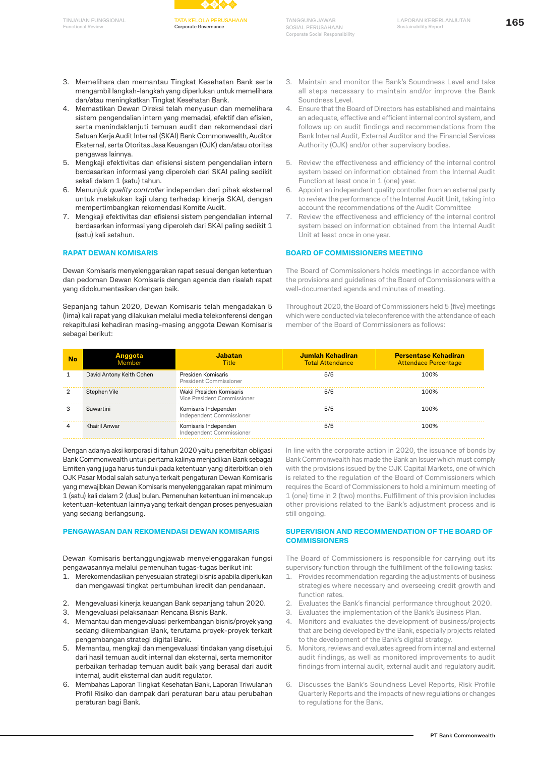

- 3. Memelihara dan memantau Tingkat Kesehatan Bank serta mengambil langkah-langkah yang diperlukan untuk memelihara dan/atau meningkatkan Tingkat Kesehatan Bank.
- 4. Memastikan Dewan Direksi telah menyusun dan memelihara sistem pengendalian intern yang memadai, efektif dan efisien, serta menindaklanjuti temuan audit dan rekomendasi dari Satuan Kerja Audit Internal (SKAI) Bank Commonwealth, Auditor Eksternal, serta Otoritas Jasa Keuangan (OJK) dan/atau otoritas pengawas lainnya.
- 5. Mengkaji efektivitas dan efisiensi sistem pengendalian intern berdasarkan informasi yang diperoleh dari SKAI paling sedikit sekali dalam 1 (satu) tahun.
- 6. Menunjuk *quality controller* independen dari pihak eksternal untuk melakukan kaji ulang terhadap kinerja SKAI, dengan mempertimbangkan rekomendasi Komite Audit.
- 7. Mengkaji efektivitas dan efisiensi sistem pengendalian internal berdasarkan informasi yang diperoleh dari SKAI paling sedikit 1 (satu) kali setahun.

#### **RAPAT DEWAN KOMISARIS**

Dewan Komisaris menyelenggarakan rapat sesuai dengan ketentuan dan pedoman Dewan Komisaris dengan agenda dan risalah rapat yang didokumentasikan dengan baik.

Sepanjang tahun 2020, Dewan Komisaris telah mengadakan 5 (lima) kali rapat yang dilakukan melalui media telekonferensi dengan rekapitulasi kehadiran masing-masing anggota Dewan Komisaris sebagai berikut:

- 3. Maintain and monitor the Bank's Soundness Level and take all steps necessary to maintain and/or improve the Bank Soundness Level.
- 4. Ensure that the Board of Directors has established and maintains an adequate, effective and efficient internal control system, and follows up on audit findings and recommendations from the Bank Internal Audit, External Auditor and the Financial Services Authority (OJK) and/or other supervisory bodies.
- 5. Review the effectiveness and efficiency of the internal control system based on information obtained from the Internal Audit Function at least once in 1 (one) year.
- 6. Appoint an independent quality controller from an external party to review the performance of the Internal Audit Unit, taking into account the recommendations of the Audit Committee
- 7. Review the effectiveness and efficiency of the internal control system based on information obtained from the Internal Audit Unit at least once in one year.

#### **BOARD OF COMMISSIONERS MEETING**

The Board of Commissioners holds meetings in accordance with the provisions and guidelines of the Board of Commissioners with a well-documented agenda and minutes of meeting.

Throughout 2020, the Board of Commissioners held 5 (five) meetings which were conducted via teleconference with the attendance of each member of the Board of Commissioners as follows:

| No | Anggota<br>Member        | <b>Jabatan</b><br><b>Title</b>                          | Jumlah Kehadiran<br><b>Total Attendance</b> | <b>Persentase Kehadiran</b><br><b>Attendace Percentage</b> |
|----|--------------------------|---------------------------------------------------------|---------------------------------------------|------------------------------------------------------------|
|    | David Antony Keith Cohen | Presiden Komisaris<br>President Commissioner            | 5/5                                         | 100%                                                       |
|    | Stephen Vile             | Wakil Presiden Komisaris<br>Vice President Commissioner | 5/5                                         | 100%                                                       |
|    | Suwartini                | Komisaris Independen<br>Independent Commissioner        | 5/5                                         | 100%                                                       |
|    | Khairil Anwar            | Komisaris Independen<br>Independent Commissioner        | 5/5                                         | 100%                                                       |

Dengan adanya aksi korporasi di tahun 2020 yaitu penerbitan obligasi Bank Commonwealth untuk pertama kalinya menjadikan Bank sebagai Emiten yang juga harus tunduk pada ketentuan yang diterbitkan oleh OJK Pasar Modal salah satunya terkait pengaturan Dewan Komisaris yang mewajibkan Dewan Komisaris menyelenggarakan rapat minimum 1 (satu) kali dalam 2 (dua) bulan. Pemenuhan ketentuan ini mencakup ketentuan-ketentuan lainnya yang terkait dengan proses penyesuaian yang sedang berlangsung.

#### **PENGAWASAN DAN REKOMENDASI DEWAN KOMISARIS**

Dewan Komisaris bertanggungjawab menyelenggarakan fungsi pengawasannya melalui pemenuhan tugas-tugas berikut ini:

- 1. Merekomendasikan penyesuaian strategi bisnis apabila diperlukan dan mengawasi tingkat pertumbuhan kredit dan pendanaan.
- 2. Mengevaluasi kinerja keuangan Bank sepanjang tahun 2020.
- 3. Mengevaluasi pelaksanaan Rencana Bisnis Bank.
- 4. Memantau dan mengevaluasi perkembangan bisnis/proyek yang sedang dikembangkan Bank, terutama proyek-proyek terkait pengembangan strategi digital Bank.
- 5. Memantau, mengkaji dan mengevaluasi tindakan yang disetujui dari hasil temuan audit internal dan eksternal, serta memonitor perbaikan terhadap temuan audit baik yang berasal dari audit internal, audit eksternal dan audit regulator.
- 6. Membahas Laporan Tingkat Kesehatan Bank, Laporan Triwulanan Profil Risiko dan dampak dari peraturan baru atau perubahan peraturan bagi Bank.

In line with the corporate action in 2020, the issuance of bonds by Bank Commonwealth has made the Bank an Issuer which must comply with the provisions issued by the OJK Capital Markets, one of which is related to the regulation of the Board of Commissioners which requires the Board of Commissioners to hold a minimum meeting of 1 (one) time in 2 (two) months. Fulfillment of this provision includes other provisions related to the Bank's adjustment process and is still ongoing.

#### **SUPERVISION AND RECOMMENDATION OF THE BOARD OF COMMISSIONERS**

The Board of Commissioners is responsible for carrying out its supervisory function through the fulfillment of the following tasks:

- 1. Provides recommendation regarding the adjustments of business strategies where necessary and overseeing credit growth and function rates.
- 2. Evaluates the Bank's financial performance throughout 2020.
- 3. Evaluates the implementation of the Bank's Business Plan.
- 4. Monitors and evaluates the development of business/projects that are being developed by the Bank, especially projects related to the development of the Bank's digital strategy.
- 5. Monitors, reviews and evaluates agreed from internal and external audit findings, as well as monitored improvements to audit findings from internal audit, external audit and regulatory audit.
- 6. Discusses the Bank's Soundness Level Reports, Risk Profile Quarterly Reports and the impacts of new regulations or changes to regulations for the Bank.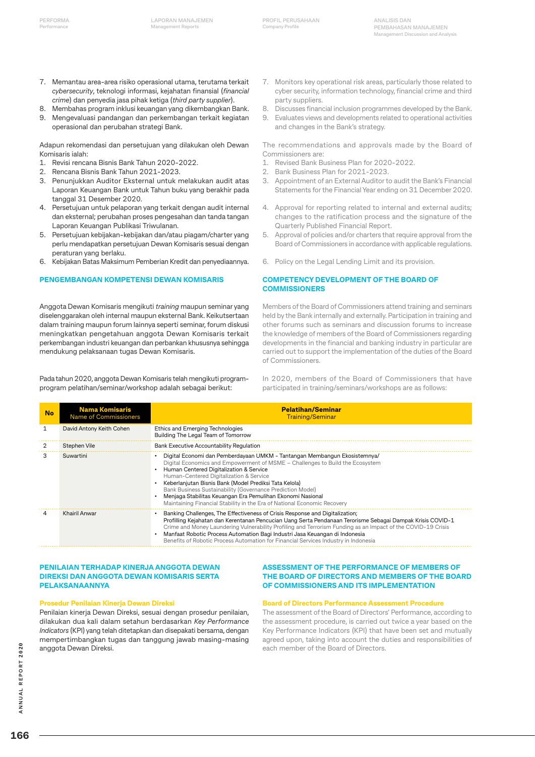- 7. Memantau area-area risiko operasional utama, terutama terkait *cybersecurity*, teknologi informasi, kejahatan finansial (*financial crime*) dan penyedia jasa pihak ketiga (*third party supplier*).
- 8. Membahas program inklusi keuangan yang dikembangkan Bank.
- 9. Mengevaluasi pandangan dan perkembangan terkait kegiatan operasional dan perubahan strategi Bank.

Adapun rekomendasi dan persetujuan yang dilakukan oleh Dewan Komisaris ialah:

- 1. Revisi rencana Bisnis Bank Tahun 2020-2022.
- 2. Rencana Bisnis Bank Tahun 2021-2023.
- 3. Penunjukkan Auditor Eksternal untuk melakukan audit atas Laporan Keuangan Bank untuk Tahun buku yang berakhir pada tanggal 31 Desember 2020.
- 4. Persetujuan untuk pelaporan yang terkait dengan audit internal dan eksternal; perubahan proses pengesahan dan tanda tangan Laporan Keuangan Publikasi Triwulanan.
- 5. Persetujuan kebijakan-kebijakan dan/atau piagam/charter yang perlu mendapatkan persetujuan Dewan Komisaris sesuai dengan peraturan yang berlaku.
- 6. Kebijakan Batas Maksimum Pemberian Kredit dan penyediaannya.

#### **PENGEMBANGAN KOMPETENSI DEWAN KOMISARIS**

Anggota Dewan Komisaris mengikuti *training* maupun seminar yang diselenggarakan oleh internal maupun eksternal Bank. Keikutsertaan dalam training maupun forum lainnya seperti seminar, forum diskusi meningkatkan pengetahuan anggota Dewan Komisaris terkait perkembangan industri keuangan dan perbankan khususnya sehingga mendukung pelaksanaan tugas Dewan Komisaris.

Pada tahun 2020, anggota Dewan Komisaris telah mengikuti programprogram pelatihan/seminar/workshop adalah sebagai berikut:

- 7. Monitors key operational risk areas, particularly those related to cyber security, information technology, financial crime and third party suppliers.
- 8. Discusses financial inclusion programmes developed by the Bank.
- 9. Evaluates views and developments related to operational activities and changes in the Bank's strategy.

The recommendations and approvals made by the Board of Commissioners are:

- 1. Revised Bank Business Plan for 2020-2022.
- 2. Bank Business Plan for 2021-2023.
- 3. Appointment of an External Auditor to audit the Bank's Financial Statements for the Financial Year ending on 31 December 2020.
- 4. Approval for reporting related to internal and external audits; changes to the ratification process and the signature of the Quarterly Published Financial Report.
- 5. Approval of policies and/or charters that require approval from the Board of Commissioners in accordance with applicable regulations.
- 6. Policy on the Legal Lending Limit and its provision.

#### **COMPETENCY DEVELOPMENT OF THE BOARD OF COMMISSIONERS**

Members of the Board of Commissioners attend training and seminars held by the Bank internally and externally. Participation in training and other forums such as seminars and discussion forums to increase the knowledge of members of the Board of Commissioners regarding developments in the financial and banking industry in particular are carried out to support the implementation of the duties of the Board of Commissioners.

In 2020, members of the Board of Commissioners that have participated in training/seminars/workshops are as follows:

| <b>No</b> | <b>Nama Komisaris</b><br><b>Name of Commissioners</b> | <b>Pelatihan/Seminar</b><br><b>Training/Seminar</b>                                                                                                                                                                                                                                                                                                                                                                                                                                                                |
|-----------|-------------------------------------------------------|--------------------------------------------------------------------------------------------------------------------------------------------------------------------------------------------------------------------------------------------------------------------------------------------------------------------------------------------------------------------------------------------------------------------------------------------------------------------------------------------------------------------|
|           | David Antony Keith Cohen                              | Ethics and Emerging Technologies<br>Building The Legal Team of Tomorrow                                                                                                                                                                                                                                                                                                                                                                                                                                            |
|           | Stephen Vile                                          | Bank Executive Accountability Regulation                                                                                                                                                                                                                                                                                                                                                                                                                                                                           |
| з         | Suwartini                                             | Digital Economi dan Pemberdayaan UMKM - Tantangan Membangun Ekosistemnya/<br>Digital Economics and Empowerment of MSME – Challenges to Build the Ecosystem<br>Human Centered Digitalization & Service<br>Human-Centered Digitalization & Service<br>Keberlanjutan Bisnis Bank (Model Prediksi Tata Kelola)<br>Bank Business Sustainability (Governance Prediction Model)<br>Menjaga Stabilitas Keuangan Era Pemulihan Ekonomi Nasional<br>Maintaining Financial Stability in the Era of National Economic Recovery |
|           | Khairil Anwar                                         | Banking Challenges, The Effectiveness of Crisis Response and Digitalization;<br>Profilling Kejahatan dan Kerentanan Pencucian Uang Serta Pendanaan Terorisme Sebagai Dampak Krisis COVID-1<br>Crime and Money Laundering Vulnerability Profiling and Terrorism Funding as an Impact of the COVID-19 Crisis<br>Manfaat Robotic Process Automation Bagi Industri Jasa Keuangan di Indonesia<br>Benefits of Robotic Process Automation for Financial Services Industry in Indonesia                                   |

#### **PENILAIAN TERHADAP KINERJA ANGGOTA DEWAN DIREKSI DAN ANGGOTA DEWAN KOMISARIS SERTA PELAKSANAANNYA**

#### **Prosedur Penilaian Kinerja Dewan Direksi**

Penilaian kinerja Dewan Direksi, sesuai dengan prosedur penilaian, dilakukan dua kali dalam setahun berdasarkan *Key Performance Indicators* (KPI) yang telah ditetapkan dan disepakati bersama, dengan mempertimbangkan tugas dan tanggung jawab masing-masing anggota Dewan Direksi.

#### **ASSESSMENT OF THE PERFORMANCE OF MEMBERS OF THE BOARD OF DIRECTORS AND MEMBERS OF THE BOARD OF COMMISSIONERS AND ITS IMPLEMENTATION**

#### **Board of Directors Performance Assessment Procedure**

The assessment of the Board of Directors' Performance, according to the assessment procedure, is carried out twice a year based on the Key Performance Indicators (KPI) that have been set and mutually agreed upon, taking into account the duties and responsibilities of each member of the Board of Directors.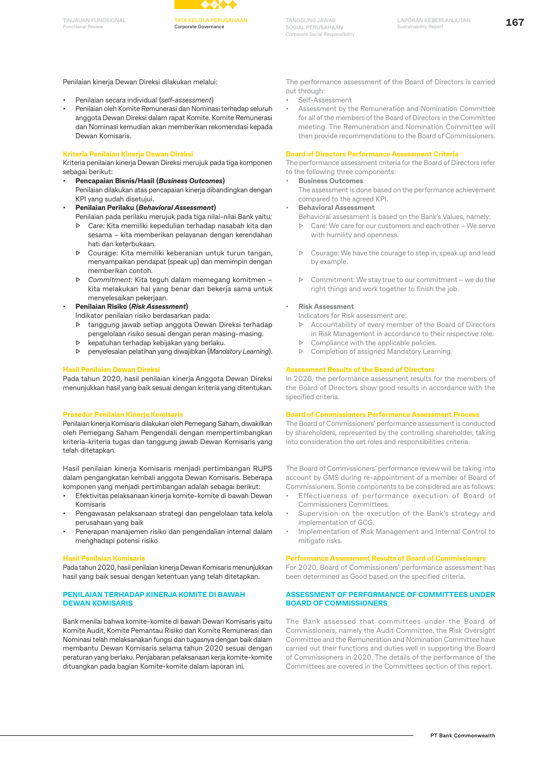**Functional Review**



**Corporate Governance**

**TANGGUNG JAWAB SOSIAL PERUSAHAAN Corporate Social Responsibility**

**167 TINJAUAN FUNGSIONAL LAPORAN KEBERLANJUTAN Sustainability Report**

Penilaian kinerja Dewan Direksi dilakukan melalui:

- Penilaian secara individual (*self-assessment*)
- Penilaian oleh Komite Remunerasi dan Nominasi terhadap seluruh anggota Dewan Direksi dalam rapat Komite. Komite Remunerasi dan Nominasi kemudian akan memberikan rekomendasi kepada Dewan Komisaris.

#### **Kriteria Penilaian Kinerja Dewan Direksi**

Kriteria penilaian kinerja Dewan Direksi merujuk pada tiga komponen sebagai berikut:

- **Pencapaian Bisnis/Hasil (***Business Outcomes***)** Penilaian dilakukan atas pencapaian kinerja dibandingkan dengan KPI yang sudah disetujui.
- **Penilaian Perilaku (***Behavioral Assessment***)**
	- Penilaian pada perilaku merujuk pada tiga nilai-nilai Bank yaitu*:* ▷ *Care:* Kita memiliki kepedulian terhadap nasabah kita dan sesama – kita memberikan pelayanan dengan kerendahan hati dan keterbukaan.
	- ▷ Courage: Kita memiliki keberanian untuk turun tangan, menyampaikan pendapat (speak up) dan memimpin dengan memberikan contoh.
	- ▷ *Commitment:* Kita teguh dalam memegang komitmen kita melakukan hal yang benar dan bekerja sama untuk menyelesaikan pekerjaan.

• **Penilaian Risiko (***Risk Assessment***)**

Indikator penilaian risiko berdasarkan pada:

- ▷ tanggung jawab setiap anggota Dewan Direksi terhadap pengelolaan risiko sesuai dengan peran masing-masing.
- ▷ kepatuhan terhadap kebijakan yang berlaku.
- ▷ penyelesaian pelatihan yang diwajibkan (*Mandatory Learning*).

#### **Hasil Penilaian Dewan Direksi**

Pada tahun 2020, hasil penilaian kinerja Anggota Dewan Direksi menunjukkan hasil yang baik sesuai dengan kriteria yang ditentukan.

### **Prosedur Penilaian Kinerja Komisaris**

Penilaian kinerja Komisaris dilakukan oleh Pemegang Saham, diwakilkan oleh Pemegang Saham Pengendali dengan mempertimbangkan kriteria-kriteria tugas dan tanggung jawab Dewan Komisaris yang telah ditetapkan.

Hasil penilaian kinerja Komisaris menjadi pertimbangan RUPS dalam pengangkatan kembali anggota Dewan Komisaris. Beberapa komponen yang menjadi pertimbangan adalah sebagai berikut:

- Efektivitas pelaksanaan kinerja komite-komite di bawah Dewan Komisaris
- Pengawasan pelaksanaan strategi dan pengelolaan tata kelola perusahaan yang baik
- Penerapan manajemen risiko dan pengendalian internal dalam menghadapi potensi risiko

#### **Hasil Penilaian Komisaris**

Pada tahun 2020, hasil penilaian kinerja Dewan Komisaris menunjukkan hasil yang baik sesuai dengan ketentuan yang telah ditetapkan.

#### **PENILAIAN TERHADAP KINERJA KOMITE DI BAWAH DEWAN KOMISARIS**

Bank menilai bahwa komite-komite di bawah Dewan Komisaris yaitu Komite Audit, Komite Pemantau Risiko dan Komite Remunerasi dan Nominasi telah melaksanakan fungsi dan tugasnya dengan baik dalam membantu Dewan Komisaris selama tahun 2020 sesuai dengan peraturan yang berlaku. Penjabaran pelaksanaan kerja komite-komite dituangkan pada bagian Komite-komite dalam laporan ini.

The performance assessment of the Board of Directors is carried out through:

- Self-Assessment
- Assessment by the Remuneration and Nomination Committee for all of the members of the Board of Directors in the Committee meeting. The Remuneration and Nomination Committee will then provide recommendations to the Board of Commissioners.

#### **Board of Directors Performance Assessment Criteria**

The performance assessment criteria for the Board of Directors refer to the following three components:

• **Business Outcomes**

The assessment is done based on the performance achievement compared to the agreed KPI.

- **Behavioral Assessment**
	- Behavioral assessment is based on the Bank's Values, namely:
		- ▷ Care: We care for our customers and each other We serve with humility and openness.
		- ▷ Courage: We have the courage to step in, speak up and lead by example.
		- ▷ Commitment: We stay true to our commitment we do the right things and work together to finish the job.

#### • **Risk Assessment**

Indicators for Risk assessment are:

- ▷ Accountability of every member of the Board of Directors in Risk Management in accordance to their respective role.
- ▷ Compliance with the applicable policies.
- ▷ Completion of assigned Mandatory Learning.

#### **Assessment Results of the Board of Directors**

In 2020, the performance assessment results for the members of the Board of Directors show good results in accordance with the specified criteria.

#### **Board of Commissioners Performance Assessment Process**

The Board of Commissioners' performance assessment is conducted by shareholders, represented by the controlling shareholder, taking into consideration the set roles and responsibilities criteria.

The Board of Commissioners' performance review will be taking into account by GMS during re-appointment of a member of Board of Commissioners. Some components to be considered are as follows:

- Effectiveness of performance execution of Board of Commissioners Committees.
- Supervision on the execution of the Bank's strategy and implementation of GCG.
- Implementation of Risk Management and Internal Control to mitigate risks.

#### **Performance Assessment Results of Board of Commissioners**

For 2020, Board of Commissioners' performance assessment has been determined as Good based on the specified criteria.

#### **ASSESSMENT OF PERFORMANCE OF COMMITTEES UNDER BOARD OF COMMISSIONERS**

The Bank assessed that committees under the Board of Commissioners, namely the Audit Committee, the Risk Oversight Committee and the Remuneration and Nomination Committee have carried out their functions and duties well in supporting the Board of Commissioners in 2020. The details of the performance of the Committees are covered in the Committees section of this report.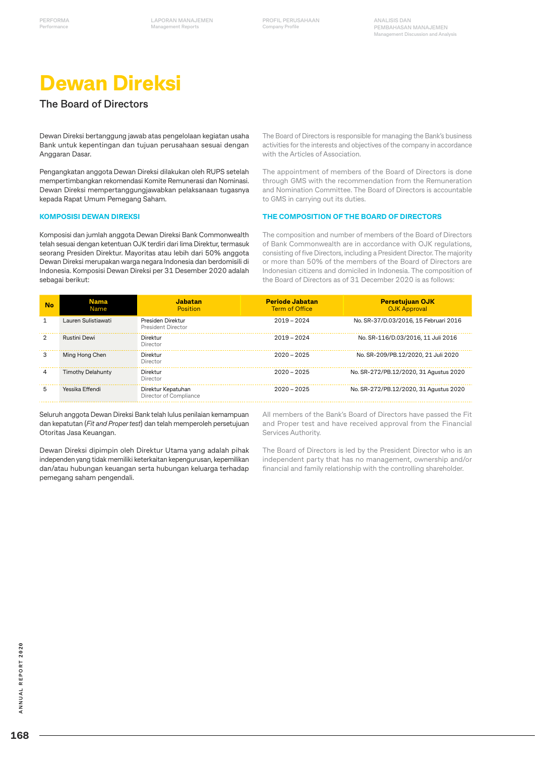# **Dewan Direksi**

### **The Board of Directors**

Dewan Direksi bertanggung jawab atas pengelolaan kegiatan usaha Bank untuk kepentingan dan tujuan perusahaan sesuai dengan Anggaran Dasar.

Pengangkatan anggota Dewan Direksi dilakukan oleh RUPS setelah mempertimbangkan rekomendasi Komite Remunerasi dan Nominasi. Dewan Direksi mempertanggungjawabkan pelaksanaan tugasnya kepada Rapat Umum Pemegang Saham.

#### **KOMPOSISI DEWAN DIREKSI**

Komposisi dan jumlah anggota Dewan Direksi Bank Commonwealth telah sesuai dengan ketentuan OJK terdiri dari lima Direktur, termasuk seorang Presiden Direktur. Mayoritas atau lebih dari 50% anggota Dewan Direksi merupakan warga negara Indonesia dan berdomisili di Indonesia. Komposisi Dewan Direksi per 31 Desember 2020 adalah sebagai berikut:

The Board of Directors is responsible for managing the Bank's business activities for the interests and objectives of the company in accordance with the Articles of Association.

The appointment of members of the Board of Directors is done through GMS with the recommendation from the Remuneration and Nomination Committee. The Board of Directors is accountable to GMS in carrying out its duties.

#### **THE COMPOSITION OF THE BOARD OF DIRECTORS**

The composition and number of members of the Board of Directors of Bank Commonwealth are in accordance with OJK regulations, consisting of five Directors, including a President Director. The majority or more than 50% of the members of the Board of Directors are Indonesian citizens and domiciled in Indonesia. The composition of the Board of Directors as of 31 December 2020 is as follows:

| No | <b>Nama</b><br>Name      | Jabatan<br>Position                          | <b>Periode Jabatan</b><br><b>Term of Office</b> | <b>Persetujuan OJK</b><br><b>OJK Approval</b> |
|----|--------------------------|----------------------------------------------|-------------------------------------------------|-----------------------------------------------|
|    | Lauren Sulistiawati      | Presiden Direktur<br>President Director      | $2019 - 2024$                                   | No. SR-37/D.03/2016, 15 Februari 2016         |
| 2  | Rustini Dewi             | Direktur<br>Director                         | $2019 - 2024$                                   | No. SR-116/D.03/2016, 11 Juli 2016            |
| 3  | Ming Hong Chen           | Direktur<br>Director                         | $2020 - 2025$                                   | No. SR-209/PB.12/2020, 21 Juli 2020           |
| 4  | <b>Timothy Delahunty</b> | Direktur<br>Director                         | $2020 - 2025$                                   | No. SR-272/PB.12/2020, 31 Agustus 2020        |
| 5  | Yessika Effendi          | Direktur Kepatuhan<br>Director of Compliance | $2020 - 2025$                                   | No. SR-272/PB.12/2020, 31 Agustus 2020        |

Seluruh anggota Dewan Direksi Bank telah lulus penilaian kemampuan dan kepatutan (*Fit and Proper test*) dan telah memperoleh persetujuan Otoritas Jasa Keuangan.

Dewan Direksi dipimpin oleh Direktur Utama yang adalah pihak independen yang tidak memiliki keterkaitan kepengurusan, kepemilikan dan/atau hubungan keuangan serta hubungan keluarga terhadap pemegang saham pengendali.

All members of the Bank's Board of Directors have passed the Fit and Proper test and have received approval from the Financial Services Authority.

The Board of Directors is led by the President Director who is an independent party that has no management, ownership and/or financial and family relationship with the controlling shareholder.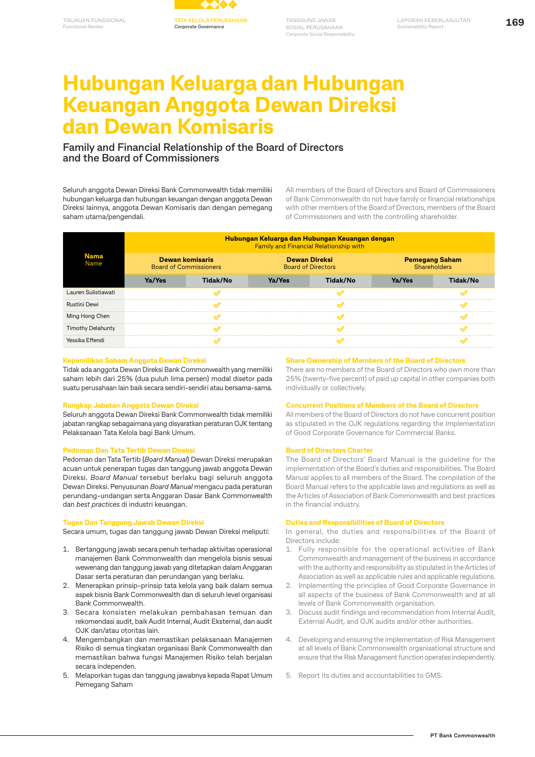

# **Hubungan Keluarga dan Hubungan Keuangan Anggota Dewan Direksi dan Dewan Komisaris**

### **Family and Financial Relationship of the Board of Directors and the Board of Commissioners**

Seluruh anggota Dewan Direksi Bank Commonwealth tidak memiliki hubungan keluarga dan hubungan keuangan dengan anggota Dewan Direksi lainnya, anggota Dewan Komisaris dan dengan pemegang saham utama/pengendali.

All members of the Board of Directors and Board of Commissioners of Bank Commonwealth do not have family or financial relationships with other members of the Board of Directors, members of the Board of Commissioners and with the controlling shareholder.

| <b>Nama</b><br>Name      |                                                  |          |                                                   | Hubungan Keluarga dan Hubungan Keuangan dengan<br><b>Family and Financial Relationship with</b> |                                       |          |
|--------------------------|--------------------------------------------------|----------|---------------------------------------------------|-------------------------------------------------------------------------------------------------|---------------------------------------|----------|
|                          | Dewan komisaris<br><b>Board of Commissioners</b> |          | <b>Dewan Direksi</b><br><b>Board of Directors</b> |                                                                                                 | <b>Pemegang Saham</b><br>Shareholders |          |
|                          | Ya/Yes                                           | Tidak/No | Ya/Yes                                            | Tidak/No                                                                                        | Ya/Yes                                | Tidak/No |
| Lauren Sulistiawati      |                                                  |          |                                                   |                                                                                                 |                                       |          |
| Rustini Dewi             |                                                  |          |                                                   |                                                                                                 |                                       |          |
| Ming Hong Chen           |                                                  |          |                                                   |                                                                                                 |                                       |          |
| <b>Timothy Delahunty</b> |                                                  |          |                                                   |                                                                                                 |                                       |          |
| Yessika Effendi          |                                                  |          |                                                   |                                                                                                 |                                       |          |

#### **Kepemilikan Saham Anggota Dewan Direksi**

Tidak ada anggota Dewan Direksi Bank Commonwealth yang memiliki saham lebih dari 25% (dua puluh lima persen) modal disetor pada suatu perusahaan lain baik secara sendiri-sendiri atau bersama-sama.

#### **Rangkap Jabatan Anggota Dewan Direksi**

Seluruh anggota Dewan Direksi Bank Commonwealth tidak memiliki jabatan rangkap sebagaimana yang disyaratkan peraturan OJK tentang Pelaksanaan Tata Kelola bagi Bank Umum.

#### **Pedoman Dan Tata Tertib Dewan Direksi**

Pedoman dan Tata Tertib (*Board Manual*) Dewan Direksi merupakan acuan untuk penerapan tugas dan tanggung jawab anggota Dewan Direksi. *Board Manual* tersebut berlaku bagi seluruh anggota Dewan Direksi. Penyusunan *Board Manual* mengacu pada peraturan perundang-undangan serta Anggaran Dasar Bank Commonwealth dan *best practices* di industri keuangan.

#### **Tugas Dan Tanggung Jawab Dewan Direksi**

Secara umum, tugas dan tanggung jawab Dewan Direksi meliputi:

- 1. Bertanggung jawab secara penuh terhadap aktivitas operasional manajemen Bank Commonwealth dan mengelola bisnis sesuai wewenang dan tanggung jawab yang ditetapkan dalam Anggaran Dasar serta peraturan dan perundangan yang berlaku.
- 2. Menerapkan prinsip-prinsip tata kelola yang baik dalam semua aspek bisnis Bank Commonwealth dan di seluruh level organisasi Bank Commonwealth.
- 3. Secara konsisten melakukan pembahasan temuan dan rekomendasi audit, baik Audit Internal, Audit Eksternal, dan audit OJK dan/atau otoritas lain.
- 4. Mengembangkan dan memastikan pelaksanaan Manajemen Risiko di semua tingkatan organisasi Bank Commonwealth dan memastikan bahwa fungsi Manajemen Risiko telah berjalan secara independen.
- 5. Melaporkan tugas dan tanggung jawabnya kepada Rapat Umum Pemegang Saham

#### **Share Ownership of Members of the Board of Directors**

There are no members of the Board of Directors who own more than 25% (twenty-five percent) of paid up capital in other companies both individually or collectively.

#### **Concurrent Positions of Members of the Board of Directors**

All members of the Board of Directors do not have concurrent position as stipulated in the OJK regulations regarding the Implementation of Good Corporate Governance for Commercial Banks.

#### **Board of Directors Charter**

The Board of Directors' Board Manual is the guideline for the implementation of the Board's duties and responsibilities. The Board Manual applies to all members of the Board. The compilation of the Board Manual refers to the applicable laws and regulations as well as the Articles of Association of Bank Commonwealth and best practices in the financial industry.

#### **Duties and Responsibilities of Board of Directors**

In general, the duties and responsibilities of the Board of Directors include:

- 1. Fully responsible for the operational activities of Bank Commonwealth and management of the business in accordance with the authority and responsibility as stipulated in the Articles of Association as well as applicable rules and applicable regulations.
- 2. Implementing the principles of Good Corporate Governance in all aspects of the business of Bank Commonwealth and at all levels of Bank Commonwealth organisation.
- 3. Discuss audit findings and recommendation from Internal Audit, External Audit, and OJK audits and/or other authorities.
- 4. Developing and ensuring the implementation of Risk Management at all levels of Bank Commonwealth organisational structure and ensure that the Risk Management function operates independently.
- 5. Report its duties and accountabilities to GMS.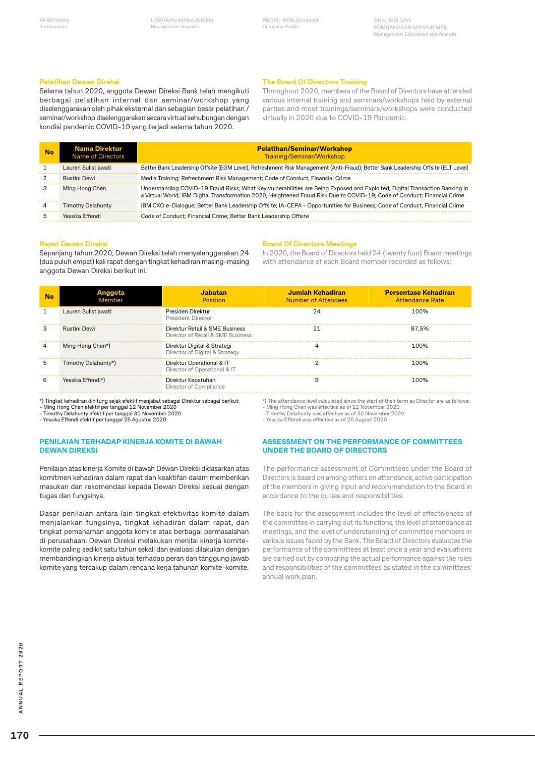#### **Pelatihan Dewan Direksi**

Selama tahun 2020, anggota Dewan Direksi Bank telah mengikuti berbagai pelatihan internal dan seminar/workshop yang diselenggarakan oleh pihak eksternal dan sebagian besar pelatihan / seminar/workshop diselenggarakan secara virtual sehubungan dengan kondisi pandemic COVID-19 yang terjadi selama tahun 2020.

#### **The Board Of Directors Training**

Throughout 2020, members of the Board of Directors have attended various internal training and seminars/workshops held by external parties and most trainings/seminars/workshops were conducted virtually in 2020 due to COVID-19 Pandemic.

| No | <b>Nama Direktur</b><br><b>Name of Directors</b> | <b>Pelatihan/Seminar/Workshop</b><br>Training/Seminar/Workshop                                                                                                                                                                                            |
|----|--------------------------------------------------|-----------------------------------------------------------------------------------------------------------------------------------------------------------------------------------------------------------------------------------------------------------|
|    | Lauren Sulistiawati                              | Better Bank Leadership Offsite (EGM Level); Refreshment Risk Management (Anti-Fraud); Better Bank Leadership Offsite (ELT Level)                                                                                                                          |
|    | Rustini Dewi                                     | Media Training; Refreshment Risk Management; Code of Conduct, Financial Crime                                                                                                                                                                             |
|    | Ming Hong Chen                                   | Understanding COVID-19 Fraud Risks; What Key Vulnerabilities are Being Exposed and Exploited; Digital Transaction Banking in<br>a Virtual World; IBM Digital Transformation 2020; Heightened Fraud Risk Due to COVID-19; Code of Conduct; Financial Crime |
|    | Timothy Delahunty                                | IBM CXO e-Dialogue; Better Bank Leadership Offsite; IA-CEPA - Opportunities for Business; Code of Conduct, Financial Crime                                                                                                                                |
|    | Yessika Effendi                                  | Code of Conduct; Financial Crime; Better Bank Leadership Offsite                                                                                                                                                                                          |

#### **Rapat Dewan Direksi**

Sepanjang tahun 2020, Dewan Direksi telah menyelenggarakan 24 (dua puluh empat) kali rapat dengan tingkat kehadiran masing-masing anggota Dewan Direksi berikut ini:

#### **Board Of Directors Meetings**

In 2020, the Board of Directors held 24 (twenty four) Board meetings with attendance of each Board member recorded as follows:

| <b>No</b> | Anggota<br>Member   | Jabatan<br>Position                                                 | Jumlah Kehadiran<br><b>Number of Attendees</b> | <b>Persentase Kehadiran</b><br><b>Attendance Rate</b> |
|-----------|---------------------|---------------------------------------------------------------------|------------------------------------------------|-------------------------------------------------------|
|           | Lauren Sulistiawati | Presiden Direktur<br>President Director                             | 24                                             | 100%                                                  |
| 3         | Rustini Dewi        | Direktur Retail & SME Business<br>Director of Retail & SME Business |                                                | 87.5%                                                 |
|           | Ming Hong Chen*)    | Direktur Digital & Strategi<br>Director of Digital & Strategy       |                                                | 100%                                                  |
| 5         | Timothy Delahunty*) | Direktur Operational & IT<br>Director of Operational & IT           |                                                | 100%                                                  |
| 6         | Yessika Effendi*)   | Direktur Kepatuhan<br>Director of Compliance                        |                                                | 100%                                                  |

\*) Tingkat kehadiran dihitung sejak efektif menjabat sebagai Direktur sebagai berikut:

- Ming Hong Chen efektif per tanggal 12 November 2020 - Timothy Delahunty efektif per tanggal 30 November 2020

- Yessika Effendi efektif per tanggal 25 Agustus 2020

\*) The attendance level calculated since the start of their term as Director are as follows: - Ming Hong Chen was effective as of 12 November 2020 - Timothy Delahunty was effective as of 30 November 2020

- Yessika Effendi was effective as of 25 August 2020

#### **PENILAIAN TERHADAP KINERJA KOMITE DI BAWAH DEWAN DIREKSI**

Penilaian atas kinerja Komite di bawah Dewan Direksi didasarkan atas komitmen kehadiran dalam rapat dan keaktifan dalam memberikan masukan dan rekomendasi kepada Dewan Direksi sesuai dengan tugas dan fungsinya.

Dasar penilaian antara lain tingkat efektivitas komite dalam menjalankan fungsinya, tingkat kehadiran dalam rapat, dan tingkat pemahaman anggota komite atas berbagai permasalahan di perusahaan. Dewan Direksi melakukan menilai kinerja komitekomite paling sedikit satu tahun sekali dan evaluasi dilakukan dengan membandingkan kinerja aktual terhadap peran dan tanggung jawab komite yang tercakup dalam rencana kerja tahunan komite-komite.

#### **ASSESSMENT ON THE PERFORMANCE OF COMMITTEES UNDER THE BOARD OF DIRECTORS**

The performance assessment of Committees under the Board of Directors is based on among others on attendance, active participation of the members in giving input and recommendation to the Board in accordance to the duties and responsibilities.

The basis for the assessment includes the level of effectiveness of the committee in carrying out its functions, the level of attendance at meetings, and the level of understanding of committee members in various issues faced by the Bank. The Board of Directors evaluates the performance of the committees at least once a year and evaluations are carried out by comparing the actual performance against the roles and responsibilities of the committees as stated in the committees' annual work plan.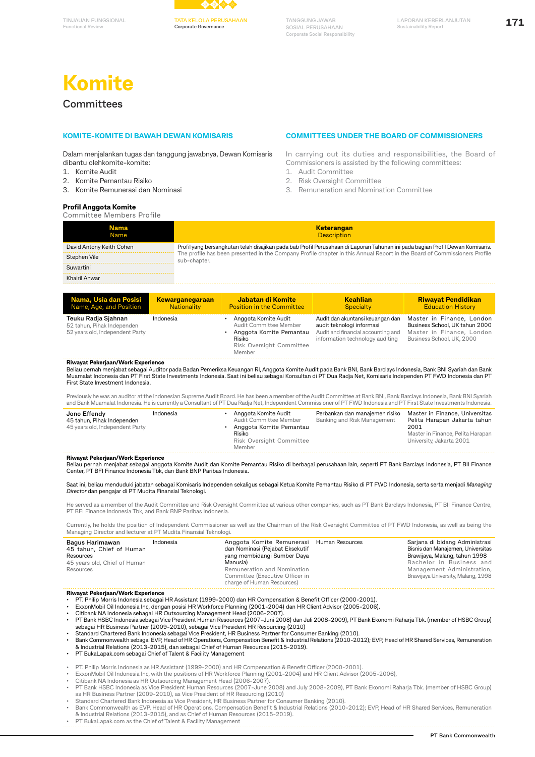

**Corporate Governance**

**TANGGUNG JAWAB SOSIAL PERUSAHAAN Corporate Social Responsibility**

# **Komite**

### **Committees**

**Functional Review**

#### **KOMITE-KOMITE DI BAWAH DEWAN KOMISARIS**

Dalam menjalankan tugas dan tanggung jawabnya, Dewan Komisaris dibantu olehkomite-komite:

- 1. Komite Audit
- 2. Komite Pemantau Risiko
- 3. Komite Remunerasi dan Nominasi

#### **Profil Anggota Komite**

# **COMMITTEES UNDER THE BOARD OF COMMISSIONERS**

In carrying out its duties and responsibilities, the Board of Commissioners is assisted by the following committees:

- 1. Audit Committee
- 2. Risk Oversight Committee
- 3. Remuneration and Nomination Committee

| ---<br>Committee Members Profile |                                                                                                                                           |
|----------------------------------|-------------------------------------------------------------------------------------------------------------------------------------------|
| <b>Nama</b><br>Name              | <b>Keterangan</b><br><b>Description</b>                                                                                                   |
| David Antony Keith Cohen         | Profil yang bersangkutan telah disajikan pada bab Profil Perusahaan di Laporan Tahunan ini pada bagian Profil Dewan Komisaris.            |
| Stephen Vile                     | The profile has been presented in the Company Profile chapter in this Annual Report in the Board of Commissioners Profile<br>sub-chapter. |
| Suwartini                        |                                                                                                                                           |
| Khairil Anwar                    |                                                                                                                                           |
|                                  |                                                                                                                                           |

| Nama, Usia dan Posisi                                                                | <b>Kewarganegaraan</b> | Jabatan di Komite                                                                                                         | <b>Keahlian</b>                                                                                                                        | <b>Riwayat Pendidikan</b>                                                                                             |
|--------------------------------------------------------------------------------------|------------------------|---------------------------------------------------------------------------------------------------------------------------|----------------------------------------------------------------------------------------------------------------------------------------|-----------------------------------------------------------------------------------------------------------------------|
| Name, Age, and Position                                                              | Nationality            | <b>Position in the Committee</b>                                                                                          | Specialty                                                                                                                              | <b>Education History</b>                                                                                              |
| Teuku Radja Sjahnan<br>52 tahun, Pihak Independen<br>52 years old, Independent Party | Indonesia              | Anggota Komite Audit<br>Audit Committee Member<br>Anggota Komite Pemantau<br>Risiko<br>Risk Oversight Committee<br>Member | Audit dan akuntansi keuangan dan<br>audit teknologi informasi<br>Audit and financial accounting and<br>information technology auditing | Master in Finance, London<br>Business School, UK tahun 2000<br>Master in Finance, London<br>Business School, UK, 2000 |

#### **Riwayat Pekerjaan/Work Experience**

Beliau pernah menjabat sebagai Auditor pada Badan Pemeriksa Keuangan RI, Anggota Komite Audit pada Bank BNI, Bank Barclays Indonesia, Bank BNI Syariah dan Bank<br>Muamalat Indonesia dan PT First State Investments Indonesia. S First State Investment Indonesia.

Previously he was an auditor at the Indonesian Supreme Audit Board. He has been a member of the Audit Committee at Bank BNI, Bank Barclays Indonesia, Bank BNI Syariah and Bank Muamalat Indonesia. He is currently a Consultant of PT Dua Radja Net, Independent Commissioner of PT FWD Indonesia and PT First State Investments Indonesia.

| Jono Effendy<br>45 tahun, Pihak Independen<br>45 years old, Independent Party | Indonesia |  | Anggota Komite Audit<br>Audit Committee Member<br>Anggota Komite Pemantau<br>Risiko<br>Risk Oversight Committee<br>Member | Perbankan dan manaiemen risiko<br>Banking and Risk Management | Master in Finance, Universitas<br>Pelita Harapan Jakarta tahun<br>2001<br>Master in Finance, Pelita Harapan<br>University, Jakarta 2001 |
|-------------------------------------------------------------------------------|-----------|--|---------------------------------------------------------------------------------------------------------------------------|---------------------------------------------------------------|-----------------------------------------------------------------------------------------------------------------------------------------|
|-------------------------------------------------------------------------------|-----------|--|---------------------------------------------------------------------------------------------------------------------------|---------------------------------------------------------------|-----------------------------------------------------------------------------------------------------------------------------------------|

#### **Riwayat Pekerjaan/Work Experience**

Beliau pernah menjabat sebagai anggota Komite Audit dan Komite Pemantau Risiko di berbagai perusahaan lain, seperti PT Bank Barclays Indonesia, PT BII Finance Center, PT BFI Finance Indonesia Tbk, dan Bank BNP Paribas Indonesia.

Saat ini, beliau menduduki jabatan sebagai Komisaris Independen sekaligus sebagai Ketua Komite Pemantau Risiko di PT FWD Indonesia, serta serta menjadi *Managing Director* dan pengajar di PT Mudita Finansial Teknologi.

He served as a member of the Audit Committee and Risk Oversight Committee at various other companies, such as PT Bank Barclays Indonesia, PT BII Finance Centre, PT BFI Finance Indonesia Tbk, and Bank BNP Paribas Indonesia.

Currently, he holds the position of Independent Commissioner as well as the Chairman of the Risk Oversight Committee of PT FWD Indonesia, as well as being the Managing Director and lecturer at PT Mudita Finansial Teknologi.

| Bagus Harimawan<br>45 tahun, Chief of Human<br>Resources<br>45 years old, Chief of Human<br>Resources | Indonesia | Anggota Komite Remunerasi Human Resources<br>dan Nominasi (Pejabat Eksekutif<br>yang membidangi Sumber Daya<br>Manusia)<br>Remuneration and Nomination<br>Committee (Executive Officer in<br>charge of Human Resources) |  | Sarjana di bidang Administrasi<br>Bisnis dan Manajemen, Universitas<br>Brawijaya, Malang, tahun 1998<br>Bachelor in Business and<br>Management Administration,<br>Brawijaya University, Malang, 1998 |
|-------------------------------------------------------------------------------------------------------|-----------|-------------------------------------------------------------------------------------------------------------------------------------------------------------------------------------------------------------------------|--|------------------------------------------------------------------------------------------------------------------------------------------------------------------------------------------------------|
|-------------------------------------------------------------------------------------------------------|-----------|-------------------------------------------------------------------------------------------------------------------------------------------------------------------------------------------------------------------------|--|------------------------------------------------------------------------------------------------------------------------------------------------------------------------------------------------------|

#### **Riwayat Pekerjaan/Work Experience**

• PT. Philip Morris Indonesia sebagai HR Assistant (1999-2000) dan HR Compensation & Benefit Officer (2000-2001).<br>• ExxonMobil Oil Indonesia Inc, dengan posisi HR Workforce Planning (2001-2004) dan HR Client Advisor

PT Bank HSBC Indonesia sebagai Vice President Human Resources (2007-Juni 2008) dan Juli 2008-2009), PT Bank Ekonomi Raharja Tbk. (member of HSBC Group)<br>sebagai HR Business Partner (2009-2010), sebagai Vice President HR Res

- Bank Commonwealth sebagai EVP, Head of HR Operations, Compensation Benefit & Industrial Relations (2010-2012); EVP, Head of HR Shared Services, Remuneration & Industrial Relations (2013-2015), dan sebagai Chief of Human Resources (2015-2019). • PT BukaLapak.com sebagai Chief of Talent & Facility Management
- 
- PT. Philip Morris Indonesia as HR Assistant (1999-2000) and HR Compensation & Benefit Officer (2000-2001).
- ExxonMobil Oil Indonesia Inc, with the positions of HR Workforce Planning (2001-2004) and HR Client Advisor (2005-2006),

• Citibank NA Indonesia as HR Outsourcing Management Head (2006-2007).

- PT Bank HSBC Indonesia as Vice President Human Resources (2007-June 2008) and July 2008-2009), PT Bank Ekonomi Raharja Tbk. (member of HSBC Group)<br>as HR Business Partner (2009-2010), as Vice President of HR Resourcing (201
- 
- Standard Chartered Bank Indonesia as Vice President, HR Business Partner for Consumer Banking (2010).<br>• Bank Commonwealth as EVP, Head of HR Operations, Compensation Benefit & Industrial Relations (2010-2012); EVP, Head
- PT BukaLapak.com as the Chief of Talent & Facility Management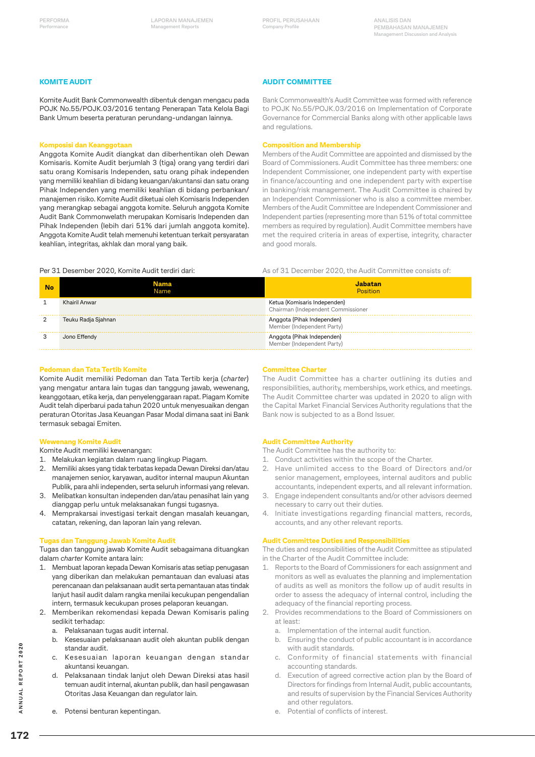#### **KOMITE AUDIT**

Komite Audit Bank Commonwealth dibentuk dengan mengacu pada POJK No.55/POJK.03/2016 tentang Penerapan Tata Kelola Bagi Bank Umum beserta peraturan perundang-undangan lainnya.

#### **Komposisi dan Keanggotaan**

Anggota Komite Audit diangkat dan diberhentikan oleh Dewan Komisaris. Komite Audit berjumlah 3 (tiga) orang yang terdiri dari satu orang Komisaris Independen, satu orang pihak independen yang memiliki keahlian di bidang keuangan/akuntansi dan satu orang Pihak Independen yang memiliki keahlian di bidang perbankan/ manajemen risiko. Komite Audit diketuai oleh Komisaris Independen yang merangkap sebagai anggota komite. Seluruh anggota Komite Audit Bank Commonwelath merupakan Komisaris Independen dan Pihak Independen (lebih dari 51% dari jumlah anggota komite). Anggota Komite Audit telah memenuhi ketentuan terkait persyaratan keahlian, integritas, akhlak dan moral yang baik.

#### **AUDIT COMMITTEE**

Bank Commonwealth's Audit Committee was formed with reference to POJK No.55/POJK.03/2016 on Implementation of Corporate Governance for Commercial Banks along with other applicable laws and regulations.

#### **Composition and Membership**

Members of the Audit Committee are appointed and dismissed by the Board of Commissioners. Audit Committee has three members: one Independent Commissioner, one independent party with expertise in finance/accounting and one independent party with expertise in banking/risk management. The Audit Committee is chaired by an Independent Commissioner who is also a committee member. Members of the Audit Committee are Independent Commissioner and Independent parties (representing more than 51% of total committee members as required by regulation). Audit Committee members have met the required criteria in areas of expertise, integrity, character and good morals.

As of 31 December 2020, the Audit Committee consists of:

#### Per 31 Desember 2020, Komite Audit terdiri dari:

| <b>No</b>      | Jama<br>Name        | Jabatan<br><b>Position</b>                                         |
|----------------|---------------------|--------------------------------------------------------------------|
| 1              | Khairil Anwar       | Ketua (Komisaris Independen)<br>Chairman (Independent Commissioner |
| $\overline{2}$ | Teuku Radja Sjahnan | Anggota (Pihak Independen)<br>Member (Independent Party)           |
| 3              | Jono Effendy        | Anggota (Pihak Independen)<br>Member (Independent Party)           |

#### **Pedoman dan Tata Tertib Komite**

Komite Audit memiliki Pedoman dan Tata Tertib kerja (*charter*) yang mengatur antara lain tugas dan tanggung jawab, wewenang, keanggotaan, etika kerja, dan penyelenggaraan rapat. Piagam Komite Audit telah diperbarui pada tahun 2020 untuk menyesuaikan dengan peraturan Otoritas Jasa Keuangan Pasar Modal dimana saat ini Bank termasuk sebagai Emiten.

#### **Wewenang Komite Audit**

#### Komite Audit memiliki kewenangan:

- 1. Melakukan kegiatan dalam ruang lingkup Piagam.
- 2. Memiliki akses yang tidak terbatas kepada Dewan Direksi dan/atau manajemen senior, karyawan, auditor internal maupun Akuntan Publik, para ahli independen, serta seluruh informasi yang relevan.
- 3. Melibatkan konsultan independen dan/atau penasihat lain yang dianggap perlu untuk melaksanakan fungsi tugasnya.
- 4. Memprakarsai investigasi terkait dengan masalah keuangan, catatan, rekening, dan laporan lain yang relevan.

#### **Tugas dan Tanggung Jawab Komite Audit**

Tugas dan tanggung jawab Komite Audit sebagaimana dituangkan dalam *charter* Komite antara lain:

- 1. Membuat laporan kepada Dewan Komisaris atas setiap penugasan yang diberikan dan melakukan pemantauan dan evaluasi atas perencanaan dan pelaksanaan audit serta pemantauan atas tindak lanjut hasil audit dalam rangka menilai kecukupan pengendalian intern, termasuk kecukupan proses pelaporan keuangan.
- 2. Memberikan rekomendasi kepada Dewan Komisaris paling sedikit terhadap:
	- a. Pelaksanaan tugas audit internal.
	- b. Kesesuaian pelaksanaan audit oleh akuntan publik dengan standar audit.
	- c. Kesesuaian laporan keuangan dengan standar akuntansi keuangan.
	- d. Pelaksanaan tindak lanjut oleh Dewan Direksi atas hasil temuan audit internal, akuntan publik, dan hasil pengawasan Otoritas Jasa Keuangan dan regulator lain.
	- e. Potensi benturan kepentingan.

#### **Committee Charter**

The Audit Committee has a charter outlining its duties and responsibilities, authority, memberships, work ethics, and meetings. The Audit Committee charter was updated in 2020 to align with the Capital Market Financial Services Authority regulations that the Bank now is subjected to as a Bond Issuer.

#### **Audit Committee Authority**

- The Audit Committee has the authority to:
- 1. Conduct activities within the scope of the Charter.
- 2. Have unlimited access to the Board of Directors and/or senior management, employees, internal auditors and public accountants, independent experts, and all relevant information.
- 3. Engage independent consultants and/or other advisors deemed necessary to carry out their duties.
- 4. Initiate investigations regarding financial matters, records, accounts, and any other relevant reports.

#### **Audit Committee Duties and Responsibilities**

The duties and responsibilities of the Audit Committee as stipulated in the Charter of the Audit Committee include:

- 1. Reports to the Board of Commissioners for each assignment and monitors as well as evaluates the planning and implementation of audits as well as monitors the follow up of audit results in order to assess the adequacy of internal control, including the adequacy of the financial reporting process.
- 2. Provides recommendations to the Board of Commissioners on at least:
	- a. Implementation of the internal audit function.
	- b. Ensuring the conduct of public accountant is in accordance with audit standards.
	- c. Conformity of financial statements with financial accounting standards.
	- Execution of agreed corrective action plan by the Board of Directors for findings from Internal Audit, public accountants, and results of supervision by the Financial Services Authority and other regulators.
	- e. Potential of conflicts of interest.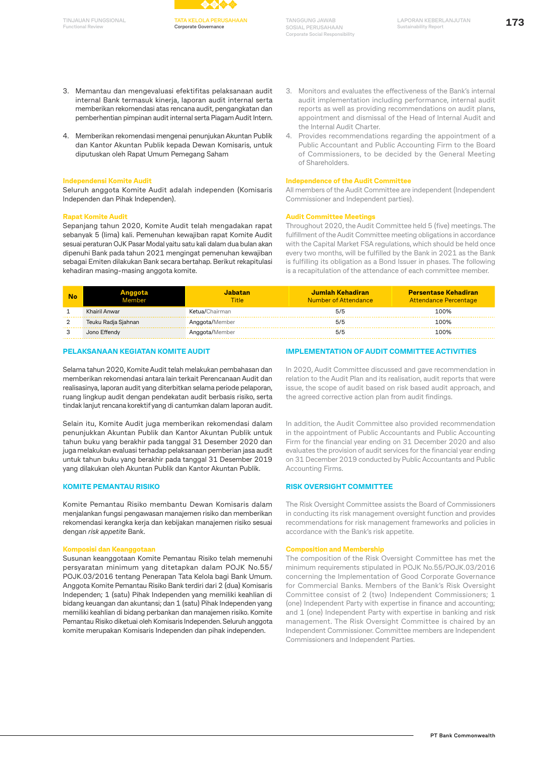**Functional Review**



**TANGGUNG JAWAB SOSIAL PERUSAHAAN Corporate Social Responsibility**

- 3. Memantau dan mengevaluasi efektifitas pelaksanaan audit internal Bank termasuk kinerja, laporan audit internal serta memberikan rekomendasi atas rencana audit, pengangkatan dan pemberhentian pimpinan audit internal serta Piagam Audit Intern.
- 4. Memberikan rekomendasi mengenai penunjukan Akuntan Publik dan Kantor Akuntan Publik kepada Dewan Komisaris, untuk diputuskan oleh Rapat Umum Pemegang Saham

#### **Independensi Komite Audit**

Seluruh anggota Komite Audit adalah independen (Komisaris Independen dan Pihak Independen).

#### **Rapat Komite Audit**

Sepanjang tahun 2020, Komite Audit telah mengadakan rapat sebanyak 5 (lima) kali. Pemenuhan kewajiban rapat Komite Audit sesuai peraturan OJK Pasar Modal yaitu satu kali dalam dua bulan akan dipenuhi Bank pada tahun 2021 mengingat pemenuhan kewajiban sebagai Emiten dilakukan Bank secara bertahap. Berikut rekapitulasi kehadiran masing-masing anggota komite.

- 3. Monitors and evaluates the effectiveness of the Bank's internal audit implementation including performance, internal audit reports as well as providing recommendations on audit plans, appointment and dismissal of the Head of Internal Audit and the Internal Audit Charter.
- Provides recommendations regarding the appointment of a Public Accountant and Public Accounting Firm to the Board of Commissioners, to be decided by the General Meeting of Shareholders.

#### **Independence of the Audit Committee**

All members of the Audit Committee are independent (Independent Commissioner and Independent parties).

#### **Audit Committee Meetings**

Throughout 2020, the Audit Committee held 5 (five) meetings. The fulfillment of the Audit Committee meeting obligations in accordance with the Capital Market FSA regulations, which should be held once every two months, will be fulfilled by the Bank in 2021 as the Bank is fulfilling its obligation as a Bond Issuer in phases. The following is a recapitulation of the attendance of each committee member.

| No |                     | Jabatan<br>Title | Jumlah Kehadiran<br>Number of Attendance | <b>Persentase Kehadiran</b><br>Attendance Percentage |
|----|---------------------|------------------|------------------------------------------|------------------------------------------------------|
|    | Khairil Anwar       | Ketua/Chairman   | 5/5                                      | 100%                                                 |
|    | Teuku Radja Sjahnan | Anggota/Member   | 5/5                                      | 100%                                                 |
|    | Jono Effendy        | Anggota/Member   | 5/5                                      | 100%                                                 |

#### **PELAKSANAAN KEGIATAN KOMITE AUDIT**

Selama tahun 2020, Komite Audit telah melakukan pembahasan dan memberikan rekomendasi antara lain terkait Perencanaan Audit dan realisasinya, laporan audit yang diterbitkan selama periode pelaporan, ruang lingkup audit dengan pendekatan audit berbasis risiko, serta tindak lanjut rencana korektif yang di cantumkan dalam laporan audit.

Selain itu, Komite Audit juga memberikan rekomendasi dalam penunjukkan Akuntan Publik dan Kantor Akuntan Publik untuk tahun buku yang berakhir pada tanggal 31 Desember 2020 dan juga melakukan evaluasi terhadap pelaksanaan pemberian jasa audit untuk tahun buku yang berakhir pada tanggal 31 Desember 2019 yang dilakukan oleh Akuntan Publik dan Kantor Akuntan Publik.

#### **KOMITE PEMANTAU RISIKO**

Komite Pemantau Risiko membantu Dewan Komisaris dalam menjalankan fungsi pengawasan manajemen risiko dan memberikan rekomendasi kerangka kerja dan kebijakan manajemen risiko sesuai dengan *risk appetite* Bank.

#### **Komposisi dan Keanggotaan**

Susunan keanggotaan Komite Pemantau Risiko telah memenuhi persyaratan minimum yang ditetapkan dalam POJK No.55/ POJK.03/2016 tentang Penerapan Tata Kelola bagi Bank Umum. Anggota Komite Pemantau Risiko Bank terdiri dari 2 (dua) Komisaris Independen; 1 (satu) Pihak Independen yang memiliki keahlian di bidang keuangan dan akuntansi; dan 1 (satu) Pihak Independen yang memiliki keahlian di bidang perbankan dan manajemen risiko. Komite Pemantau Risiko diketuai oleh Komisaris Independen. Seluruh anggota komite merupakan Komisaris Independen dan pihak independen.

#### **IMPLEMENTATION OF AUDIT COMMITTEE ACTIVITIES**

In 2020, Audit Committee discussed and gave recommendation in relation to the Audit Plan and its realisation, audit reports that were issue, the scope of audit based on risk based audit approach, and the agreed corrective action plan from audit findings.

In addition, the Audit Committee also provided recommendation in the appointment of Public Accountants and Public Accounting Firm for the financial year ending on 31 December 2020 and also evaluates the provision of audit services for the financial year ending on 31 December 2019 conducted by Public Accountants and Public Accounting Firms.

#### **RISK OVERSIGHT COMMITTEE**

The Risk Oversight Committee assists the Board of Commissioners in conducting its risk management oversight function and provides recommendations for risk management frameworks and policies in accordance with the Bank's risk appetite.

#### **Composition and Membership**

The composition of the Risk Oversight Committee has met the minimum requirements stipulated in POJK No.55/POJK.03/2016 concerning the Implementation of Good Corporate Governance for Commercial Banks. Members of the Bank's Risk Oversight Committee consist of 2 (two) Independent Commissioners; 1 (one) Independent Party with expertise in finance and accounting; and 1 (one) Independent Party with expertise in banking and risk management. The Risk Oversight Committee is chaired by an Independent Commissioner. Committee members are Independent Commissioners and Independent Parties.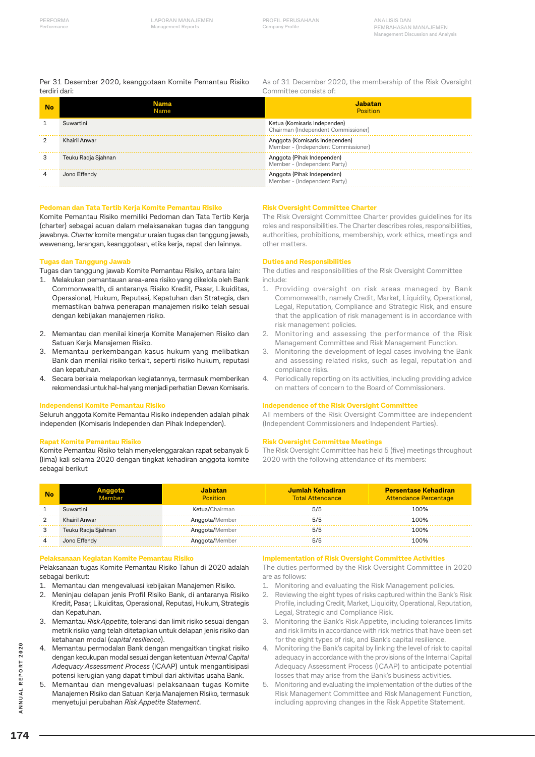#### Per 31 Desember 2020, keanggotaan Komite Pemantau Risiko terdiri dari:

As of 31 December 2020, the membership of the Risk Oversight Committee consists of:

| No | Nama<br>Name        | Jahatan<br><b>Position</b>                                            |
|----|---------------------|-----------------------------------------------------------------------|
|    | Suwartini           | Ketua (Komisaris Independen)<br>Chairman (Independent Commissioner)   |
|    | Khairil Anwar       | Anggota (Komisaris Independen)<br>Member - (Independent Commissioner) |
| З  | Teuku Radja Sjahnan | Anggota (Pihak Independen)<br>Member - (Independent Party)            |
|    | Jono Effendy        | Anggota (Pihak Independen)<br>Member - (Independent Party)            |

#### **Pedoman dan Tata Tertib Kerja Komite Pemantau Risiko**

Komite Pemantau Risiko memiliki Pedoman dan Tata Tertib Kerja (charter) sebagai acuan dalam melaksanakan tugas dan tanggung jawabnya. *Charter* komite mengatur uraian tugas dan tanggung jawab, wewenang, larangan, keanggotaan, etika kerja, rapat dan lainnya.

#### **Tugas dan Tanggung Jawab**

Tugas dan tanggung jawab Komite Pemantau Risiko, antara lain:

- 1. Melakukan pemantauan area-area risiko yang dikelola oleh Bank Commonwealth, di antaranya Risiko Kredit, Pasar, Likuiditas, Operasional, Hukum, Reputasi, Kepatuhan dan Strategis, dan memastikan bahwa penerapan manajemen risiko telah sesuai dengan kebijakan manajemen risiko.
- 2. Memantau dan menilai kinerja Komite Manajemen Risiko dan Satuan Kerja Manajemen Risiko.
- 3. Memantau perkembangan kasus hukum yang melibatkan Bank dan menilai risiko terkait, seperti risiko hukum, reputasi dan kepatuhan.
- 4. Secara berkala melaporkan kegiatannya, termasuk memberikan rekomendasi untuk hal-hal yang menjadi perhatian Dewan Komisaris.

#### **Independensi Komite Pemantau Risiko**

Seluruh anggota Komite Pemantau Risiko independen adalah pihak independen (Komisaris Independen dan Pihak Independen).

#### **Rapat Komite Pemantau Risiko**

Komite Pemantau Risiko telah menyelenggarakan rapat sebanyak 5 (lima) kali selama 2020 dengan tingkat kehadiran anggota komite sebagai berikut

#### **Risk Oversight Committee Charter**

The Risk Oversight Committee Charter provides guidelines for its roles and responsibilities. The Charter describes roles, responsibilities, authorities, prohibitions, membership, work ethics, meetings and other matters.

#### **Duties and Responsibilities**

The duties and responsibilities of the Risk Oversight Committee include:

- 1. Providing oversight on risk areas managed by Bank Commonwealth, namely Credit, Market, Liquidity, Operational, Legal, Reputation, Compliance and Strategic Risk, and ensure that the application of risk management is in accordance with risk management policies.
- 2. Monitoring and assessing the performance of the Risk Management Committee and Risk Management Function.
- 3. Monitoring the development of legal cases involving the Bank and assessing related risks, such as legal, reputation and compliance risks.
- 4. Periodically reporting on its activities, including providing advice on matters of concern to the Board of Commissioners.

#### **Independence of the Risk Oversight Committee**

All members of the Risk Oversight Committee are independent (Independent Commissioners and Independent Parties).

#### **Risk Oversight Committee Meetings**

The Risk Oversight Committee has held 5 (five) meetings throughout 2020 with the following attendance of its members:

| No |                     | abatan<br><b>Position</b> | Jumlah Kehadiran<br><b>Total Attendance</b> | <b>Persentase Kehadiran</b><br>Attendance Percentage |
|----|---------------------|---------------------------|---------------------------------------------|------------------------------------------------------|
|    | Suwartini           | Ketua/Chairman            | 5/5                                         | 100%                                                 |
|    | Khairil Anwar       | Anggota/Member            | 5/5                                         | 100%                                                 |
|    | Teuku Radja Sjahnan | Anggota/Member            | 5/5                                         | 100%                                                 |
|    | Jono Effendy        | Anggota/Member            | 5/5                                         | 100%                                                 |

#### **Pelaksanaan Kegiatan Komite Pemantau Risiko**

Pelaksanaan tugas Komite Pemantau Risiko Tahun di 2020 adalah sebagai berikut:

- 1. Memantau dan mengevaluasi kebijakan Manajemen Risiko.
- 2. Meninjau delapan jenis Profil Risiko Bank, di antaranya Risiko Kredit, Pasar, Likuiditas, Operasional, Reputasi, Hukum, Strategis dan Kepatuhan.
- 3. Memantau *Risk Appetite*, toleransi dan limit risiko sesuai dengan metrik risiko yang telah ditetapkan untuk delapan jenis risiko dan ketahanan modal (*capital resilience*).
- 4. Memantau permodalan Bank dengan mengaitkan tingkat risiko dengan kecukupan modal sesuai dengan ketentuan *Internal Capital Adequacy Assessment Process* (ICAAP) untuk mengantisipasi potensi kerugian yang dapat timbul dari aktivitas usaha Bank.
- 5. Memantau dan mengevaluasi pelaksanaan tugas Komite Manajemen Risiko dan Satuan Kerja Manajemen Risiko, termasuk menyetujui perubahan *Risk Appetite Statement*.

#### **Implementation of Risk Oversight Committee Activities**

The duties performed by the Risk Oversight Committee in 2020 are as follows:

- 1. Monitoring and evaluating the Risk Management policies.
- 2. Reviewing the eight types of risks captured within the Bank's Risk Profile, including Credit, Market, Liquidity, Operational, Reputation, Legal, Strategic and Compliance Risk.
- 3. Monitoring the Bank's Risk Appetite, including tolerances limits and risk limits in accordance with risk metrics that have been set for the eight types of risk, and Bank's capital resilience.
- 4. Monitoring the Bank's capital by linking the level of risk to capital adequacy in accordance with the provisions of the Internal Capital Adequacy Assessment Process (ICAAP) to anticipate potential losses that may arise from the Bank's business activities.
- 5. Monitoring and evaluating the implementation of the duties of the Risk Management Committee and Risk Management Function, including approving changes in the Risk Appetite Statement.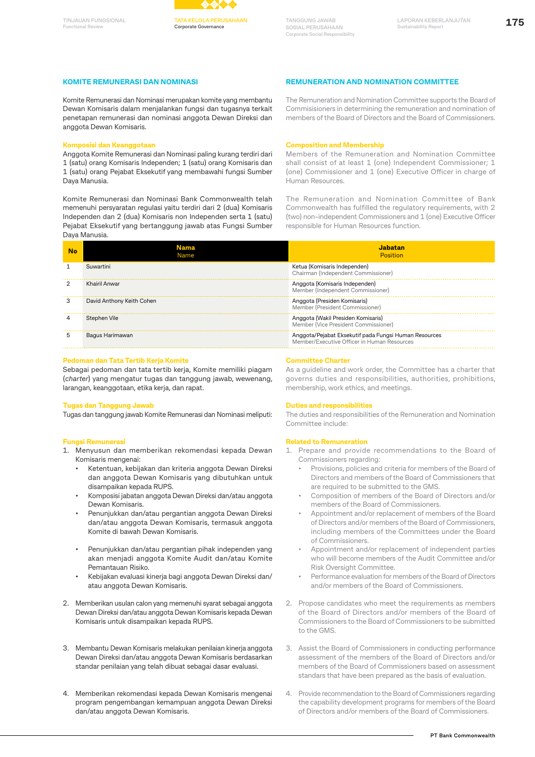# **Functional Review**



**TANGGUNG JAWAB SOSIAL PERUSAHAAN Corporate Social Responsibility**

#### **KOMITE REMUNERASI DAN NOMINASI**

Komite Remunerasi dan Nominasi merupakan komite yang membantu Dewan Komisaris dalam menjalankan fungsi dan tugasnya terkait penetapan remunerasi dan nominasi anggota Dewan Direksi dan anggota Dewan Komisaris.

#### **Komposisi dan Keanggotaan**

Anggota Komite Remunerasi dan Nominasi paling kurang terdiri dari 1 (satu) orang Komisaris Independen; 1 (satu) orang Komisaris dan 1 (satu) orang Pejabat Eksekutif yang membawahi fungsi Sumber Daya Manusia.

Komite Remunerasi dan Nominasi Bank Commonwealth telah memenuhi persyaratan regulasi yaitu terdiri dari 2 (dua) Komisaris Independen dan 2 (dua) Komisaris non Independen serta 1 (satu) Pejabat Eksekutif yang bertanggung jawab atas Fungsi Sumber Daya Manusia.

| REMUNERATION AND NOMINATION COMMITTEI |  |  |
|---------------------------------------|--|--|
|                                       |  |  |

The Remuneration and Nomination Committee supports the Board of Commisisioners in determining the remuneration and nomination of members of the Board of Directors and the Board of Commissioners.

#### **Composition and Membership**

Members of the Remuneration and Nomination Committee shall consist of at least 1 (one) Independent Commissioner; 1 (one) Commissioner and 1 (one) Executive Officer in charge of Human Resources.

The Remuneration and Nomination Committee of Bank Commonwealth has fulfilled the regulatory requirements, with 2 (two) non-independent Commissioners and 1 (one) Executive Officer

| No | Nama<br>Name              | Jabatan<br>Position                                                                                  |
|----|---------------------------|------------------------------------------------------------------------------------------------------|
|    | Suwartini                 | Ketua (Komisaris Independen)<br>Chairman (Independent Commissioner)                                  |
|    | Khairil Anwar             | Anggota (Komisaris Independen)<br>Member (Independent Commissioner)                                  |
| 3  | David Anthony Keith Cohen | Anggota (Presiden Komisaris)<br>Member (President Commissioner)                                      |
|    | Stephen Vile              | Anggota (Wakil Presiden Komisaris)<br>Member (Vice President Commissioner)                           |
|    | Bagus Harimawan           | Anggota/Pejabat Eksekutif pada Fungsi Human Resources<br>Member/Executive Officer in Human Resources |

#### **Pedoman dan Tata Tertib Kerja Komite**

Sebagai pedoman dan tata tertib kerja, Komite memiliki piagam (*charter*) yang mengatur tugas dan tanggung jawab, wewenang, larangan, keanggotaan, etika kerja, dan rapat.

#### **Tugas dan Tanggung Jawab**

Tugas dan tanggung jawab Komite Remunerasi dan Nominasi meliputi:

#### **Fungsi Remunerasi**

- 1. Menyusun dan memberikan rekomendasi kepada Dewan Komisaris mengenai:
	- Ketentuan, kebijakan dan kriteria anggota Dewan Direksi dan anggota Dewan Komisaris yang dibutuhkan untuk disampaikan kepada RUPS.
	- Komposisi jabatan anggota Dewan Direksi dan/atau anggota Dewan Komisaris.
	- Penunjukkan dan/atau pergantian anggota Dewan Direksi dan/atau anggota Dewan Komisaris, termasuk anggota Komite di bawah Dewan Komisaris.
	- Penunjukkan dan/atau pergantian pihak independen yang akan menjadi anggota Komite Audit dan/atau Komite Pemantauan Risiko.
	- Kebijakan evaluasi kinerja bagi anggota Dewan Direksi dan/ atau anggota Dewan Komisaris.
- 2. Memberikan usulan calon yang memenuhi syarat sebagai anggota Dewan Direksi dan/atau anggota Dewan Komisaris kepada Dewan Komisaris untuk disampaikan kepada RUPS.
- 3. Membantu Dewan Komisaris melakukan penilaian kinerja anggota Dewan Direksi dan/atau anggota Dewan Komisaris berdasarkan standar penilaian yang telah dibuat sebagai dasar evaluasi.
- 4. Memberikan rekomendasi kepada Dewan Komisaris mengenai program pengembangan kemampuan anggota Dewan Direksi dan/atau anggota Dewan Komisaris.

# responsible for Human Resources function.

| Ketua (Komisaris Independen)<br>Chairman (Independent Commissioner)                                  |
|------------------------------------------------------------------------------------------------------|
| Anggota (Komisaris Independen)<br>Member (Independent Commissioner)                                  |
| Anggota (Presiden Komisaris)<br>Member (President Commissioner)                                      |
| Anggota (Wakil Presiden Komisaris)<br>Member (Vice President Commissioner)                           |
| Anggota/Pejabat Eksekutif pada Fungsi Human Resources<br>Member/Executive Officer in Human Resources |
|                                                                                                      |

#### **Committee Charter**

As a guideline and work order, the Committee has a charter that governs duties and responsibilities, authorities, prohibitions, membership, work ethics, and meetings.

#### **Duties and responsibilities**

The duties and responsibilities of the Remuneration and Nomination Committee include:

#### **Related to Remuneration**

1. Prepare and provide recommendations to the Board of Commissioners regarding:

- Provisions, policies and criteria for members of the Board of Directors and members of the Board of Commissioners that are required to be submitted to the GMS.
- Composition of members of the Board of Directors and/or members of the Board of Commissioners.
- Appointment and/or replacement of members of the Board of Directors and/or members of the Board of Commissioners, including members of the Committees under the Board of Commissioners.
- Appointment and/or replacement of independent parties who will become members of the Audit Committee and/or Risk Oversight Committee.
- Performance evaluation for members of the Board of Directors and/or members of the Board of Commissioners.
- 2. Propose candidates who meet the requirements as members of the Board of Directors and/or members of the Board of Commissioners to the Board of Commissioners to be submitted to the GMS.
- 3. Assist the Board of Commissioners in conducting performance assessment of the members of the Board of Directors and/or members of the Board of Commissioners based on assessment standars that have been prepared as the basis of evaluation.
- 4. Provide recommendation to the Board of Commissioners regarding the capability development programs for members of the Board of Directors and/or members of the Board of Commissioners.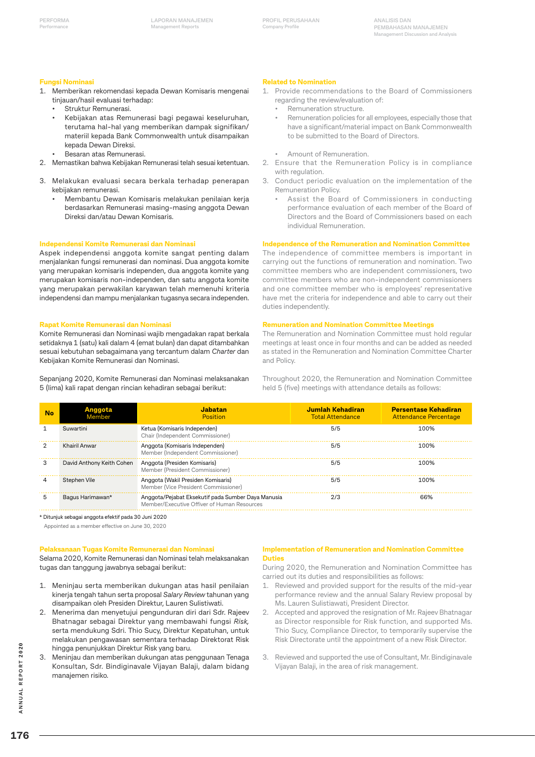**LAPORAN MANAJEMEN Management Reports**

**ANALISIS DAN PEMBAHASAN MANAJEMEN Management Discussion and Analysis**

#### **Fungsi Nominasi**

- 1. Memberikan rekomendasi kepada Dewan Komisaris mengenai tinjauan/hasil evaluasi terhadap:
	- Struktur Remunerasi.
	- Kebijakan atas Remunerasi bagi pegawai keseluruhan, terutama hal-hal yang memberikan dampak signifikan/ materiil kepada Bank Commonwealth untuk disampaikan kepada Dewan Direksi.
	- Besaran atas Remunerasi.
- 2. Memastikan bahwa Kebijakan Remunerasi telah sesuai ketentuan.
- 3. Melakukan evaluasi secara berkala terhadap penerapan kebijakan remunerasi.
	- Membantu Dewan Komisaris melakukan penilaian kerja berdasarkan Remunerasi masing-masing anggota Dewan Direksi dan/atau Dewan Komisaris.

#### **Independensi Komite Remunerasi dan Nominasi**

Aspek independensi anggota komite sangat penting dalam menjalankan fungsi remunerasi dan nominasi. Dua anggota komite yang merupakan komisaris independen, dua anggota komite yang merupakan komisaris non-independen, dan satu anggota komite yang merupakan perwakilan karyawan telah memenuhi kriteria independensi dan mampu menjalankan tugasnya secara independen.

#### **Rapat Komite Remunerasi dan Nominasi**

Komite Remunerasi dan Nominasi wajib mengadakan rapat berkala setidaknya 1 (satu) kali dalam 4 (emat bulan) dan dapat ditambahkan sesuai kebutuhan sebagaimana yang tercantum dalam *Charter* dan Kebijakan Komite Remunerasi dan Nominasi.

Sepanjang 2020, Komite Remunerasi dan Nominasi melaksanakan 5 (lima) kali rapat dengan rincian kehadiran sebagai berikut:

#### **Related to Nomination**

- 1. Provide recommendations to the Board of Commissioners regarding the review/evaluation of:
	- Remuneration structure.
	- Remuneration policies for all employees, especially those that have a significant/material impact on Bank Commonwealth to be submitted to the Board of Directors.
	- Amount of Remuneration.
- 2. Ensure that the Remuneration Policy is in compliance with regulation.
- 3. Conduct periodic evaluation on the implementation of the Remuneration Policy.
	- Assist the Board of Commissioners in conducting performance evaluation of each member of the Board of Directors and the Board of Commissioners based on each individual Remuneration.

#### **Independence of the Remuneration and Nomination Committee**

The independence of committee members is important in carrying out the functions of remuneration and nomination. Two committee members who are independent commissioners, two committee members who are non-independent commissioners and one committee member who is employees' representative have met the criteria for independence and able to carry out their duties independently.

#### **Remuneration and Nomination Committee Meetings**

The Remuneration and Nomination Committee must hold regular meetings at least once in four months and can be added as needed as stated in the Remuneration and Nomination Committee Charter and Policy.

Throughout 2020, the Remuneration and Nomination Committee held 5 (five) meetings with attendance details as follows:

| No | Anggota<br>Member         | Jabatan<br>Position                                                                               | Jumlah Kehadiran<br><b>Total Attendance</b> | <b>Persentase Kehadiran</b><br><b>Attendance Percentage</b> |  |
|----|---------------------------|---------------------------------------------------------------------------------------------------|---------------------------------------------|-------------------------------------------------------------|--|
|    | Suwartini                 | Ketua (Komisaris Independen)<br>Chair (Independent Commissioner)                                  | 5/5                                         | 100%                                                        |  |
|    | Khairil Anwar             | Anggota (Komisaris Independen)<br>5/5<br>Member (Independent Commissioner)                        |                                             | 100%                                                        |  |
| 3  | David Anthony Keith Cohen | Anggota (Presiden Komisaris)<br>Member (President Commissioner)                                   | 5/5                                         | 100%                                                        |  |
|    | Stephen Vile              | Anggota (Wakil Presiden Komisaris)<br>Member (Vice President Commissioner)                        | 5/5                                         | 100%                                                        |  |
| 5  | Bagus Harimawan*          | Anggota/Pejabat Eksekutif pada Sumber Daya Manusia<br>Member/Executive Offiver of Human Resources | 2/3                                         | 66%                                                         |  |

\* Ditunjuk sebagai anggota efektif pada 30 Juni 2020

Appointed as a member effective on June 30, 2020

#### **Pelaksanaan Tugas Komite Remunerasi dan Nominasi**

Selama 2020, Komite Remunerasi dan Nominasi telah melaksanakan tugas dan tanggung jawabnya sebagai berikut:

- 1. Meninjau serta memberikan dukungan atas hasil penilaian kinerja tengah tahun serta proposal *Salary Review* tahunan yang disampaikan oleh Presiden Direktur, Lauren Sulistiwati.
- 2. Menerima dan menyetujui pengunduran diri dari Sdr. Rajeev Bhatnagar sebagai Direktur yang membawahi fungsi *Risk,*  serta mendukung Sdri. Thio Sucy, Direktur Kepatuhan, untuk melakukan pengawasan sementara terhadap Direktorat Risk hingga penunjukkan Direktur Risk yang baru.
- 3. Meninjau dan memberikan dukungan atas penggunaan Tenaga Konsultan, Sdr. Bindiginavale Vijayan Balaji, dalam bidang manajemen risiko*.*

#### **Implementation of Remuneration and Nomination Committee Duties**

During 2020, the Remuneration and Nomination Committee has carried out its duties and responsibilities as follows:

- 1. Reviewed and provided support for the results of the mid-year performance review and the annual Salary Review proposal by Ms. Lauren Sulistiawati, President Director.
- 2. Accepted and approved the resignation of Mr. Rajeev Bhatnagar as Director responsible for Risk function, and supported Ms. Thio Sucy, Compliance Director, to temporarily supervise the Risk Directorate until the appointment of a new Risk Director.
- 3. Reviewed and supported the use of Consultant, Mr. Bindiginavale Vijayan Balaji, in the area of risk management.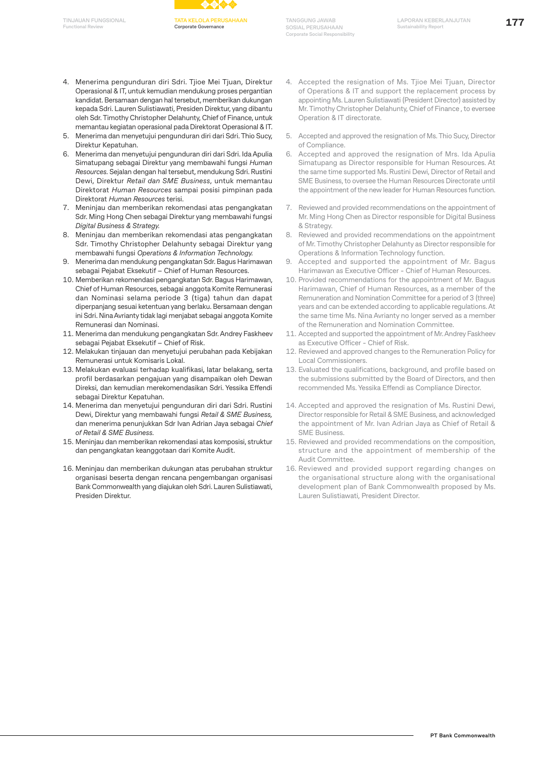

- 4. Menerima pengunduran diri Sdri. Tjioe Mei Tjuan, Direktur Operasional & IT, untuk kemudian mendukung proses pergantian kandidat. Bersamaan dengan hal tersebut, memberikan dukungan kepada Sdri. Lauren Sulistiawati, Presiden Direktur, yang dibantu oleh Sdr. Timothy Christopher Delahunty, Chief of Finance, untuk memantau kegiatan operasional pada Direktorat Operasional & IT.
- 5. Menerima dan menyetujui pengunduran diri dari Sdri. Thio Sucy, Direktur Kepatuhan.
- 6. Menerima dan menyetujui pengunduran diri dari Sdri. Ida Apulia Simatupang sebagai Direktur yang membawahi fungsi *Human Resources.* Sejalan dengan hal tersebut, mendukung Sdri. Rustini Dewi, Direktur *Retail dan SME Business*, untuk memantau Direktorat *Human Resources* sampai posisi pimpinan pada Direktorat *Human Resources* terisi.
- 7. Meninjau dan memberikan rekomendasi atas pengangkatan Sdr. Ming Hong Chen sebagai Direktur yang membawahi fungsi *Digital Business & Strategy.*
- 8. Meninjau dan memberikan rekomendasi atas pengangkatan Sdr. Timothy Christopher Delahunty sebagai Direktur yang membawahi fungsi *Operations & Information Technology.*
- 9. Menerima dan mendukung pengangkatan Sdr. Bagus Harimawan sebagai Pejabat Eksekutif – Chief of Human Resources.
- 10. Memberikan rekomendasi pengangkatan Sdr. Bagus Harimawan, Chief of Human Resources, sebagai anggota Komite Remunerasi dan Nominasi selama periode 3 (tiga) tahun dan dapat diperpanjang sesuai ketentuan yang berlaku. Bersamaan dengan ini Sdri. Nina Avrianty tidak lagi menjabat sebagai anggota Komite Remunerasi dan Nominasi.
- 11. Menerima dan mendukung pengangkatan Sdr. Andrey Faskheev sebagai Pejabat Eksekutif – Chief of Risk.
- 12. Melakukan tinjauan dan menyetujui perubahan pada Kebijakan Remunerasi untuk Komisaris Lokal.
- 13. Melakukan evaluasi terhadap kualifikasi, latar belakang, serta profil berdasarkan pengajuan yang disampaikan oleh Dewan Direksi, dan kemudian merekomendasikan Sdri. Yessika Effendi sebagai Direktur Kepatuhan.
- 14. Menerima dan menyetujui pengunduran diri dari Sdri. Rustini Dewi, Direktur yang membawahi fungsi *Retail & SME Business,*  dan menerima penunjukkan Sdr Ivan Adrian Jaya sebagai *Chief of Retail & SME Business.*
- 15. Meninjau dan memberikan rekomendasi atas komposisi, struktur dan pengangkatan keanggotaan dari Komite Audit.
- 16. Meninjau dan memberikan dukungan atas perubahan struktur organisasi beserta dengan rencana pengembangan organisasi Bank Commonwealth yang diajukan oleh Sdri. Lauren Sulistiawati, Presiden Direktur.
- 4. Accepted the resignation of Ms. Tjioe Mei Tjuan, Director of Operations & IT and support the replacement process by appointing Ms. Lauren Sulistiawati (President Director) assisted by Mr. Timothy Christopher Delahunty, Chief of Finance , to eversee Operation & IT directorate.
- 5. Accepted and approved the resignation of Ms. Thio Sucy, Director of Compliance.
- 6. Accepted and approved the resignation of Mrs. Ida Apulia Simatupang as Director responsible for Human Resources. At the same time supported Ms. Rustini Dewi, Director of Retail and SME Business, to oversee the Human Resources Directorate until the appointment of the new leader for Human Resources function.
- 7. Reviewed and provided recommendations on the appointment of Mr. Ming Hong Chen as Director responsible for Digital Business & Strategy.
- 8. Reviewed and provided recommendations on the appointment of Mr. Timothy Christopher Delahunty as Director responsible for Operations & Information Technology function.
- 9. Accepted and supported the appointment of Mr. Bagus Harimawan as Executive Officer - Chief of Human Resources.
- 10. Provided recommendations for the appointment of Mr. Bagus Harimawan, Chief of Human Resources, as a member of the Remuneration and Nomination Committee for a period of 3 (three) years and can be extended according to applicable regulations. At the same time Ms. Nina Avrianty no longer served as a member of the Remuneration and Nomination Committee.
- 11. Accepted and supported the appointment of Mr. Andrey Faskheev as Executive Officer - Chief of Risk.
- 12. Reviewed and approved changes to the Remuneration Policy for Local Commissioners.
- 13. Evaluated the qualifications, background, and profile based on the submissions submitted by the Board of Directors, and then recommended Ms. Yessika Effendi as Compliance Director.
- 14. Accepted and approved the resignation of Ms. Rustini Dewi, Director responsible for Retail & SME Business, and acknowledged the appointment of Mr. Ivan Adrian Jaya as Chief of Retail & SME Business.
- 15. Reviewed and provided recommendations on the composition, structure and the appointment of membership of the Audit Committee.
- 16. Reviewed and provided support regarding changes on the organisational structure along with the organisational development plan of Bank Commonwealth proposed by Ms. Lauren Sulistiawati, President Director.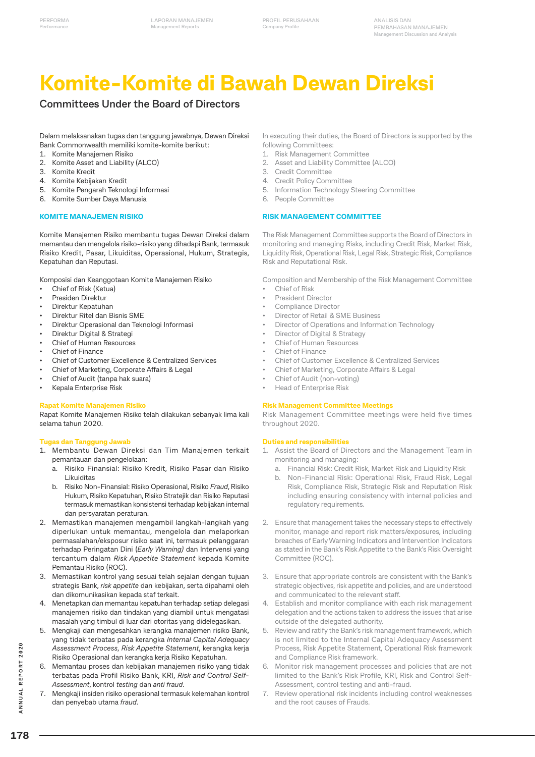# **Komite-Komite di Bawah Dewan Direksi**

# **Committees Under the Board of Directors**

Dalam melaksanakan tugas dan tanggung jawabnya, Dewan Direksi Bank Commonwealth memiliki komite-komite berikut:

- 1. Komite Manajemen Risiko
- 2. Komite Asset and Liability (ALCO)
- 3. Komite Kredit
- 4. Komite Kebijakan Kredit
- 5. Komite Pengarah Teknologi Informasi
- 6. Komite Sumber Daya Manusia

#### **KOMITE MANAJEMEN RISIKO**

Komite Manajemen Risiko membantu tugas Dewan Direksi dalam memantau dan mengelola risiko-risiko yang dihadapi Bank, termasuk Risiko Kredit, Pasar, Likuiditas, Operasional, Hukum, Strategis, Kepatuhan dan Reputasi.

Komposisi dan Keanggotaan Komite Manajemen Risiko

- Chief of Risk (Ketua)
- Presiden Direktur
- Direktur Kepatuhan
- Direktur Ritel dan Bisnis SME
- Direktur Operasional dan Teknologi Informasi
- Direktur Digital & Strategi
- Chief of Human Resources
- Chief of Finance
- Chief of Customer Excellence & Centralized Services
- Chief of Marketing, Corporate Affairs & Legal
- Chief of Audit (tanpa hak suara)
- Kepala Enterprise Risk

#### **Rapat Komite Manajemen Risiko**

Rapat Komite Manajemen Risiko telah dilakukan sebanyak lima kali selama tahun 2020.

#### **Tugas dan Tanggung Jawab**

- 1. Membantu Dewan Direksi dan Tim Manajemen terkait pemantauan dan pengelolaan:
	- a. Risiko Finansial: Risiko Kredit, Risiko Pasar dan Risiko Likuiditas
	- b. Risiko Non-Finansial: Risiko Operasional, Risiko *Fraud*, Risiko Hukum, Risiko Kepatuhan, Risiko Stratejik dan Risiko Reputasi termasuk memastikan konsistensi terhadap kebijakan internal dan persyaratan peraturan.
- 2. Memastikan manajemen mengambil langkah-langkah yang diperlukan untuk memantau, mengelola dan melaporkan permasalahan/eksposur risiko saat ini, termasuk pelanggaran terhadap Peringatan Dini (*Early Warning)* dan Intervensi yang tercantum dalam *Risk Appetite Statement* kepada Komite Pemantau Risiko (ROC).
- 3. Memastikan kontrol yang sesuai telah sejalan dengan tujuan strategis Bank, *risk appetite* dan kebijakan, serta dipahami oleh dan dikomunikasikan kepada staf terkait.
- 4. Menetapkan dan memantau kepatuhan terhadap setiap delegasi manajemen risiko dan tindakan yang diambil untuk mengatasi masalah yang timbul di luar dari otoritas yang didelegasikan.
- 5. Mengkaji dan mengesahkan kerangka manajemen risiko Bank, yang tidak terbatas pada kerangka *Internal Capital Adequacy Assessment Process*, *Risk Appetite Statement*, kerangka kerja Risiko Operasional dan kerangka kerja Risiko Kepatuhan.
- 6. Memantau proses dan kebijakan manajemen risiko yang tidak terbatas pada Profil Risiko Bank, KRI, *Risk and Control Self-Assessment*, kontrol *testing* dan *anti fraud*.
- 7. Mengkaji insiden risiko operasional termasuk kelemahan kontrol dan penyebab utama *fraud*.

In executing their duties, the Board of Directors is supported by the following Committees:

- 1. Risk Management Committee
- 2. Asset and Liability Committee (ALCO)
- 3. Credit Committee
- 4. Credit Policy Committee
- 5. Information Technology Steering Committee
- 6. People Committee

#### **RISK MANAGEMENT COMMITTEE**

The Risk Management Committee supports the Board of Directors in monitoring and managing Risks, including Credit Risk, Market Risk, Liquidity Risk, Operational Risk, Legal Risk, Strategic Risk, Compliance Risk and Reputational Risk.

Composition and Membership of the Risk Management Committee

- Chief of Risk
- President Director
- Compliance Director
- Director of Retail & SME Business
- Director of Operations and Information Technology
- Director of Digital & Strategy
- Chief of Human Resources
- Chief of Finance
- Chief of Customer Excellence & Centralized Services
- Chief of Marketing, Corporate Affairs & Legal
- Chief of Audit (non-voting)
- Head of Enterprise Risk

#### **Risk Management Committee Meetings**

Risk Management Committee meetings were held five times throughout 2020.

#### **Duties and responsibilities**

- 1. Assist the Board of Directors and the Management Team in monitoring and managing:
	- a. Financial Risk: Credit Risk, Market Risk and Liquidity Risk
	- b. Non-Financial Risk: Operational Risk, Fraud Risk, Legal Risk, Compliance Risk, Strategic Risk and Reputation Risk including ensuring consistency with internal policies and regulatory requirements.
- 2. Ensure that management takes the necessary steps to effectively monitor, manage and report risk matters/exposures, including breaches of Early Warning Indicators and Intervention Indicators as stated in the Bank's Risk Appetite to the Bank's Risk Oversight Committee (ROC).
- 3. Ensure that appropriate controls are consistent with the Bank's strategic objectives, risk appetite and policies, and are understood and communicated to the relevant staff.
- 4. Establish and monitor compliance with each risk management delegation and the actions taken to address the issues that arise outside of the delegated authority.
- 5. Review and ratify the Bank's risk management framework, which is not limited to the Internal Capital Adequacy Assessment Process, Risk Appetite Statement, Operational Risk framework and Compliance Risk framework.
- 6. Monitor risk management processes and policies that are not limited to the Bank's Risk Profile, KRI, Risk and Control Self-Assessment, control testing and anti-fraud.
- 7. Review operational risk incidents including control weaknesses and the root causes of Frauds.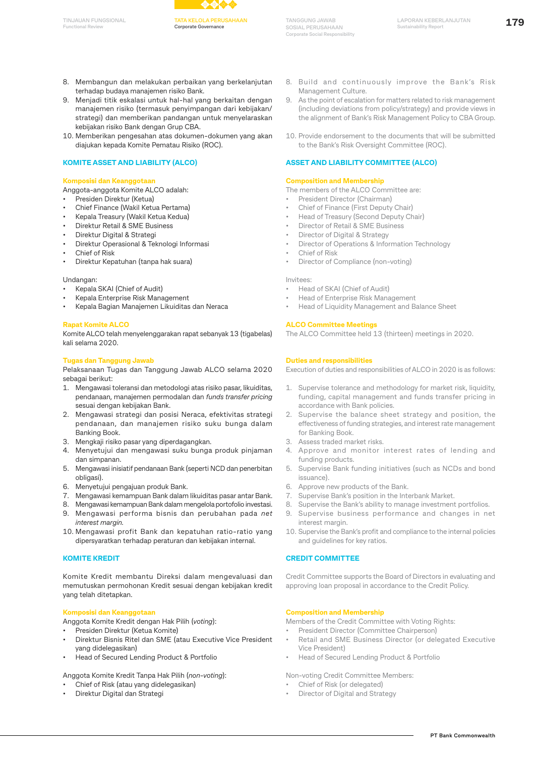

- 8. Membangun dan melakukan perbaikan yang berkelanjutan terhadap budaya manajemen risiko Bank.
- 9. Menjadi titik eskalasi untuk hal-hal yang berkaitan dengan manajemen risiko (termasuk penyimpangan dari kebijakan/ strategi) dan memberikan pandangan untuk menyelaraskan kebijakan risiko Bank dengan Grup CBA.
- 10. Memberikan pengesahan atas dokumen-dokumen yang akan diajukan kepada Komite Pematau Risiko (ROC).

#### **KOMITE ASSET AND LIABILITY (ALCO)**

#### **Komposisi dan Keanggotaan**

- Anggota-anggota Komite ALCO adalah:
- Presiden Direktur (Ketua)
- Chief Finance (Wakil Ketua Pertama)
- Kepala Treasury (Wakil Ketua Kedua)
- Direktur Retail & SME Business
- Direktur Digital & Strategi
- Direktur Operasional & Teknologi Informasi
- Chief of Risk
- Direktur Kepatuhan (tanpa hak suara)

### Undangan:

- Kepala SKAI (Chief of Audit)
- Kepala Enterprise Risk Management
- Kepala Bagian Manajemen Likuiditas dan Neraca

#### **Rapat Komite ALCO**

Komite ALCO telah menyelenggarakan rapat sebanyak 13 (tigabelas) kali selama 2020.

#### **Tugas dan Tanggung Jawab**

Pelaksanaan Tugas dan Tanggung Jawab ALCO selama 2020 sebagai berikut:

- 1. Mengawasi toleransi dan metodologi atas risiko pasar, likuiditas, pendanaan, manajemen permodalan dan *funds transfer pricing*  sesuai dengan kebijakan Bank.
- 2. Mengawasi strategi dan posisi Neraca, efektivitas strategi pendanaan, dan manajemen risiko suku bunga dalam Banking Book.
- 3. Mengkaji risiko pasar yang diperdagangkan.
- 4. Menyetujui dan mengawasi suku bunga produk pinjaman dan simpanan.
- 5. Mengawasi inisiatif pendanaan Bank (seperti NCD dan penerbitan obligasi).
- 6. Menyetujui pengajuan produk Bank.
- 7. Mengawasi kemampuan Bank dalam likuiditas pasar antar Bank.
- 8. Mengawasi kemampuan Bank dalam mengelola portofolio investasi.
- 9. Mengawasi performa bisnis dan perubahan pada *net interest margin.*
- 10. Mengawasi profit Bank dan kepatuhan ratio-ratio yang dipersyaratkan terhadap peraturan dan kebijakan internal.

#### **KOMITE KREDIT**

Komite Kredit membantu Direksi dalam mengevaluasi dan memutuskan permohonan Kredit sesuai dengan kebijakan kredit yang telah ditetapkan.

#### **Komposisi dan Keanggotaan**

Anggota Komite Kredit dengan Hak Pilih (*voting*):

- Presiden Direktur (Ketua Komite)
- Direktur Bisnis Ritel dan SME (atau Executive Vice President yang didelegasikan)
- Head of Secured Lending Product & Portfolio

Anggota Komite Kredit Tanpa Hak Pilih (*non-voting*):

- Chief of Risk (atau yang didelegasikan)
- Direktur Digital dan Strategi
- 8. Build and continuously improve the Bank's Risk Management Culture.
- 9. As the point of escalation for matters related to risk management (including deviations from policy/strategy) and provide views in the alignment of Bank's Risk Management Policy to CBA Group.
- 10. Provide endorsement to the documents that will be submitted to the Bank's Risk Oversight Committee (ROC).

#### **ASSET AND LIABILITY COMMITTEE (ALCO)**

#### **Composition and Membership**

The members of the ALCO Committee are:

- President Director (Chairman)
- Chief of Finance (First Deputy Chair)
- Head of Treasury (Second Deputy Chair)
- Director of Retail & SME Business
- Director of Digital & Strategy
- Director of Operations & Information Technology
- Chief of Risk
- Director of Compliance (non-voting)

#### Invitees:

- Head of SKAI (Chief of Audit)
- Head of Enterprise Risk Management
- Head of Liquidity Management and Balance Sheet

#### **ALCO Committee Meetings**

The ALCO Committee held 13 (thirteen) meetings in 2020.

#### **Duties and responsibilities**

Execution of duties and responsibilities of ALCO in 2020 is as follows:

- 1. Supervise tolerance and methodology for market risk, liquidity, funding, capital management and funds transfer pricing in accordance with Bank policies.
- 2. Supervise the balance sheet strategy and position, the effectiveness of funding strategies, and interest rate management for Banking Book.
- 3. Assess traded market risks.
- 4. Approve and monitor interest rates of lending and funding products.
- 5. Supervise Bank funding initiatives (such as NCDs and bond issuance).
- 6. Approve new products of the Bank.
- 7. Supervise Bank's position in the Interbank Market.
- 8. Supervise the Bank's ability to manage investment portfolios.
- 9. Supervise business performance and changes in net interest margin.
- 10. Supervise the Bank's profit and compliance to the internal policies and guidelines for key ratios.

#### **CREDIT COMMITTEE**

Credit Committee supports the Board of Directors in evaluating and approving loan proposal in accordance to the Credit Policy.

#### **Composition and Membership**

Members of the Credit Committee with Voting Rights:

- President Director (Committee Chairperson)
- Retail and SME Business Director (or delegated Executive Vice President)
- Head of Secured Lending Product & Portfolio

Non-voting Credit Committee Members:

- Chief of Risk (or delegated)
- Director of Digital and Strategy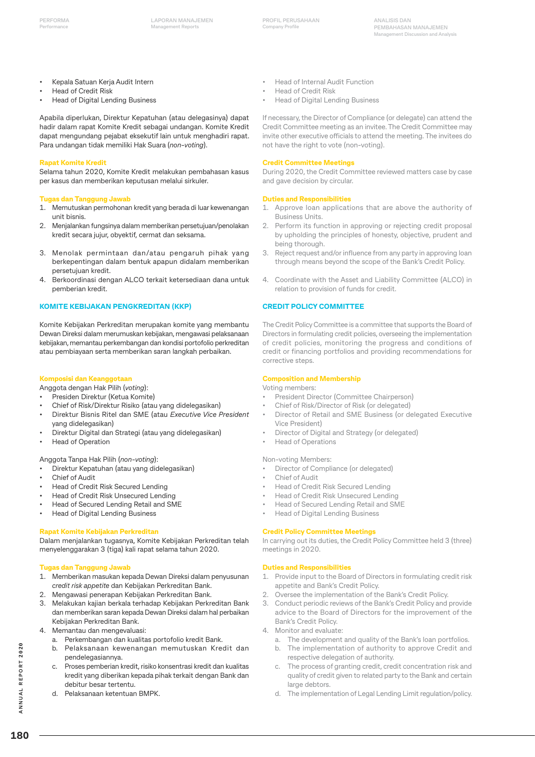**ANALISIS DAN PEMBAHASAN MANAJEMEN Management Discussion and Analysis**

- Kepala Satuan Kerja Audit Intern
- Head of Credit Risk
- Head of Digital Lending Business

Apabila diperlukan, Direktur Kepatuhan (atau delegasinya) dapat hadir dalam rapat Komite Kredit sebagai undangan. Komite Kredit dapat mengundang pejabat eksekutif lain untuk menghadiri rapat. Para undangan tidak memiliki Hak Suara (*non-voting*).

#### **Rapat Komite Kredit**

Selama tahun 2020, Komite Kredit melakukan pembahasan kasus per kasus dan memberikan keputusan melalui sirkuler.

#### **Tugas dan Tanggung Jawab**

- 1. Memutuskan permohonan kredit yang berada di luar kewenangan unit bisnis.
- 2. Menjalankan fungsinya dalam memberikan persetujuan/penolakan kredit secara jujur, obyektif, cermat dan seksama.
- 3. Menolak permintaan dan/atau pengaruh pihak yang berkepentingan dalam bentuk apapun didalam memberikan persetujuan kredit.
- 4. Berkoordinasi dengan ALCO terkait ketersediaan dana untuk pemberian kredit.

#### **KOMITE KEBIJAKAN PENGKREDITAN (KKP)**

Komite Kebijakan Perkreditan merupakan komite yang membantu Dewan Direksi dalam merumuskan kebijakan, mengawasi pelaksanaan kebijakan, memantau perkembangan dan kondisi portofolio perkreditan atau pembiayaan serta memberikan saran langkah perbaikan.

#### **Komposisi dan Keanggotaan**

Anggota dengan Hak Pilih (*voting*):

- Presiden Direktur (Ketua Komite)
- Chief of Risk/Direktur Risiko (atau yang didelegasikan)
- Direktur Bisnis Ritel dan SME (atau *Executive Vice President*  yang didelegasikan)
- Direktur Digital dan Strategi (atau yang didelegasikan)
- **Head of Operation**

Anggota Tanpa Hak Pilih (*non-voting*):

- Direktur Kepatuhan (atau yang didelegasikan)
- Chief of Audit
- Head of Credit Risk Secured Lending
- Head of Credit Risk Unsecured Lending
- Head of Secured Lending Retail and SME
- Head of Digital Lending Business

#### **Rapat Komite Kebijakan Perkreditan**

Dalam menjalankan tugasnya, Komite Kebijakan Perkreditan telah menyelenggarakan 3 (tiga) kali rapat selama tahun 2020.

#### **Tugas dan Tanggung Jawab**

- 1. Memberikan masukan kepada Dewan Direksi dalam penyusunan *credit risk appetite* dan Kebijakan Perkreditan Bank.
- 2. Mengawasi penerapan Kebijakan Perkreditan Bank.
- 3. Melakukan kajian berkala terhadap Kebijakan Perkreditan Bank dan memberikan saran kepada Dewan Direksi dalam hal perbaikan Kebijakan Perkreditan Bank.
- 4. Memantau dan mengevaluasi:
	- a. Perkembangan dan kualitas portofolio kredit Bank.
	- b. Pelaksanaan kewenangan memutuskan Kredit dan pendelegasiannya.
	- c. Proses pemberian kredit, risiko konsentrasi kredit dan kualitas kredit yang diberikan kepada pihak terkait dengan Bank dan debitur besar tertentu.
	- d. Pelaksanaan ketentuan BMPK.
- Head of Internal Audit Function
- Head of Credit Risk
- Head of Digital Lending Business

If necessary, the Director of Compliance (or delegate) can attend the Credit Committee meeting as an invitee. The Credit Committee may invite other executive officials to attend the meeting. The invitees do not have the right to vote (non-voting).

#### **Credit Committee Meetings**

During 2020, the Credit Committee reviewed matters case by case and gave decision by circular.

#### **Duties and Responsibilities**

- 1. Approve loan applications that are above the authority of Business Units.
- 2. Perform its function in approving or rejecting credit proposal by upholding the principles of honesty, objective, prudent and being thorough.
- 3. Reject request and/or influence from any party in approving loan through means beyond the scope of the Bank's Credit Policy.
- 4. Coordinate with the Asset and Liability Committee (ALCO) in relation to provision of funds for credit.

#### **CREDIT POLICY COMMITTEE**

The Credit Policy Committee is a committee that supports the Board of Directors in formulating credit policies, overseeing the implementation of credit policies, monitoring the progress and conditions of credit or financing portfolios and providing recommendations for corrective steps.

#### **Composition and Membership**

Voting members:

- President Director (Committee Chairperson)
- Chief of Risk/Director of Risk (or delegated)
- Director of Retail and SME Business (or delegated Executive Vice President)
- Director of Digital and Strategy (or delegated)
- Head of Operations

#### Non-voting Members:

- Director of Compliance (or delegated)
- Chief of Audit
- Head of Credit Risk Secured Lending
- Head of Credit Risk Unsecured Lending
- Head of Secured Lending Retail and SME
- Head of Digital Lending Business

#### **Credit Policy Committee Meetings**

In carrying out its duties, the Credit Policy Committee held 3 (three) meetings in 2020.

#### **Duties and Responsibilities**

- 1. Provide input to the Board of Directors in formulating credit risk appetite and Bank's Credit Policy.
- Oversee the implementation of the Bank's Credit Policy.
- 3. Conduct periodic reviews of the Bank's Credit Policy and provide advice to the Board of Directors for the improvement of the Bank's Credit Policy.
- 4. Monitor and evaluate:
	- a. The development and quality of the Bank's loan portfolios.
	- b. The implementation of authority to approve Credit and respective delegation of authority.
	- c. The process of granting credit, credit concentration risk and quality of credit given to related party to the Bank and certain large debtors.
	- d. The implementation of Legal Lending Limit regulation/policy.

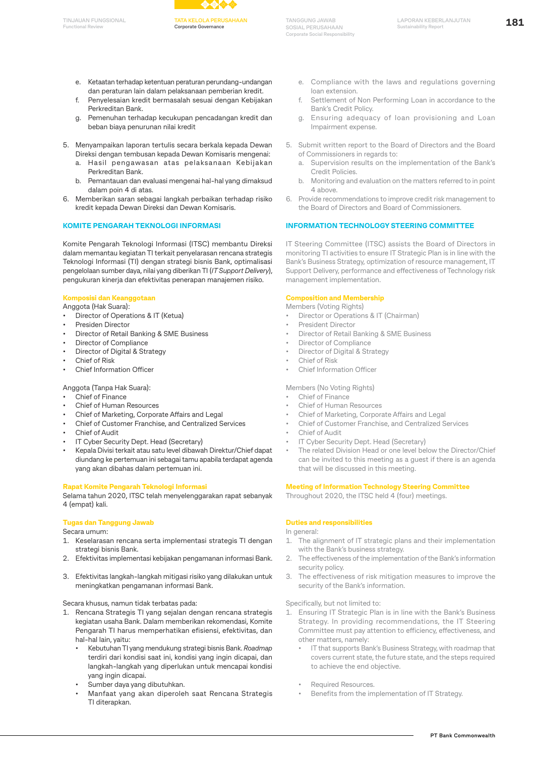

- e. Ketaatan terhadap ketentuan peraturan perundang-undangan dan peraturan lain dalam pelaksanaan pemberian kredit.
- f. Penyelesaian kredit bermasalah sesuai dengan Kebijakan Perkreditan Bank.
- g. Pemenuhan terhadap kecukupan pencadangan kredit dan beban biaya penurunan nilai kredit
- 5. Menyampaikan laporan tertulis secara berkala kepada Dewan Direksi dengan tembusan kepada Dewan Komisaris mengenai:
	- a. Hasil pengawasan atas pelaksanaan Kebijakan Perkreditan Bank.
	- b. Pemantauan dan evaluasi mengenai hal-hal yang dimaksud dalam poin 4 di atas.
- 6. Memberikan saran sebagai langkah perbaikan terhadap risiko kredit kepada Dewan Direksi dan Dewan Komisaris.

#### **KOMITE PENGARAH TEKNOLOGI INFORMASI**

Komite Pengarah Teknologi Informasi (ITSC) membantu Direksi dalam memantau kegiatan TI terkait penyelarasan rencana strategis Teknologi Informasi (TI) dengan strategi bisnis Bank, optimalisasi pengelolaan sumber daya, nilai yang diberikan TI (*IT Support Delivery*), pengukuran kinerja dan efektivitas penerapan manajemen risiko.

#### **Komposisi dan Keanggotaan**

Anggota (Hak Suara):

- Director of Operations & IT (Ketua)
- Presiden Director
- Director of Retail Banking & SME Business
- **Director of Compliance**
- Director of Digital & Strategy
- Chief of Risk
- Chief Information Officer

#### Anggota (Tanpa Hak Suara):

- Chief of Finance
- Chief of Human Resources
- Chief of Marketing, Corporate Affairs and Legal
- Chief of Customer Franchise, and Centralized Services
- Chief of Audit
- IT Cyber Security Dept. Head (Secretary)
- Kepala Divisi terkait atau satu level dibawah Direktur/Chief dapat diundang ke pertemuan ini sebagai tamu apabila terdapat agenda yang akan dibahas dalam pertemuan ini.

#### **Rapat Komite Pengarah Teknologi Informasi**

Selama tahun 2020, ITSC telah menyelenggarakan rapat sebanyak 4 (empat) kali.

#### **Tugas dan Tanggung Jawab**

Secara umum:

- 1. Keselarasan rencana serta implementasi strategis TI dengan strategi bisnis Bank.
- 2. Efektivitas implementasi kebijakan pengamanan informasi Bank.
- 3. Efektivitas langkah-langkah mitigasi risiko yang dilakukan untuk meningkatkan pengamanan informasi Bank.

Secara khusus, namun tidak terbatas pada:

- 1. Rencana Strategis TI yang sejalan dengan rencana strategis kegiatan usaha Bank. Dalam memberikan rekomendasi, Komite Pengarah TI harus memperhatikan efisiensi, efektivitas, dan hal-hal lain, yaitu:
	- Kebutuhan TI yang mendukung strategi bisnis Bank. *Roadmap*  terdiri dari kondisi saat ini, kondisi yang ingin dicapai, dan langkah-langkah yang diperlukan untuk mencapai kondisi yang ingin dicapai.
	- Sumber daya yang dibutuhkan.
	- Manfaat yang akan diperoleh saat Rencana Strategis TI diterapkan.
- e. Compliance with the laws and regulations governing loan extension.
- f. Settlement of Non Performing Loan in accordance to the Bank's Credit Policy.
- g. Ensuring adequacy of loan provisioning and Loan Impairment expense.
- 5. Submit written report to the Board of Directors and the Board of Commissioners in regards to:
	- a. Supervision results on the implementation of the Bank's Credit Policies.
	- b. Monitoring and evaluation on the matters referred to in point 4 above.
- 6. Provide recommendations to improve credit risk management to the Board of Directors and Board of Commissioners.

#### **INFORMATION TECHNOLOGY STEERING COMMITTEE**

IT Steering Committee (ITSC) assists the Board of Directors in monitoring TI activities to ensure IT Strategic Plan is in line with the Bank's Business Strategy, optimization of resource management, IT Support Delivery, performance and effectiveness of Technology risk management implementation.

#### **Composition and Membership**

Members (Voting Rights)

- Director or Operations & IT (Chairman)
- President Director
- Director of Retail Banking & SME Business
- Director of Compliance
- Director of Digital & Strategy
- Chief of Risk
- Chief Information Officer

#### Members (No Voting Rights)

- Chief of Finance
- Chief of Human Resources
- Chief of Marketing, Corporate Affairs and Legal
- Chief of Customer Franchise, and Centralized Services
- Chief of Audit
- IT Cyber Security Dept. Head (Secretary)
- The related Division Head or one level below the Director/Chief can be invited to this meeting as a guest if there is an agenda that will be discussed in this meeting.

#### **Meeting of Information Technology Steering Committee**

Throughout 2020, the ITSC held 4 (four) meetings.

#### **Duties and responsibilities**

#### In general:

- 1. The alignment of IT strategic plans and their implementation with the Bank's business strategy.
- 2. The effectiveness of the implementation of the Bank's information security policy.
- 3. The effectiveness of risk mitigation measures to improve the security of the Bank's information.

Specifically, but not limited to:

- 1. Ensuring IT Strategic Plan is in line with the Bank's Business Strategy. In providing recommendations, the IT Steering Committee must pay attention to efficiency, effectiveness, and other matters, namely:
	- IT that supports Bank's Business Strategy, with roadmap that covers current state, the future state, and the steps required to achieve the end objective.
	- Required Resources.
	- Benefits from the implementation of IT Strategy.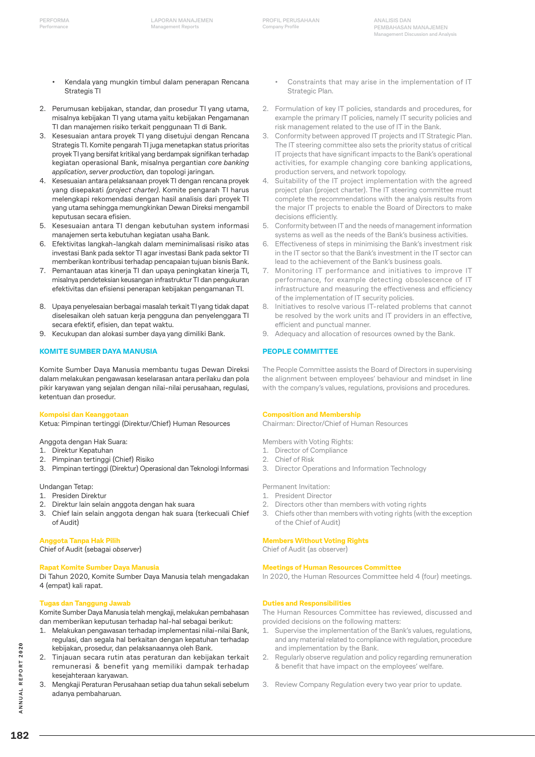- Kendala yang mungkin timbul dalam penerapan Rencana Strategis TI
- 2. Perumusan kebijakan, standar, dan prosedur TI yang utama, misalnya kebijakan TI yang utama yaitu kebijakan Pengamanan TI dan manajemen risiko terkait penggunaan TI di Bank.
- 3. Kesesuaian antara proyek TI yang disetujui dengan Rencana Strategis TI. Komite pengarah TI juga menetapkan status prioritas proyek TI yang bersifat kritikal yang berdampak signifikan terhadap kegiatan operasional Bank, misalnya pergantian *core banking application*, *server production,* dan topologi jaringan.
- 4. Kesesuaian antara pelaksanaan proyek TI dengan rencana proyek yang disepakati *(project charter).* Komite pengarah TI harus melengkapi rekomendasi dengan hasil analisis dari proyek TI yang utama sehingga memungkinkan Dewan Direksi mengambil keputusan secara efisien.
- 5. Kesesuaian antara TI dengan kebutuhan system informasi manajemen serta kebutuhan kegiatan usaha Bank.
- 6. Efektivitas langkah-langkah dalam meminimalisasi risiko atas investasi Bank pada sektor TI agar investasi Bank pada sektor TI memberikan kontribusi terhadap pencapaian tujuan bisnis Bank.
- 7. Pemantauan atas kinerja TI dan upaya peningkatan kinerja TI, misalnya pendeteksian keusangan infrastruktur TI dan pengukuran efektivitas dan efisiensi penerapan kebijakan pengamanan TI.
- 8. Upaya penyelesaian berbagai masalah terkait TI yang tidak dapat diselesaikan oleh satuan kerja pengguna dan penyelenggara TI secara efektif, efisien, dan tepat waktu.
- 9. Kecukupan dan alokasi sumber daya yang dimiliki Bank.

#### **KOMITE SUMBER DAYA MANUSIA**

Komite Sumber Daya Manusia membantu tugas Dewan Direksi dalam melakukan pengawasan keselarasan antara perilaku dan pola pikir karyawan yang sejalan dengan nilai-nilai perusahaan, regulasi, ketentuan dan prosedur.

#### **Kompoisi dan Keanggotaan**

Ketua: Pimpinan tertinggi (Direktur/Chief) Human Resources

### Anggota dengan Hak Suara:

- 1. Direktur Kepatuhan
- 2. Pimpinan tertinggi (Chief) Risiko

# Undangan Tetap:

- 1. Presiden Direktur
- 2. Direktur lain selain anggota dengan hak suara
- 3. Chief lain selain anggota dengan hak suara (terkecuali Chief of Audit)

3. Pimpinan tertinggi (Direktur) Operasional dan Teknologi Informasi

#### **Anggota Tanpa Hak Pilih**

Chief of Audit (sebagai *observer*)

#### **Rapat Komite Sumber Daya Manusia**

Di Tahun 2020, Komite Sumber Daya Manusia telah mengadakan 4 (empat) kali rapat.

#### **Tugas dan Tanggung Jawab**

Komite Sumber Daya Manusia telah mengkaji, melakukan pembahasan dan memberikan keputusan terhadap hal-hal sebagai berikut:

- 1. Melakukan pengawasan terhadap implementasi nilai-nilai Bank, regulasi, dan segala hal berkaitan dengan kepatuhan terhadap kebijakan, prosedur, dan pelaksanaannya oleh Bank.
- 2. Tinjauan secara rutin atas peraturan dan kebijakan terkait remunerasi & benefit yang memiliki dampak terhadap kesejahteraan karyawan.
- 3. Mengkaji Peraturan Perusahaan setiap dua tahun sekali sebelum adanya pembaharuan.
- Constraints that may arise in the implementation of IT Strategic Plan.
- 2. Formulation of key IT policies, standards and procedures, for example the primary IT policies, namely IT security policies and risk management related to the use of IT in the Bank.
- 3. Conformity between approved IT projects and IT Strategic Plan. The IT steering committee also sets the priority status of critical IT projects that have significant impacts to the Bank's operational activities, for example changing core banking applications, production servers, and network topology.
- Suitability of the IT project implementation with the agreed project plan (project charter). The IT steering committee must complete the recommendations with the analysis results from the major IT projects to enable the Board of Directors to make decisions efficiently.
- 5. Conformity between IT and the needs of management information systems as well as the needs of the Bank's business activities.
- 6. Effectiveness of steps in minimising the Bank's investment risk in the IT sector so that the Bank's investment in the IT sector can lead to the achievement of the Bank's business goals.
- 7. Monitoring IT performance and initiatives to improve IT performance, for example detecting obsolescence of IT infrastructure and measuring the effectiveness and efficiency of the implementation of IT security policies.
- 8. Initiatives to resolve various IT-related problems that cannot be resolved by the work units and IT providers in an effective, efficient and punctual manner.
- 9. Adequacy and allocation of resources owned by the Bank.

#### **PEOPLE COMMITTEE**

The People Committee assists the Board of Directors in supervising the alignment between employees' behaviour and mindset in line with the company's values, regulations, provisions and procedures.

#### **Composition and Membership**

Chairman: Director/Chief of Human Resources

Members with Voting Rights:

- 1. Director of Compliance
- 2. Chief of Risk
- 3. Director Operations and Information Technology

Permanent Invitation:

- 1. President Director
- 2. Directors other than members with voting rights
- 3. Chiefs other than members with voting rights (with the exception of the Chief of Audit)

#### **Members Without Voting Rights**

Chief of Audit (as observer)

#### **Meetings of Human Resources Committee**

In 2020, the Human Resources Committee held 4 (four) meetings.

#### **Duties and Responsibilities**

The Human Resources Committee has reviewed, discussed and provided decisions on the following matters:

- 1. Supervise the implementation of the Bank's values, regulations, and any material related to compliance with regulation, procedure and implementation by the Bank.
- 2. Regularly observe regulation and policy regarding remuneration & benefit that have impact on the employees' welfare.
- 3. Review Company Regulation every two year prior to update.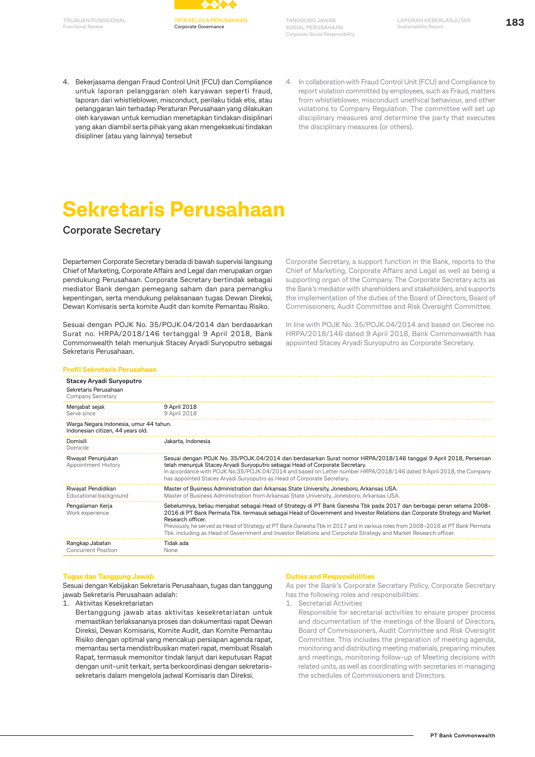**Functional Review**



**TANGGUNG JAWAB SOSIAL PERUSAHAAN Corporate Social Responsibility**

- 4. Bekerjasama dengan Fraud Control Unit (FCU) dan Compliance untuk laporan pelanggaran oleh karyawan seperti fraud, laporan dari whistleblower, misconduct, perilaku tidak etis, atau pelanggaran lain terhadap Peraturan Perusahaan yang dilakukan oleh karyawan untuk kemudian menetapkan tindakan disiplinari yang akan diambil serta pihak yang akan mengeksekusi tindakan disipliner (atau yang lainnya) tersebut
- 4. In collaboration with Fraud Control Unit (FCU) and Compliance to report violation committed by employees, such as Fraud, matters from whistleblower, misconduct unethical behaviour, and other violations to Company Regulation. The committee will set up disciplinary measures and determine the party that executes the disciplinary measures (or others).

# **Sekretaris Perusahaan**

### **Corporate Secretary**

Departemen Corporate Secretary berada di bawah supervisi langsung Chief of Marketing, Corporate Affairs and Legal dan merupakan organ pendukung Perusahaan. Corporate Secretary bertindak sebagai mediator Bank dengan pemegang saham dan para pemangku kepentingan, serta mendukung pelaksanaan tugas Dewan Direksi, Dewan Komisaris serta komite Audit dan komite Pemantau Risiko.

Sesuai dengan POJK No. 35/POJK.04/2014 dan berdasarkan Surat no. HRPA/2018/146 tertanggal 9 April 2018, Bank Commonwealth telah menunjuk Stacey Aryadi Suryoputro sebagai Sekretaris Perusahaan.

Corporate Secretary, a support function in the Bank, reports to the Chief of Marketing, Corporate Affairs and Legal as well as being a supporting organ of the Company. The Corporate Secretary acts as the Bank's mediator with shareholders and stakeholders, and supports the implementation of the duties of the Board of Directors, Board of Commissioners, Audit Committee and Risk Oversight Committee.

In line with POJK No. 35/POJK.04/2014 and based on Decree no. HRPA/2018/146 dated 9 April 2018, Bank Commonwealth has appointed Stacey Aryadi Suryoputro as Corporate Secretary.

| <b>Profil Sekretaris Perusahaan</b>                                           |                                                                                                                                                                                                                                                                                                                                                                                                                                                                                                                               |
|-------------------------------------------------------------------------------|-------------------------------------------------------------------------------------------------------------------------------------------------------------------------------------------------------------------------------------------------------------------------------------------------------------------------------------------------------------------------------------------------------------------------------------------------------------------------------------------------------------------------------|
| Stacey Aryadi Suryoputro<br>Sekretaris Perusahaan<br><b>Company Secretary</b> |                                                                                                                                                                                                                                                                                                                                                                                                                                                                                                                               |
| Menjabat sejak<br>Serve since                                                 | 9 April 2018<br>9 April 2018                                                                                                                                                                                                                                                                                                                                                                                                                                                                                                  |
| Warga Negara Indonesia, umur 44 tahun.<br>Indonesian citizen, 44 years old.   |                                                                                                                                                                                                                                                                                                                                                                                                                                                                                                                               |
| Domisili<br>Domicile                                                          | Jakarta, Indonesia                                                                                                                                                                                                                                                                                                                                                                                                                                                                                                            |
| Riwayat Penunjukan<br><b>Appointment History</b>                              | Sesuai dengan POJK No. 35/POJK.04/2014 dan berdasarkan Surat nomor HRPA/2018/146 tanggal 9 April 2018, Perseroan<br>telah menunjuk Stacey Aryadi Suryoputro sebagai Head of Corporate Secretary.<br>In accordance with POJK No.35/POJK.04/2014 and based on Letter number HRPA/2018/146 dated 9 April 2018, the Company<br>has appointed Stacey Aryadi Suryoputro as Head of Corporate Secretary.                                                                                                                             |
| Riwayat Pendidikan<br>Educational background                                  | Master of Business Administration dari Arkansas State University, Jonesboro, Arkansas USA.<br>Master of Business Administration from Arkansas State University, Jonesboro, Arkansas USA.                                                                                                                                                                                                                                                                                                                                      |
| Pengalaman Kerja<br>Work experience                                           | Sebelumnya, beliau menjabat sebagai Head of Strategy di PT Bank Ganesha Tbk pada 2017 dan berbagai peran selama 2008-<br>2016 di PT Bank Permata Tbk. termasuk sebagai Head of Government and Investor Relations dan Corporate Strategy and Market<br>Research officer.<br>Previously, he served as Head of Strategy at PT Bank Ganesha Tbk in 2017 and in various roles from 2008-2016 at PT Bank Permata<br>Tbk. including as Head of Government and Investor Relations and Corporate Strategy and Market Research officer. |
| Rangkap Jabatan<br><b>Concurrent Position</b>                                 | Tidak ada<br>None                                                                                                                                                                                                                                                                                                                                                                                                                                                                                                             |

#### **Tugas dan Tanggung Jawab**

Sesuai dengan Kebijakan Sekretaris Perusahaan, tugas dan tanggung jawab Sekretaris Perusahaan adalah:

1. Aktivitas Kesekretariatan

Bertanggung jawab atas aktivitas kesekretariatan untuk memastikan terlaksananya proses dan dokumentasi rapat Dewan Direksi, Dewan Komisaris, Komite Audit, dan Komite Pemantau Risiko dengan optimal yang mencakup persiapan agenda rapat, memantau serta mendistribusikan materi rapat, membuat Risalah Rapat, termasuk memonitor tindak lanjut dari keputusan Rapat dengan unit-unit terkait, serta berkoordinasi dengan sekretarissekretaris dalam mengelola jadwal Komisaris dan Direksi.

#### **Duties and Responsibilities**

As per the Bank's Corporate Secretary Policy, Corporate Secretary has the following roles and responsibilities:

- 1. Secretarial Activities
	- Responsible for secretarial activities to ensure proper process and documentation of the meetings of the Board of Directors, Board of Commissioners, Audit Committee and Risk Oversight Committee. This includes the preparation of meeting agenda, monitoring and distributing meeting materials, preparing minutes and meetings, monitoring follow-up of Meeting decisions with related units, as well as coordinating with secretaries in managing the schedules of Commissioners and Directors.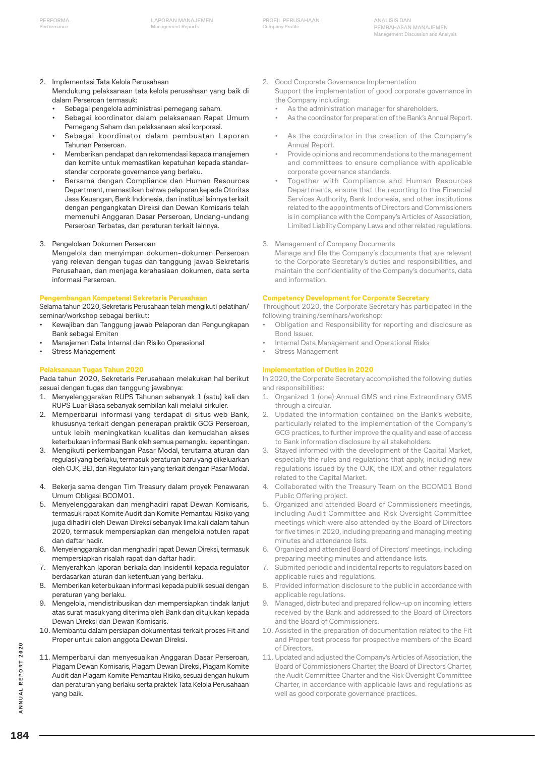**ANALISIS DAN PEMBAHASAN MANAJEMEN Management Discussion and Analysis**

- 2. Implementasi Tata Kelola Perusahaan
	- Mendukung pelaksanaan tata kelola perusahaan yang baik di dalam Perseroan termasuk:
	- Sebagai pengelola administrasi pemegang saham.
	- Sebagai koordinator dalam pelaksanaan Rapat Umum Pemegang Saham dan pelaksanaan aksi korporasi.
	- Sebagai koordinator dalam pembuatan Laporan Tahunan Perseroan.
	- Memberikan pendapat dan rekomendasi kepada manajemen dan komite untuk memastikan kepatuhan kepada standarstandar corporate governance yang berlaku.
	- Bersama dengan Compliance dan Human Resources Department, memastikan bahwa pelaporan kepada Otoritas Jasa Keuangan, Bank Indonesia, dan institusi lainnya terkait dengan pengangkatan Direksi dan Dewan Komisaris telah memenuhi Anggaran Dasar Perseroan, Undang-undang Perseroan Terbatas, dan peraturan terkait lainnya.
- 3. Pengelolaan Dokumen Perseroan
- Mengelola dan menyimpan dokumen-dokumen Perseroan yang relevan dengan tugas dan tanggung jawab Sekretaris Perusahaan, dan menjaga kerahasiaan dokumen, data serta informasi Perseroan.

#### **Pengembangan Kompetensi Sekretaris Perusahaan**

Selama tahun 2020, Sekretaris Perusahaan telah mengikuti pelatihan/ seminar/workshop sebagai berikut:

- Kewajiban dan Tanggung jawab Pelaporan dan Pengungkapan Bank sebagai Emiten
- Manajemen Data Internal dan Risiko Operasional
- Stress Management

#### **Pelaksanaan Tugas Tahun 2020**

Pada tahun 2020, Sekretaris Perusahaan melakukan hal berikut sesuai dengan tugas dan tanggung jawabnya:

- 1. Menyelenggarakan RUPS Tahunan sebanyak 1 (satu) kali dan RUPS Luar Biasa sebanyak sembilan kali melalui sirkuler.
- 2. Memperbarui informasi yang terdapat di situs web Bank, khususnya terkait dengan penerapan praktik GCG Perseroan, untuk lebih meningkatkan kualitas dan kemudahan akses keterbukaan informasi Bank oleh semua pemangku kepentingan.
- 3. Mengikuti perkembangan Pasar Modal, terutama aturan dan regulasi yang berlaku, termasuk peraturan baru yang dikeluarkan oleh OJK, BEI, dan Regulator lain yang terkait dengan Pasar Modal.
- 4. Bekerja sama dengan Tim Treasury dalam proyek Penawaran Umum Obligasi BCOM01.
- 5. Menyelenggarakan dan menghadiri rapat Dewan Komisaris, termasuk rapat Komite Audit dan Komite Pemantau Risiko yang juga dihadiri oleh Dewan Direksi sebanyak lima kali dalam tahun 2020, termasuk mempersiapkan dan mengelola notulen rapat dan daftar hadir.
- 6. Menyelenggarakan dan menghadiri rapat Dewan Direksi, termasuk mempersiapkan risalah rapat dan daftar hadir.
- 7. Menyerahkan laporan berkala dan insidentil kepada regulator berdasarkan aturan dan ketentuan yang berlaku.
- 8. Memberikan keterbukaan informasi kepada publik sesuai dengan peraturan yang berlaku.
- 9. Mengelola, mendistribusikan dan mempersiapkan tindak lanjut atas surat masuk yang diterima oleh Bank dan ditujukan kepada Dewan Direksi dan Dewan Komisaris.
- 10. Membantu dalam persiapan dokumentasi terkait proses Fit and Proper untuk calon anggota Dewan Direksi.
- 11. Memperbarui dan menyesuaikan Anggaran Dasar Perseroan, Piagam Dewan Komisaris, Piagam Dewan Direksi, Piagam Komite Audit dan Piagam Komite Pemantau Risiko, sesuai dengan hukum dan peraturan yang berlaku serta praktek Tata Kelola Perusahaan yang baik.
- 2. Good Corporate Governance Implementation
- Support the implementation of good corporate governance in the Company including:
	- As the administration manager for shareholders.
	- As the coordinator for preparation of the Bank's Annual Report.
	- As the coordinator in the creation of the Company's Annual Report.
	- Provide opinions and recommendations to the management and committees to ensure compliance with applicable corporate governance standards.
	- Together with Compliance and Human Resources Departments, ensure that the reporting to the Financial Services Authority, Bank Indonesia, and other institutions related to the appointments of Directors and Commissioners is in compliance with the Company's Articles of Association, Limited Liability Company Laws and other related regulations.
- 3. Management of Company Documents

Manage and file the Company's documents that are relevant to the Corporate Secretary's duties and responsibilities, and maintain the confidentiality of the Company's documents, data and information.

#### **Competency Development for Corporate Secretary**

Throughout 2020, the Corporate Secretary has participated in the following training/seminars/workshop:

- Obligation and Responsibility for reporting and disclosure as Bond Issuer.
- Internal Data Management and Operational Risks
- Stress Management

### **Implementation of Duties in 2020**

In 2020, the Corporate Secretary accomplished the following duties and responsibilities:

- 1. Organized 1 (one) Annual GMS and nine Extraordinary GMS through a circular.
- 2. Updated the information contained on the Bank's website, particularly related to the implementation of the Company's GCG practices, to further improve the quality and ease of access to Bank information disclosure by all stakeholders.
- 3. Stayed informed with the development of the Capital Market, especially the rules and regulations that apply, including new regulations issued by the OJK, the IDX and other regulators related to the Capital Market.
- 4. Collaborated with the Treasury Team on the BCOM01 Bond Public Offering project.
- 5. Organized and attended Board of Commissioners meetings, including Audit Committee and Risk Oversight Committee meetings which were also attended by the Board of Directors for five times in 2020, including preparing and managing meeting minutes and attendance lists.
- 6. Organized and attended Board of Directors' meetings, including preparing meeting minutes and attendance lists.
- Submited periodic and incidental reports to regulators based on applicable rules and regulations.
- 8. Provided information disclosure to the public in accordance with applicable regulations.
- 9. Managed, distributed and prepared follow-up on incoming letters received by the Bank and addressed to the Board of Directors and the Board of Commissioners.
- 10. Assisted in the preparation of documentation related to the Fit and Proper test process for prospective members of the Board of Directors.
- 11. Updated and adjusted the Company's Articles of Association, the Board of Commissioners Charter, the Board of Directors Charter, the Audit Committee Charter and the Risk Oversight Committee Charter, in accordance with applicable laws and regulations as well as good corporate governance practices.

ANNUAL REPORT 2020 **184ANNUAL REPORT 2020**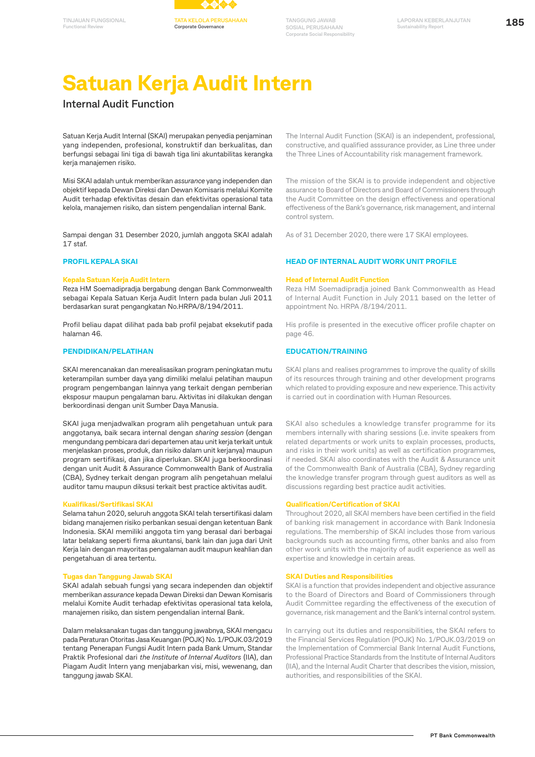



# **Satuan Kerja Audit Intern**

## **Internal Audit Function**

Satuan Kerja Audit Internal (SKAI) merupakan penyedia penjaminan yang independen, profesional, konstruktif dan berkualitas, dan berfungsi sebagai lini tiga di bawah tiga lini akuntabilitas kerangka kerja manajemen risiko.

Misi SKAI adalah untuk memberikan *assurance* yang independen dan objektif kepada Dewan Direksi dan Dewan Komisaris melalui Komite Audit terhadap efektivitas desain dan efektivitas operasional tata kelola, manajemen risiko, dan sistem pengendalian internal Bank.

Sampai dengan 31 Desember 2020, jumlah anggota SKAI adalah 17 staf.

#### **PROFIL KEPALA SKAI**

#### **Kepala Satuan Kerja Audit Intern**

Reza HM Soemadipradja bergabung dengan Bank Commonwealth sebagai Kepala Satuan Kerja Audit Intern pada bulan Juli 2011 berdasarkan surat pengangkatan No.HRPA/8/194/2011.

Profil beliau dapat dilihat pada bab profil pejabat eksekutif pada halaman 46.

#### **PENDIDIKAN/PELATIHAN**

SKAI merencanakan dan merealisasikan program peningkatan mutu keterampilan sumber daya yang dimiliki melalui pelatihan maupun program pengembangan lainnya yang terkait dengan pemberian eksposur maupun pengalaman baru. Aktivitas ini dilakukan dengan berkoordinasi dengan unit Sumber Daya Manusia.

SKAI juga menjadwalkan program alih pengetahuan untuk para anggotanya, baik secara internal dengan *sharing session* (dengan mengundang pembicara dari departemen atau unit kerja terkait untuk menjelaskan proses, produk, dan risiko dalam unit kerjanya) maupun program sertifikasi, dan jika diperlukan. SKAI juga berkoordinasi dengan unit Audit & Assurance Commonwealth Bank of Australia (CBA), Sydney terkait dengan program alih pengetahuan melalui auditor tamu maupun diksusi terkait best practice aktivitas audit.

#### **Kualifikasi/Sertifikasi SKAI**

Selama tahun 2020, seluruh anggota SKAI telah tersertifikasi dalam bidang manajemen risiko perbankan sesuai dengan ketentuan Bank Indonesia. SKAI memiliki anggota tim yang berasal dari berbagai latar belakang seperti firma akuntansi, bank lain dan juga dari Unit Kerja lain dengan mayoritas pengalaman audit maupun keahlian dan pengetahuan di area tertentu.

#### **Tugas dan Tanggung Jawab SKAI**

SKAI adalah sebuah fungsi yang secara independen dan objektif memberikan *assurance* kepada Dewan Direksi dan Dewan Komisaris melalui Komite Audit terhadap efektivitas operasional tata kelola, manajemen risiko, dan sistem pengendalian internal Bank.

Dalam melaksanakan tugas dan tanggung jawabnya, SKAI mengacu pada Peraturan Otoritas Jasa Keuangan (POJK) No. 1/POJK.03/2019 tentang Penerapan Fungsi Audit Intern pada Bank Umum, Standar Praktik Profesional dari *the Institute of Internal Auditors* (IIA), dan Piagam Audit Intern yang menjabarkan visi, misi, wewenang, dan tanggung jawab SKAI.

The Internal Audit Function (SKAI) is an independent, professional, constructive, and qualified asssurance provider, as Line three under the Three Lines of Accountability risk management framework.

The mission of the SKAI is to provide independent and objective assurance to Board of Directors and Board of Commissioners through the Audit Committee on the design effectiveness and operational effectiveness of the Bank's governance, risk management, and internal control system.

As of 31 December 2020, there were 17 SKAI employees.

#### **HEAD OF INTERNAL AUDIT WORK UNIT PROFILE**

#### **Head of Internal Audit Function**

Reza HM Soemadipradja joined Bank Commonwealth as Head of Internal Audit Function in July 2011 based on the letter of appointment No. HRPA /8/194/2011.

His profile is presented in the executive officer profile chapter on page 46.

#### **EDUCATION/TRAINING**

SKAI plans and realises programmes to improve the quality of skills of its resources through training and other development programs which related to providing exposure and new experience. This activity is carried out in coordination with Human Resources.

SKAI also schedules a knowledge transfer programme for its members internally with sharing sessions (i.e. invite speakers from related departments or work units to explain processes, products, and risks in their work units) as well as certification programmes, if needed. SKAI also coordinates with the Audit & Assurance unit of the Commonwealth Bank of Australia (CBA), Sydney regarding the knowledge transfer program through guest auditors as well as discussions regarding best practice audit activities.

#### **Qualification/Certification of SKAI**

Throughout 2020, all SKAI members have been certified in the field of banking risk management in accordance with Bank Indonesia regulations. The membership of SKAI includes those from various backgrounds such as accounting firms, other banks and also from other work units with the majority of audit experience as well as expertise and knowledge in certain areas.

#### **SKAI Duties and Responsibilities**

SKAI is a function that provides independent and objective assurance to the Board of Directors and Board of Commissioners through Audit Committee regarding the effectiveness of the execution of governance, risk management and the Bank's internal control system.

In carrying out its duties and responsibilities, the SKAI refers to the Financial Services Regulation (POJK) No. 1/POJK.03/2019 on the Implementation of Commercial Bank Internal Audit Functions, Professional Practice Standards from the Institute of Internal Auditors (IIA), and the Internal Audit Charter that describes the vision, mission, authorities, and responsibilities of the SKAI.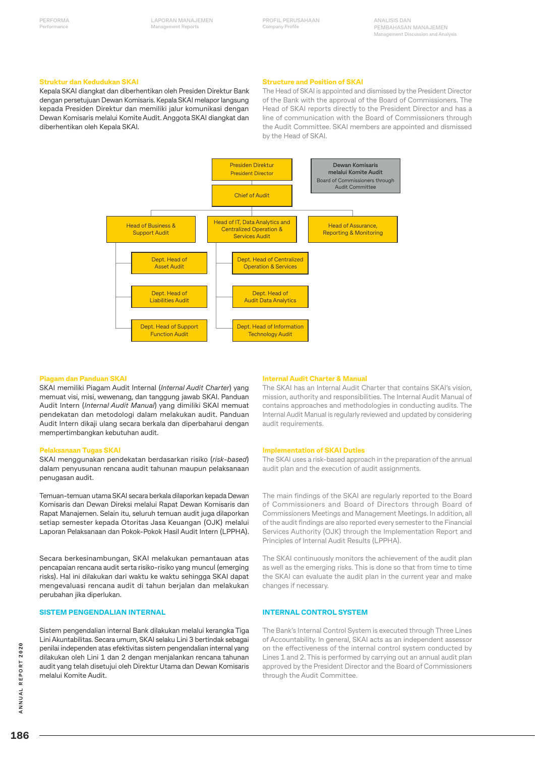**ANALISIS DAN PEMBAHASAN MANAJEMEN Management Discussion and Analysis**

#### **Struktur dan Kedudukan SKAI**

Kepala SKAI diangkat dan diberhentikan oleh Presiden Direktur Bank dengan persetujuan Dewan Komisaris. Kepala SKAI melapor langsung kepada Presiden Direktur dan memiliki jalur komunikasi dengan Dewan Komisaris melalui Komite Audit. Anggota SKAI diangkat dan diberhentikan oleh Kepala SKAI.

#### **Structure and Position of SKAI**

The Head of SKAI is appointed and dismissed by the President Director of the Bank with the approval of the Board of Commissioners. The Head of SKAI reports directly to the President Director and has a line of communication with the Board of Commissioners through the Audit Committee. SKAI members are appointed and dismissed by the Head of SKAI.



#### **Piagam dan Panduan SKAI**

SKAI memiliki Piagam Audit Internal (*Internal Audit Charter*) yang memuat visi, misi, wewenang, dan tanggung jawab SKAI. Panduan Audit Intern (*Internal Audit Manual*) yang dimiliki SKAI memuat pendekatan dan metodologi dalam melakukan audit. Panduan Audit Intern dikaji ulang secara berkala dan diperbaharui dengan mempertimbangkan kebutuhan audit.

#### **Pelaksanaan Tugas SKAI**

SKAI menggunakan pendekatan berdasarkan risiko (*risk*-*based*) dalam penyusunan rencana audit tahunan maupun pelaksanaan penugasan audit.

Temuan-temuan utama SKAI secara berkala dilaporkan kepada Dewan Komisaris dan Dewan Direksi melalui Rapat Dewan Komisaris dan Rapat Manajemen. Selain itu, seluruh temuan audit juga dilaporkan setiap semester kepada Otoritas Jasa Keuangan (OJK) melalui Laporan Pelaksanaan dan Pokok-Pokok Hasil Audit Intern (LPPHA).

Secara berkesinambungan, SKAI melakukan pemantauan atas pencapaian rencana audit serta risiko-risiko yang muncul (emerging risks). Hal ini dilakukan dari waktu ke waktu sehingga SKAI dapat mengevaluasi rencana audit di tahun berjalan dan melakukan perubahan jika diperlukan.

#### **SISTEM PENGENDALIAN INTERNAL**

Sistem pengendalian internal Bank dilakukan melalui kerangka Tiga Lini Akuntabilitas. Secara umum, SKAI selaku Lini 3 bertindak sebagai penilai independen atas efektivitas sistem pengendalian internal yang dilakukan oleh Lini 1 dan 2 dengan menjalankan rencana tahunan audit yang telah disetujui oleh Direktur Utama dan Dewan Komisaris melalui Komite Audit.

#### **Internal Audit Charter & Manual**

The SKAI has an Internal Audit Charter that contains SKAI's vision, mission, authority and responsibilities. The Internal Audit Manual of contains approaches and methodologies in conducting audits. The Internal Audit Manual is regularly reviewed and updated by considering audit requirements.

#### **Implementation of SKAI Duties**

The SKAI uses a risk-based approach in the preparation of the annual audit plan and the execution of audit assignments.

The main findings of the SKAI are regularly reported to the Board of Commissioners and Board of Directors through Board of Commissioners Meetings and Management Meetings. In addition, all of the audit findings are also reported every semester to the Financial Services Authority (OJK) through the Implementation Report and Principles of Internal Audit Results (LPPHA).

The SKAI continuously monitors the achievement of the audit plan as well as the emerging risks. This is done so that from time to time the SKAI can evaluate the audit plan in the current year and make changes if necessary.

#### **INTERNAL CONTROL SYSTEM**

The Bank's Internal Control System is executed through Three Lines of Accountability. In general, SKAI acts as an independent assessor on the effectiveness of the internal control system conducted by Lines 1 and 2. This is performed by carrying out an annual audit plan approved by the President Director and the Board of Commissioners through the Audit Committee.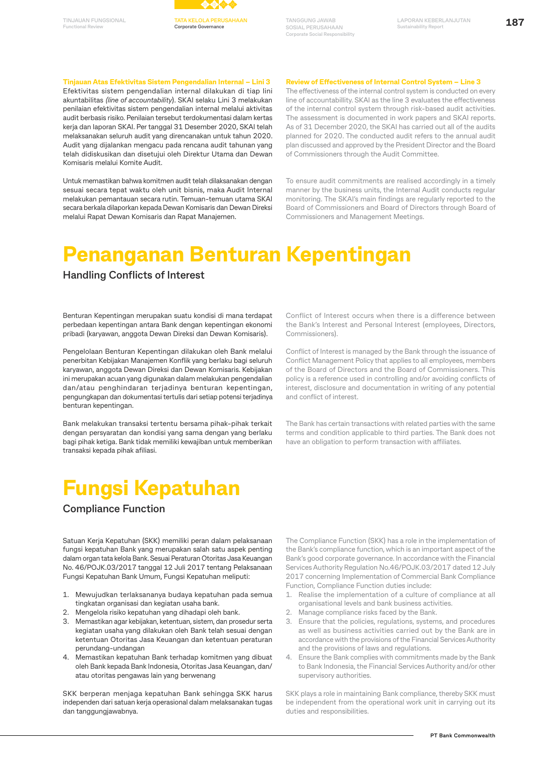

**Tinjauan Atas Efektivitas Sistem Pengendalian Internal – Lini 3**

**Functional Review**

Efektivitas sistem pengendalian internal dilakukan di tiap lini akuntabilitas *(line of accountability*). SKAI selaku Lini 3 melakukan penilaian efektivitas sistem pengendalian internal melalui aktivitas audit berbasis risiko. Penilaian tersebut terdokumentasi dalam kertas kerja dan laporan SKAI. Per tanggal 31 Desember 2020, SKAI telah melaksanakan seluruh audit yang direncanakan untuk tahun 2020. Audit yang dijalankan mengacu pada rencana audit tahunan yang telah didiskusikan dan disetujui oleh Direktur Utama dan Dewan Komisaris melalui Komite Audit.

Untuk memastikan bahwa komitmen audit telah dilaksanakan dengan sesuai secara tepat waktu oleh unit bisnis, maka Audit Internal melakukan pemantauan secara rutin. Temuan-temuan utama SKAI secara berkala dilaporkan kepada Dewan Komisaris dan Dewan Direksi melalui Rapat Dewan Komisaris dan Rapat Manajemen.

#### **Review of Effectiveness of Internal Control System – Line 3**

The effectiveness of the internal control system is conducted on every line of accountabillity. SKAI as the line 3 evaluates the effectiveness of the internal control system through risk-based audit activities. The assessment is documented in work papers and SKAI reports. As of 31 December 2020, the SKAI has carried out all of the audits planned for 2020. The conducted audit refers to the annual audit plan discussed and approved by the President Director and the Board of Commissioners through the Audit Committee.

To ensure audit commitments are realised accordingly in a timely manner by the business units, the Internal Audit conducts regular monitoring. The SKAI's main findings are regularly reported to the Board of Commissioners and Board of Directors through Board of Commissioners and Management Meetings.

# **Penanganan Benturan Kepentingan**

### **Handling Conflicts of Interest**

Benturan Kepentingan merupakan suatu kondisi di mana terdapat perbedaan kepentingan antara Bank dengan kepentingan ekonomi pribadi (karyawan, anggota Dewan Direksi dan Dewan Komisaris).

Pengelolaan Benturan Kepentingan dilakukan oleh Bank melalui penerbitan Kebijakan Manajemen Konflik yang berlaku bagi seluruh karyawan, anggota Dewan Direksi dan Dewan Komisaris. Kebijakan ini merupakan acuan yang digunakan dalam melakukan pengendalian dan/atau penghindaran terjadinya benturan kepentingan, pengungkapan dan dokumentasi tertulis dari setiap potensi terjadinya benturan kepentingan.

Bank melakukan transaksi tertentu bersama pihak-pihak terkait dengan persyaratan dan kondisi yang sama dengan yang berlaku bagi pihak ketiga. Bank tidak memiliki kewajiban untuk memberikan transaksi kepada pihak afiliasi.

Conflict of Interest occurs when there is a difference between the Bank's Interest and Personal Interest (employees, Directors, Commissioners).

Conflict of Interest is managed by the Bank through the issuance of Conflict Management Policy that applies to all employees, members of the Board of Directors and the Board of Commissioners. This policy is a reference used in controlling and/or avoiding conflicts of interest, disclosure and documentation in writing of any potential and conflict of interest.

The Bank has certain transactions with related parties with the same terms and condition applicable to third parties. The Bank does not have an obligation to perform transaction with affiliates.

# **Fungsi Kepatuhan**

### **Compliance Function**

Satuan Kerja Kepatuhan (SKK) memiliki peran dalam pelaksanaan fungsi kepatuhan Bank yang merupakan salah satu aspek penting dalam organ tata kelola Bank. Sesuai Peraturan Otoritas Jasa Keuangan No. 46/POJK.03/2017 tanggal 12 Juli 2017 tentang Pelaksanaan Fungsi Kepatuhan Bank Umum, Fungsi Kepatuhan meliputi:

- 1. Mewujudkan terlaksananya budaya kepatuhan pada semua tingkatan organisasi dan kegiatan usaha bank.
- 2. Mengelola risiko kepatuhan yang dihadapi oleh bank.
- 3. Memastikan agar kebijakan, ketentuan, sistem, dan prosedur serta kegiatan usaha yang dilakukan oleh Bank telah sesuai dengan ketentuan Otoritas Jasa Keuangan dan ketentuan peraturan perundang-undangan
- 4. Memastikan kepatuhan Bank terhadap komitmen yang dibuat oleh Bank kepada Bank Indonesia, Otoritas Jasa Keuangan, dan/ atau otoritas pengawas lain yang berwenang

SKK berperan menjaga kepatuhan Bank sehingga SKK harus independen dari satuan kerja operasional dalam melaksanakan tugas dan tanggungjawabnya.

The Compliance Function (SKK) has a role in the implementation of the Bank's compliance function, which is an important aspect of the Bank's good corporate governance. In accordance with the Financial Services Authority Regulation No.46/POJK.03/2017 dated 12 July 2017 concerning Implementation of Commercial Bank Compliance Function, Compliance Function duties include:

- 1. Realise the implementation of a culture of compliance at all organisational levels and bank business activities.
- 2. Manage compliance risks faced by the Bank.
- 3. Ensure that the policies, regulations, systems, and procedures as well as business activities carried out by the Bank are in accordance with the provisions of the Financial Services Authority and the provisions of laws and regulations.
- 4. Ensure the Bank complies with commitments made by the Bank to Bank Indonesia, the Financial Services Authority and/or other supervisory authorities.

SKK plays a role in maintaining Bank compliance, thereby SKK must be independent from the operational work unit in carrying out its duties and responsibilities.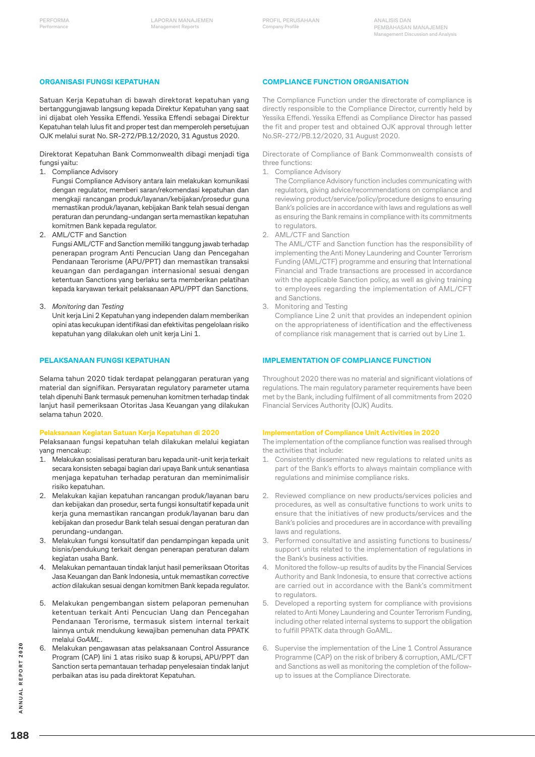#### **ORGANISASI FUNGSI KEPATUHAN**

Satuan Kerja Kepatuhan di bawah direktorat kepatuhan yang bertanggungjawab langsung kepada Direktur Kepatuhan yang saat ini dijabat oleh Yessika Effendi. Yessika Effendi sebagai Direktur Kepatuhan telah lulus fit and proper test dan memperoleh persetujuan OJK melalui surat No. SR-272/PB.12/2020, 31 Agustus 2020.

Direktorat Kepatuhan Bank Commonwealth dibagi menjadi tiga fungsi yaitu:

1. Compliance Advisory

Fungsi Compliance Advisory antara lain melakukan komunikasi dengan regulator, memberi saran/rekomendasi kepatuhan dan mengkaji rancangan produk/layanan/kebijakan/prosedur guna memastikan produk/layanan, kebijakan Bank telah sesuai dengan peraturan dan perundang-undangan serta memastikan kepatuhan komitmen Bank kepada regulator.

2. AML/CTF and Sanction

Fungsi AML/CTF and Sanction memiliki tanggung jawab terhadap penerapan program Anti Pencucian Uang dan Pencegahan Pendanaan Terorisme (APU/PPT) dan memastikan transaksi keuangan dan perdagangan internasional sesuai dengan ketentuan Sanctions yang berlaku serta memberikan pelatihan kepada karyawan terkait pelaksanaan APU/PPT dan Sanctions.

3. *Monitoring* dan *Testing*

Unit kerja Lini 2 Kepatuhan yang independen dalam memberikan opini atas kecukupan identifikasi dan efektivitas pengelolaan risiko kepatuhan yang dilakukan oleh unit kerja Lini 1.

#### **PELAKSANAAN FUNGSI KEPATUHAN**

Selama tahun 2020 tidak terdapat pelanggaran peraturan yang material dan signifikan. Persyaratan regulatory parameter utama telah dipenuhi Bank termasuk pemenuhan komitmen terhadap tindak lanjut hasil pemeriksaan Otoritas Jasa Keuangan yang dilakukan selama tahun 2020.

#### **Pelaksanaan Kegiatan Satuan Kerja Kepatuhan di 2020**

Pelaksanaan fungsi kepatuhan telah dilakukan melalui kegiatan yang mencakup:

- 1. Melakukan sosialisasi peraturan baru kepada unit-unit kerja terkait secara konsisten sebagai bagian dari upaya Bank untuk senantiasa menjaga kepatuhan terhadap peraturan dan meminimalisir risiko kepatuhan.
- 2. Melakukan kajian kepatuhan rancangan produk/layanan baru dan kebijakan dan prosedur, serta fungsi konsultatif kepada unit kerja guna memastikan rancangan produk/layanan baru dan kebijakan dan prosedur Bank telah sesuai dengan peraturan dan perundang-undangan.
- 3. Melakukan fungsi konsultatif dan pendampingan kepada unit bisnis/pendukung terkait dengan penerapan peraturan dalam kegiatan usaha Bank.
- 4. Melakukan pemantauan tindak lanjut hasil pemeriksaan Otoritas Jasa Keuangan dan Bank Indonesia, untuk memastikan *corrective action* dilakukan sesuai dengan komitmen Bank kepada regulator.
- 5. Melakukan pengembangan sistem pelaporan pemenuhan ketentuan terkait Anti Pencucian Uang dan Pencegahan Pendanaan Terorisme, termasuk sistem internal terkait lainnya untuk mendukung kewajiban pemenuhan data PPATK melalui *GoAML*.
- 6. Melakukan pengawasan atas pelaksanaan Control Assurance Program (CAP) lini 1 atas risiko suap & korupsi, APU/PPT dan Sanction serta pemantauan terhadap penyelesaian tindak lanjut perbaikan atas isu pada direktorat Kepatuhan.

#### **COMPLIANCE FUNCTION ORGANISATION**

The Compliance Function under the directorate of compliance is directly responsible to the Compliance Director, currently held by Yessika Effendi. Yessika Effendi as Compliance Director has passed the fit and proper test and obtained OJK approval through letter No.SR-272/PB.12/2020, 31 August 2020.

Directorate of Compliance of Bank Commonwealth consists of three functions:

1. Compliance Advisory

The Compliance Advisory function includes communicating with regulators, giving advice/recommendations on compliance and reviewing product/service/policy/procedure designs to ensuring Bank's policies are in accordance with laws and regulations as well as ensuring the Bank remains in compliance with its commitments to regulators.

2. AML/CTF and Sanction

The AML/CTF and Sanction function has the responsibility of implementing the Anti Money Laundering and Counter Terrorism Funding (AML/CTF) programme and ensuring that International Financial and Trade transactions are processed in accordance with the applicable Sanction policy, as well as giving training to employees regarding the implementation of AML/CFT and Sanctions.

3. Monitoring and Testing

Compliance Line 2 unit that provides an independent opinion on the appropriateness of identification and the effectiveness of compliance risk management that is carried out by Line 1.

#### **IMPLEMENTATION OF COMPLIANCE FUNCTION**

Throughout 2020 there was no material and significant violations of regulations. The main regulatory parameter requirements have been met by the Bank, including fulfilment of all commitments from 2020 Financial Services Authority (OJK) Audits.

#### **Implementation of Compliance Unit Activities in 2020**

The implementation of the compliance function was realised through the activities that include:

- 1. Consistently disseminated new regulations to related units as part of the Bank's efforts to always maintain compliance with regulations and minimise compliance risks.
- 2. Reviewed compliance on new products/services policies and procedures, as well as consultative functions to work units to ensure that the initiatives of new products/services and the Bank's policies and procedures are in accordance with prevailing laws and regulations.
- 3. Performed consultative and assisting functions to business/ support units related to the implementation of regulations in the Bank's business activities.
- 4. Monitored the follow-up results of audits by the Financial Services Authority and Bank Indonesia, to ensure that corrective actions are carried out in accordance with the Bank's commitment to regulators.
- 5. Developed a reporting system for compliance with provisions related to Anti Money Laundering and Counter Terrorism Funding, including other related internal systems to support the obligation to fulfill PPATK data through GoAML.
- Supervise the implementation of the Line 1 Control Assurance Programme (CAP) on the risk of bribery & corruption, AML/CFT and Sanctions as well as monitoring the completion of the followup to issues at the Compliance Directorate.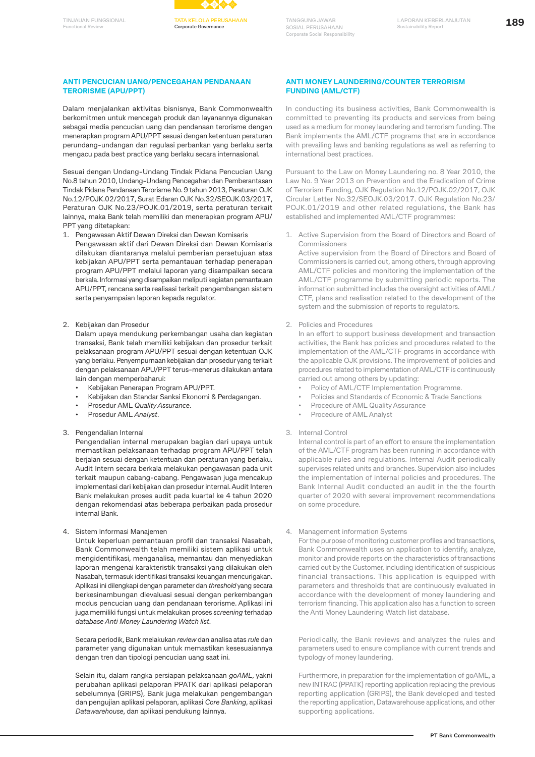



#### **ANTI PENCUCIAN UANG/PENCEGAHAN PENDANAAN TERORISME (APU/PPT)**

Dalam menjalankan aktivitas bisnisnya, Bank Commonwealth berkomitmen untuk mencegah produk dan layanannya digunakan sebagai media pencucian uang dan pendanaan terorisme dengan menerapkan program APU/PPT sesuai dengan ketentuan peraturan perundang-undangan dan regulasi perbankan yang berlaku serta mengacu pada best practice yang berlaku secara internasional.

Sesuai dengan Undang-Undang Tindak Pidana Pencucian Uang No.8 tahun 2010, Undang-Undang Pencegahan dan Pemberantasan Tindak Pidana Pendanaan Terorisme No. 9 tahun 2013, Peraturan OJK No.12/POJK.02/2017, Surat Edaran OJK No.32/SEOJK.03/2017, Peraturan OJK No.23/POJK.01/2019, serta peraturan terkait lainnya, maka Bank telah memiliki dan menerapkan program APU/ PPT yang ditetapkan:

- 1. Pengawasan Aktif Dewan Direksi dan Dewan Komisaris Pengawasan aktif dari Dewan Direksi dan Dewan Komisaris dilakukan diantaranya melalui pemberian persetujuan atas kebijakan APU/PPT serta pemantauan terhadap penerapan program APU/PPT melalui laporan yang disampaikan secara berkala. Informasi yang disampaikan meliputi kegiatan pemantauan APU/PPT, rencana serta realisasi terkait pengembangan sistem serta penyampaian laporan kepada regulator.
- 2. Kebijakan dan Prosedur

Dalam upaya mendukung perkembangan usaha dan kegiatan transaksi, Bank telah memiliki kebijakan dan prosedur terkait pelaksanaan program APU/PPT sesuai dengan ketentuan OJK yang berlaku. Penyempurnaan kebijakan dan prosedur yang terkait dengan pelaksanaan APU/PPT terus-menerus dilakukan antara lain dengan memperbaharui:

- Kebijakan Penerapan Program APU/PPT.
- Kebijakan dan Standar Sanksi Ekonomi & Perdagangan.
- Prosedur AML *Quality Assurance*.
- Prosedur AML *Analyst*.

#### 3. Pengendalian Internal

Pengendalian internal merupakan bagian dari upaya untuk memastikan pelaksanaan terhadap program APU/PPT telah berjalan sesuai dengan ketentuan dan peraturan yang berlaku. Audit Intern secara berkala melakukan pengawasan pada unit terkait maupun cabang-cabang. Pengawasan juga mencakup implementasi dari kebijakan dan prosedur internal. Audit Interen Bank melakukan proses audit pada kuartal ke 4 tahun 2020 dengan rekomendasi atas beberapa perbaikan pada prosedur internal Bank.

4. Sistem Informasi Manajemen

Untuk keperluan pemantauan profil dan transaksi Nasabah, Bank Commonwealth telah memiliki sistem aplikasi untuk mengidentifikasi, menganalisa, memantau dan menyediakan laporan mengenai karakteristik transaksi yang dilakukan oleh Nasabah, termasuk identifikasi transaksi keuangan mencurigakan. Aplikasi ini dilengkapi dengan parameter dan *threshold* yang secara berkesinambungan dievaluasi sesuai dengan perkembangan modus pencucian uang dan pendanaan terorisme. Aplikasi ini juga memiliki fungsi untuk melakukan proses *screening* terhadap *database Anti Money Laundering Watch list*.

Secara periodik, Bank melakukan *review* dan analisa atas *rule* dan parameter yang digunakan untuk memastikan kesesuaiannya dengan tren dan tipologi pencucian uang saat ini.

Selain itu, dalam rangka persiapan pelaksanaan *goAML*, yakni perubahan aplikasi pelaporan PPATK dari aplikasi pelaporan sebelumnya (GRIPS), Bank juga melakukan pengembangan dan pengujian aplikasi pelaporan, aplikasi *Core Banking*, aplikasi *Datawarehouse*, dan aplikasi pendukung lainnya.

#### **ANTI MONEY LAUNDERING/COUNTER TERRORISM FUNDING (AML/CTF)**

In conducting its business activities, Bank Commonwealth is committed to preventing its products and services from being used as a medium for money laundering and terrorism funding. The Bank implements the AML/CTF programs that are in accordance with prevailing laws and banking regulations as well as referring to international best practices.

Pursuant to the Law on Money Laundering no. 8 Year 2010, the Law No. 9 Year 2013 on Prevention and the Eradication of Crime of Terrorism Funding, OJK Regulation No.12/POJK.02/2017, OJK Circular Letter No.32/SEOJK.03/2017. OJK Regulation No.23/ POJK.01/2019 and other related regulations, the Bank has established and implemented AML/CTF programmes:

1. Active Supervision from the Board of Directors and Board of Commissioners

Active supervision from the Board of Directors and Board of Commissioners is carried out, among others, through approving AML/CTF policies and monitoring the implementation of the AML/CTF programme by submitting periodic reports. The information submitted includes the oversight activities of AML/ CTF, plans and realisation related to the development of the system and the submission of reports to regulators.

2. Policies and Procedures

In an effort to support business development and transaction activities, the Bank has policies and procedures related to the implementation of the AML/CTF programs in accordance with the applicable OJK provisions. The improvement of policies and procedures related to implementation of AML/CTF is continuously carried out among others by updating:

- Policy of AML/CTF Implementation Programme.
- Policies and Standards of Economic & Trade Sanctions
- Procedure of AML Quality Assurance
- Procedure of AML Analyst

#### 3. Internal Control

Internal control is part of an effort to ensure the implementation of the AML/CTF program has been running in accordance with applicable rules and regulations. Internal Audit periodically supervises related units and branches. Supervision also includes the implementation of internal policies and procedures. The Bank Internal Audit conducted an audit in the the fourth quarter of 2020 with several improvement recommendations on some procedure.

#### 4. Management information Systems

For the purpose of monitoring customer profiles and transactions, Bank Commonwealth uses an application to identify, analyze, monitor and provide reports on the characteristics of transactions carried out by the Customer, including identification of suspicious financial transactions. This application is equipped with parameters and thresholds that are continuously evaluated in accordance with the development of money laundering and terrorism financing. This application also has a function to screen the Anti Money Laundering Watch list database.

Periodically, the Bank reviews and analyzes the rules and parameters used to ensure compliance with current trends and typology of money laundering.

Furthermore, in preparation for the implementation of goAML, a new INTRAC (PPATK) reporting application replacing the previous reporting application (GRIPS), the Bank developed and tested the reporting application, Datawarehouse applications, and other supporting applications.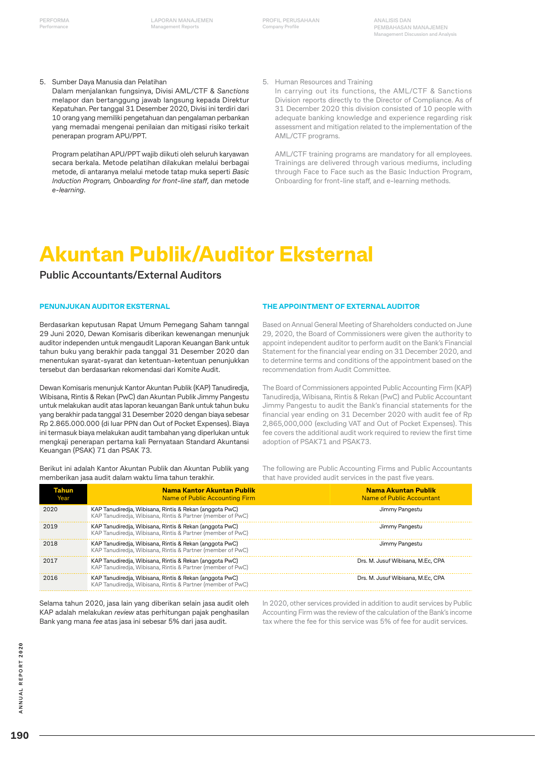5. Sumber Daya Manusia dan Pelatihan

Dalam menjalankan fungsinya, Divisi AML/CTF & *Sanctions*  melapor dan bertanggung jawab langsung kepada Direktur Kepatuhan. Per tanggal 31 Desember 2020, Divisi ini terdiri dari 10 orang yang memiliki pengetahuan dan pengalaman perbankan yang memadai mengenai penilaian dan mitigasi risiko terkait penerapan program APU/PPT.

Program pelatihan APU/PPT wajib diikuti oleh seluruh karyawan secara berkala. Metode pelatihan dilakukan melalui berbagai metode, di antaranya melalui metode tatap muka seperti *Basic Induction Program, Onboarding for front-line staff*, dan metode *e-learning*.

5. Human Resources and Training

In carrying out its functions, the AML/CTF & Sanctions Division reports directly to the Director of Compliance. As of 31 December 2020 this division consisted of 10 people with adequate banking knowledge and experience regarding risk assessment and mitigation related to the implementation of the AML/CTF programs.

AML/CTF training programs are mandatory for all employees. Trainings are delivered through various mediums, including through Face to Face such as the Basic Induction Program, Onboarding for front-line staff, and e-learning methods.

# **Akuntan Publik/Auditor Eksternal**

### **Public Accountants/External Auditors**

#### **PENUNJUKAN AUDITOR EKSTERNAL**

Berdasarkan keputusan Rapat Umum Pemegang Saham tanngal 29 Juni 2020, Dewan Komisaris diberikan kewenangan menunjuk auditor independen untuk mengaudit Laporan Keuangan Bank untuk tahun buku yang berakhir pada tanggal 31 Desember 2020 dan menentukan syarat-syarat dan ketentuan-ketentuan penunjukkan tersebut dan berdasarkan rekomendasi dari Komite Audit.

Dewan Komisaris menunjuk Kantor Akuntan Publik (KAP) Tanudiredja, Wibisana, Rintis & Rekan (PwC) dan Akuntan Publik Jimmy Pangestu untuk melakukan audit atas laporan keuangan Bank untuk tahun buku yang berakhir pada tanggal 31 Desember 2020 dengan biaya sebesar Rp 2.865.000.000 (di luar PPN dan Out of Pocket Expenses). Biaya ini termasuk biaya melakukan audit tambahan yang diperlukan untuk mengkaji penerapan pertama kali Pernyataan Standard Akuntansi Keuangan (PSAK) 71 dan PSAK 73.

Berikut ini adalah Kantor Akuntan Publik dan Akuntan Publik yang memberikan jasa audit dalam waktu lima tahun terakhir.

### **THE APPOINTMENT OF EXTERNAL AUDITOR**

Based on Annual General Meeting of Shareholders conducted on June 29, 2020, the Board of Commissioners were given the authority to appoint independent auditor to perform audit on the Bank's Financial Statement for the financial year ending on 31 December 2020, and to determine terms and conditions of the appointment based on the recommendation from Audit Committee.

The Board of Commissioners appointed Public Accounting Firm (KAP) Tanudiredja, Wibisana, Rintis & Rekan (PwC) and Public Accountant Jimmy Pangestu to audit the Bank's financial statements for the financial year ending on 31 December 2020 with audit fee of Rp 2,865,000,000 (excluding VAT and Out of Pocket Expenses). This fee covers the additional audit work required to review the first time adoption of PSAK71 and PSAK73.

The following are Public Accounting Firms and Public Accountants that have provided audit services in the past five years.

| Tahun<br>Year | Nama Kantor Akuntan Publik<br>Name of Public Accounting Firm                                                           | <b>Nama Akuntan Publik</b><br>Name of Public Accountant |
|---------------|------------------------------------------------------------------------------------------------------------------------|---------------------------------------------------------|
| 2020          | KAP Tanudiredia, Wibisana, Rintis & Rekan (anggota PwC)<br>KAP Tanudiredia, Wibisana, Rintis & Partner (member of PwC) | Jimmy Pangestu                                          |
| 2019          | KAP Tanudiredia, Wibisana, Rintis & Rekan (anggota PwC)<br>KAP Tanudiredja, Wibisana, Rintis & Partner (member of PwC) | Jimmy Pangestu                                          |
| 2018          | KAP Tanudiredia, Wibisana, Rintis & Rekan (anggota PwC)<br>KAP Tanudiredia, Wibisana, Rintis & Partner (member of PwC) | Jimmy Pangestu                                          |
| 2017          | KAP Tanudiredia, Wibisana, Rintis & Rekan (anggota PwC)<br>KAP Tanudiredia, Wibisana, Rintis & Partner (member of PwC) | Drs. M. Jusuf Wibisana, M.Ec. CPA                       |
| 2016          | KAP Tanudiredia, Wibisana, Rintis & Rekan (anggota PwC)<br>KAP Tanudiredia, Wibisana, Rintis & Partner (member of PwC) | Drs. M. Jusuf Wibisana, M.Ec. CPA                       |

Selama tahun 2020, jasa lain yang diberikan selain jasa audit oleh KAP adalah melakukan *review* atas perhitungan pajak penghasilan Bank yang mana *fee* atas jasa ini sebesar 5% dari jasa audit.

In 2020, other services provided in addition to audit services by Public Accounting Firm was the review of the calculation of the Bank's income tax where the fee for this service was 5% of fee for audit services.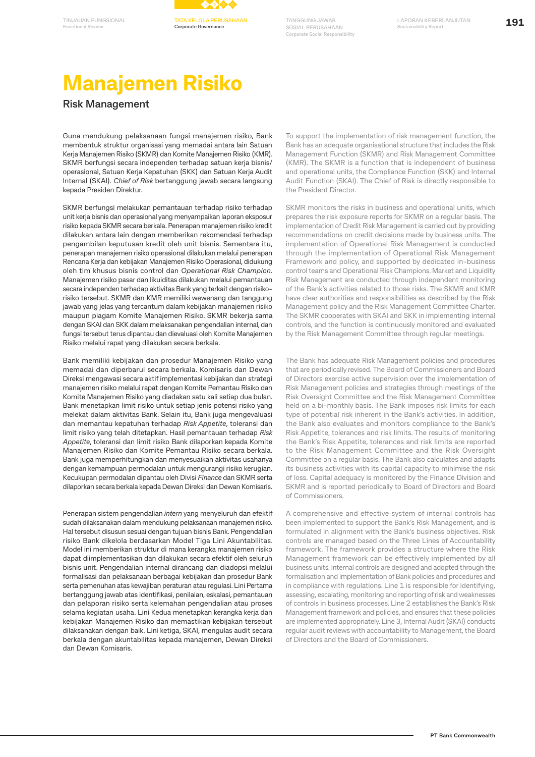



# **Manajemen Risiko**

### **Risk Management**

Guna mendukung pelaksanaan fungsi manajemen risiko, Bank membentuk struktur organisasi yang memadai antara lain Satuan Kerja Manajemen Risiko (SKMR) dan Komite Manajemen Risiko (KMR). SKMR berfungsi secara independen terhadap satuan kerja bisnis/ operasional, Satuan Kerja Kepatuhan (SKK) dan Satuan Kerja Audit Internal (SKAI). *Chief of Risk* bertanggung jawab secara langsung kepada Presiden Direktur.

SKMR berfungsi melakukan pemantauan terhadap risiko terhadap unit kerja bisnis dan operasional yang menyampaikan laporan eksposur risiko kepada SKMR secara berkala. Penerapan manajemen risiko kredit dilakukan antara lain dengan memberikan rekomendasi terhadap pengambilan keputusan kredit oleh unit bisnis. Sementara itu, penerapan manajemen risiko operasional dilakukan melalui penerapan Rencana Kerja dan kebijakan Manajemen Risiko Operasional, didukung oleh tim khusus bisnis control dan *Operational Risk Champion*. Manajemen risiko pasar dan likuiditas dilakukan melalui pemantauan secara independen terhadap aktivitas Bank yang terkait dengan risikorisiko tersebut. SKMR dan KMR memiliki wewenang dan tanggung jawab yang jelas yang tercantum dalam kebijakan manajemen risiko maupun piagam Komite Manajemen Risiko. SKMR bekerja sama dengan SKAI dan SKK dalam melaksanakan pengendalian internal, dan fungsi tersebut terus dipantau dan dievaluasi oleh Komite Manajemen Risiko melalui rapat yang dilakukan secara berkala.

Bank memiliki kebijakan dan prosedur Manajemen Risiko yang memadai dan diperbarui secara berkala. Komisaris dan Dewan Direksi mengawasi secara aktif implementasi kebijakan dan strategi manajemen risiko melalui rapat dengan Komite Pemantau Risiko dan Komite Manajemen Risiko yang diadakan satu kali setiap dua bulan. Bank menetapkan limit risiko untuk setiap jenis potensi risiko yang melekat dalam aktivitas Bank. Selain itu, Bank juga mengevaluasi dan memantau kepatuhan terhadap *Risk Appetite*, toleransi dan limit risiko yang telah ditetapkan. Hasil pemantauan terhadap *Risk Appetite*, toleransi dan limit risiko Bank dilaporkan kepada Komite Manajemen Risiko dan Komite Pemantau Risiko secara berkala. Bank juga memperhitungkan dan menyesuaikan aktivitas usahanya dengan kemampuan permodalan untuk mengurangi risiko kerugian. Kecukupan permodalan dipantau oleh Divisi *Finance* dan SKMR serta dilaporkan secara berkala kepada Dewan Direksi dan Dewan Komisaris.

Penerapan sistem pengendalian *intern* yang menyeluruh dan efektif sudah dilaksanakan dalam mendukung pelaksanaan manajemen risiko. Hal tersebut disusun sesuai dengan tujuan bisnis Bank. Pengendalian risiko Bank dikelola berdasarkan Model Tiga Lini Akuntabilitas. Model ini memberikan struktur di mana kerangka manajemen risiko dapat diimplementasikan dan dilakukan secara efektif oleh seluruh bisnis unit. Pengendalian internal dirancang dan diadopsi melalui formalisasi dan pelaksanaan berbagai kebijakan dan prosedur Bank serta pemenuhan atas kewajiban peraturan atau regulasi. Lini Pertama bertanggung jawab atas identifikasi, penilaian, eskalasi, pemantauan dan pelaporan risiko serta kelemahan pengendalian atau proses selama kegiatan usaha. Lini Kedua menetapkan kerangka kerja dan kebijakan Manajemen Risiko dan memastikan kebijakan tersebut dilaksanakan dengan baik. Lini ketiga, SKAI, mengulas audit secara berkala dengan akuntabilitas kepada manajemen, Dewan Direksi dan Dewan Komisaris.

To support the implementation of risk management function, the Bank has an adequate organisational structure that includes the Risk Management Function (SKMR) and Risk Management Committee (KMR). The SKMR is a function that is independent of business and operational units, the Compliance Function (SKK) and Internal Audit Function (SKAI). The Chief of Risk is directly responsible to the President Director.

SKMR monitors the risks in business and operational units, which prepares the risk exposure reports for SKMR on a regular basis. The implementation of Credit Risk Management is carried out by providing recommendations on credit decisions made by business units. The implementation of Operational Risk Management is conducted through the implementation of Operational Risk Management Framework and policy, and supported by dedicated in-business control teams and Operational Risk Champions. Market and Liquidity Risk Management are conducted through independent monitoring of the Bank's activities related to those risks. The SKMR and KMR have clear authorities and responsibilities as described by the Risk Management policy and the Risk Management Committee Charter. The SKMR cooperates with SKAI and SKK in implementing internal controls, and the function is continuously monitored and evaluated by the Risk Management Committee through regular meetings.

The Bank has adequate Risk Management policies and procedures that are periodically revised. The Board of Commissioners and Board of Directors exercise active supervision over the implementation of Risk Management policies and strategies through meetings of the Risk Oversight Committee and the Risk Management Committee held on a bi-monthly basis. The Bank imposes risk limits for each type of potential risk inherent in the Bank's activities. In addition, the Bank also evaluates and monitors compliance to the Bank's Risk Appetite, tolerances and risk limits. The results of monitoring the Bank's Risk Appetite, tolerances and risk limits are reported to the Risk Management Committee and the Risk Oversight Committee on a regular basis. The Bank also calculates and adapts its business activities with its capital capacity to minimise the risk of loss. Capital adequacy is monitored by the Finance Division and SKMR and is reported periodically to Board of Directors and Board of Commissioners.

A comprehensive and effective system of internal controls has been implemented to support the Bank's Risk Management, and is formulated in alignment with the Bank's business objectives. Risk controls are managed based on the Three Lines of Accountability framework. The framework provides a structure where the Risk Management framework can be effectively implemented by all business units. Internal controls are designed and adopted through the formalisation and implementation of Bank policies and procedures and in compliance with regulations. Line 1 is responsible for identifying, assessing, escalating, monitoring and reporting of risk and weaknesses of controls in business processes. Line 2 establishes the Bank's Risk Management framework and policies, and ensures that these policies are implemented appropriately. Line 3, Internal Audit (SKAI) conducts regular audit reviews with accountability to Management, the Board of Directors and the Board of Commissioners.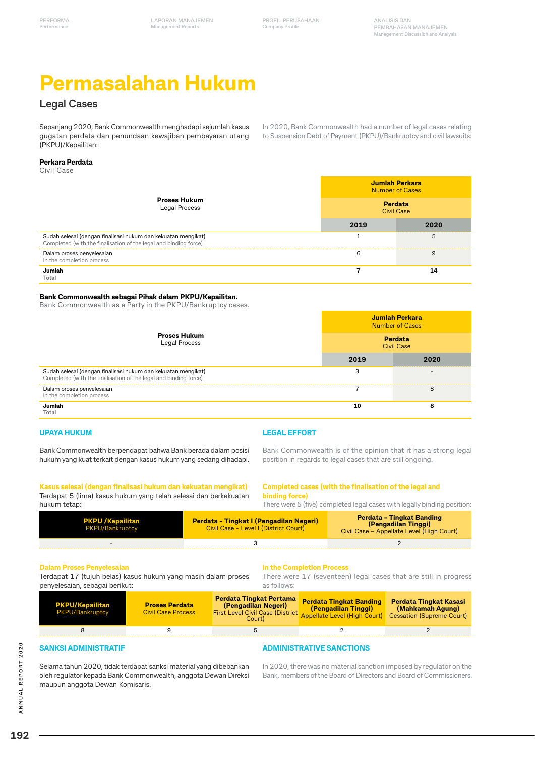# **Permasalahan Hukum**

# **Legal Cases**

Sepanjang 2020, Bank Commonwealth menghadapi sejumlah kasus gugatan perdata dan penundaan kewajiban pembayaran utang (PKPU)/Kepailitan:

In 2020, Bank Commonwealth had a number of legal cases relating to Suspension Debt of Payment (PKPU)/Bankruptcy and civil lawsuits:

#### **Perkara Perdata**

Civil Case

|                                                                                                                                   | Jumlah Perkara<br><b>Number of Cases</b> |      |
|-----------------------------------------------------------------------------------------------------------------------------------|------------------------------------------|------|
| <b>Proses Hukum</b><br><b>Legal Process</b>                                                                                       | Perdata<br><b>Civil Case</b>             |      |
|                                                                                                                                   | 2019                                     | 2020 |
| Sudah selesai (dengan finalisasi hukum dan kekuatan mengikat)<br>Completed (with the finalisation of the legal and binding force) |                                          | 5    |
| Dalam proses penyelesaian<br>In the completion process                                                                            | 6                                        | 9    |
| Jumlah<br>Total                                                                                                                   |                                          | 14   |

#### **Bank Commonwealth sebagai Pihak dalam PKPU/Kepailitan.**

Bank Commonwealth as a Party in the PKPU/Bankruptcy cases.

|                                                                                                                                   | Jumlah Perkara<br><b>Number of Cases</b> |      |
|-----------------------------------------------------------------------------------------------------------------------------------|------------------------------------------|------|
| <b>Proses Hukum</b><br>Legal Process                                                                                              | Perdata<br><b>Civil Case</b>             |      |
|                                                                                                                                   | 2019                                     | 2020 |
| Sudah selesai (dengan finalisasi hukum dan kekuatan mengikat)<br>Completed (with the finalisation of the legal and binding force) | 3                                        |      |
| Dalam proses penyelesaian<br>In the completion process                                                                            |                                          | 8    |
| Jumlah<br>Total                                                                                                                   | 10                                       | 8    |

#### **UPAYA HUKUM**

**LEGAL EFFORT**

Bank Commonwealth berpendapat bahwa Bank berada dalam posisi hukum yang kuat terkait dengan kasus hukum yang sedang dihadapi.

### Bank Commonwealth is of the opinion that it has a strong legal position in regards to legal cases that are still ongoing.

**Kasus selesai (dengan finalisasi hukum dan kekuatan mengikat)** Terdapat 5 (lima) kasus hukum yang telah selesai dan berkekuatan hukum tetap:

#### **Completed cases (with the finalisation of the legal and binding force)** There were 5 (five) completed legal cases with legally binding position:

| <b>PKPU / Kepailitan</b><br><b>PKPU/Bankruptcy</b> | <b>Perdata - Tingkat I (Pengadilan Negeri)</b><br>Civil Case - Level I (District Court) | <b>Perdata - Tingkat Banding</b><br>(Pengadilan Tinggi)<br>Civil Case – Appellate Level (High Court) |
|----------------------------------------------------|-----------------------------------------------------------------------------------------|------------------------------------------------------------------------------------------------------|
|                                                    |                                                                                         |                                                                                                      |

### **Dalam Proses Penyelesaian**

Terdapat 17 (tujuh belas) kasus hukum yang masih dalam proses penyelesaian, sebagai berikut:

#### **In the Completion Process**

**ADMINISTRATIVE SANCTIONS**

There were 17 (seventeen) legal cases that are still in progress as follows:

| <b>PKPU/Kepailitan</b><br>PKPU/Bankruptcy | <b>Proses Perdata</b><br><b>Civil Case Process</b> | Perdata Tingkat Pertama<br>(Pengadilan Negeri)<br><b>First Level Civil Case (District</b><br>Court) | <b>Perdata Tingkat Banding</b><br>(Pengadilan Tinggi)<br>Appellate Level (High Court) Cessation (Supreme Court) | <b>Perdata Tingkat Kasasi</b><br>(Mahkamah Agung) |
|-------------------------------------------|----------------------------------------------------|-----------------------------------------------------------------------------------------------------|-----------------------------------------------------------------------------------------------------------------|---------------------------------------------------|
|                                           |                                                    |                                                                                                     |                                                                                                                 |                                                   |
|                                           |                                                    |                                                                                                     |                                                                                                                 |                                                   |

#### **SANKSI ADMINISTRATIF**

Selama tahun 2020, tidak terdapat sanksi material yang dibebankan oleh regulator kepada Bank Commonwealth, anggota Dewan Direksi maupun anggota Dewan Komisaris.

#### In 2020, there was no material sanction imposed by regulator on the Bank, members of the Board of Directors and Board of Commissioners.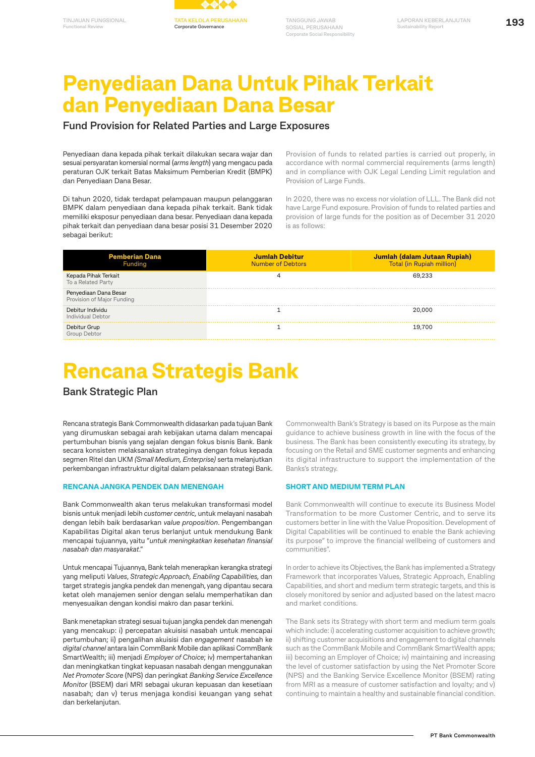

# **Penyediaan Dana Untuk Pihak Terkait dan Penyediaan Dana Besar**

### **Fund Provision for Related Parties and Large Exposures**

Penyediaan dana kepada pihak terkait dilakukan secara wajar dan sesuai persyaratan komersial normal (*arms length*) yang mengacu pada peraturan OJK terkait Batas Maksimum Pemberian Kredit (BMPK) dan Penyediaan Dana Besar.

Di tahun 2020, tidak terdapat pelampauan maupun pelanggaran BMPK dalam penyediaan dana kepada pihak terkait. Bank tidak memiliki eksposur penyediaan dana besar. Penyediaan dana kepada pihak terkait dan penyediaan dana besar posisi 31 Desember 2020 sebagai berikut:

Provision of funds to related parties is carried out properly, in accordance with normal commercial requirements (arms length) and in compliance with OJK Legal Lending Limit regulation and Provision of Large Funds.

In 2020, there was no excess nor violation of LLL. The Bank did not have Large Fund exposure. Provision of funds to related parties and provision of large funds for the position as of December 31 2020 is as follows:

| <b>Pemberian Dana</b><br><b>Funding</b>             | Jumlah Debitur<br><b>Number of Debtors</b> | Jumlah (dalam Jutaan Rupiah)<br>Total (in Rupiah million) |
|-----------------------------------------------------|--------------------------------------------|-----------------------------------------------------------|
| Kepada Pihak Terkait<br>To a Related Party          |                                            | 69.233                                                    |
| Penyediaan Dana Besar<br>Provision of Major Funding |                                            |                                                           |
| Debitur Individu<br>Individual Debtor               |                                            | 20 N.N                                                    |
| Debitur Grup<br>Group Debtor                        |                                            | 19700                                                     |

# **Rencana Strategis Bank**

### **Bank Strategic Plan**

Rencana strategis Bank Commonwealth didasarkan pada tujuan Bank yang dirumuskan sebagai arah kebijakan utama dalam mencapai pertumbuhan bisnis yang sejalan dengan fokus bisnis Bank. Bank secara konsisten melaksanakan strateginya dengan fokus kepada segmen Ritel dan UKM *(Small Medium, Enterprise)* serta melanjutkan perkembangan infrastruktur digital dalam pelaksanaan strategi Bank.

#### **RENCANA JANGKA PENDEK DAN MENENGAH**

Bank Commonwealth akan terus melakukan transformasi model bisnis untuk menjadi lebih *customer centric,* untuk melayani nasabah dengan lebih baik berdasarkan *value proposition*. Pengembangan Kapabilitas Digital akan terus berlanjut untuk mendukung Bank mencapai tujuannya, yaitu "*untuk meningkatkan kesehatan finansial nasabah dan masyarakat*."

Untuk mencapai Tujuannya, Bank telah menerapkan kerangka strategi yang meliputi *Values*, *Strategic Approach, Enabling Capabilities,* dan target strategis jangka pendek dan menengah, yang dipantau secara ketat oleh manajemen senior dengan selalu memperhatikan dan menyesuaikan dengan kondisi makro dan pasar terkini.

Bank menetapkan strategi sesuai tujuan jangka pendek dan menengah yang mencakup: i) percepatan akuisisi nasabah untuk mencapai pertumbuhan; ii) pengalihan akuisisi dan *engagement* nasabah ke *digital channel* antara lain CommBank Mobile dan aplikasi CommBank SmartWealth; iii) menjadi *Employer of Choice*; iv) mempertahankan dan meningkatkan tingkat kepuasan nasabah dengan menggunakan *Net Promoter Score* (NPS) dan peringkat *Banking Service Excellence Monitor* (BSEM) dari MRI sebagai ukuran kepuasan dan kesetiaan nasabah; dan v) terus menjaga kondisi keuangan yang sehat dan berkelanjutan.

Commonwealth Bank's Strategy is based on its Purpose as the main guidance to achieve business growth in line with the focus of the business. The Bank has been consistently executing its strategy, by focusing on the Retail and SME customer segments and enhancing its digital infrastructure to support the implementation of the Banks's strategy.

#### **SHORT AND MEDIUM TERM PLAN**

Bank Commonwealth will continue to execute its Business Model Transformation to be more Customer Centric, and to serve its customers better in line with the Value Proposition. Development of Digital Capabilities will be continued to enable the Bank achieving its purpose" to improve the financial wellbeing of customers and communities".

In order to achieve its Objectives, the Bank has implemented a Strategy Framework that incorporates Values, Strategic Approach, Enabling Capabilities, and short and medium term strategic targets, and this is closely monitored by senior and adjusted based on the latest macro and market conditions.

The Bank sets its Strategy with short term and medium term goals which include: i) accelerating customer acquisition to achieve growth; ii) shifting customer acquisitions and engagement to digital channels such as the CommBank Mobile and CommBank SmartWealth apps; iii) becoming an Employer of Choice; iv) maintaining and increasing the level of customer satisfaction by using the Net Promoter Score (NPS) and the Banking Service Excellence Monitor (BSEM) rating from MRI as a measure of customer satisfaction and loyalty; and v) continuing to maintain a healthy and sustainable financial condition.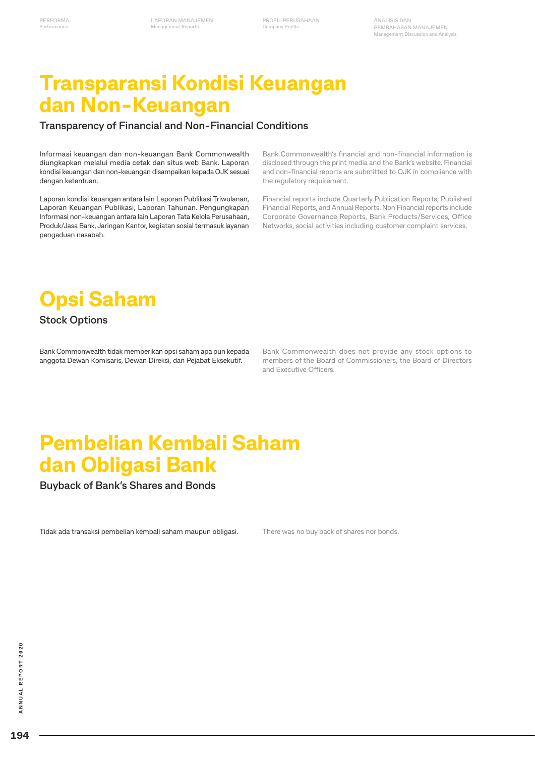**PROFIL PERUSAHAAN Company Profile**

# **Transparansi Kondisi Keuangan dan Non-Keuangan**

### **Transparency of Financial and Non-Financial Conditions**

Informasi keuangan dan non-keuangan Bank Commonwealth diungkapkan melalui media cetak dan situs web Bank. Laporan kondisi keuangan dan non-keuangan disampaikan kepada OJK sesuai dengan ketentuan.

Laporan kondisi keuangan antara lain Laporan Publikasi Triwulanan, Laporan Keuangan Publikasi, Laporan Tahunan. Pengungkapan Informasi non-keuangan antara lain Laporan Tata Kelola Perusahaan, Produk/Jasa Bank, Jaringan Kantor, kegiatan sosial termasuk layanan pengaduan nasabah.

Bank Commonwealth's financial and non-financial information is disclosed through the print media and the Bank's website. Financial and non-financial reports are submitted to OJK in compliance with the regulatory requirement.

Financial reports include Quarterly Publication Reports, Published Financial Reports, and Annual Reports. Non Financial reports include Corporate Governance Reports, Bank Products/Services, Office Networks, social activities including customer complaint services.



### **Stock Options**

Bank Commonwealth tidak memberikan opsi saham apa pun kepada anggota Dewan Komisaris, Dewan Direksi, dan Pejabat Eksekutif.

Bank Commonwealth does not provide any stock options to members of the Board of Commissioners, the Board of Directors and Executive Officers.

# **Pembelian Kembali Saham dan Obligasi Bank**

**Buyback of Bank's Shares and Bonds**

Tidak ada transaksi pembelian kembali saham maupun obligasi.

There was no buy back of shares nor bonds.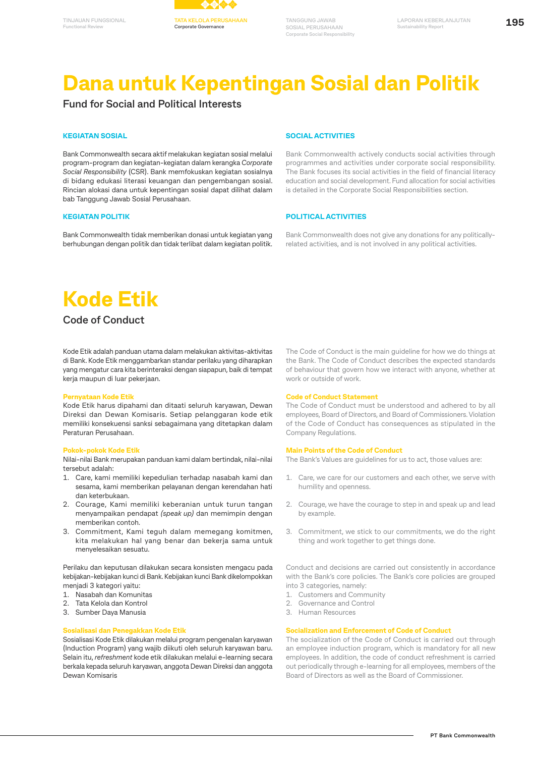

# **Dana untuk Kepentingan Sosial dan Politik**

## **Fund for Social and Political Interests**

#### **KEGIATAN SOSIAL**

Bank Commonwealth secara aktif melakukan kegiatan sosial melalui program-program dan kegiatan-kegiatan dalam kerangka *Corporate Social Responsibility* (CSR). Bank memfokuskan kegiatan sosialnya di bidang edukasi literasi keuangan dan pengembangan sosial. Rincian alokasi dana untuk kepentingan sosial dapat dilihat dalam bab Tanggung Jawab Sosial Perusahaan.

#### **KEGIATAN POLITIK**

Bank Commonwealth tidak memberikan donasi untuk kegiatan yang berhubungan dengan politik dan tidak terlibat dalam kegiatan politik.

#### **SOCIAL ACTIVITIES**

Bank Commonwealth actively conducts social activities through programmes and activities under corporate social responsibility. The Bank focuses its social activities in the field of financial literacy education and social development. Fund allocation for social activities is detailed in the Corporate Social Responsibilities section.

#### **POLITICAL ACTIVITIES**

Bank Commonwealth does not give any donations for any politicallyrelated activities, and is not involved in any political activities.

# **Kode Etik**

# **Code of Conduct**

Kode Etik adalah panduan utama dalam melakukan aktivitas-aktivitas di Bank. Kode Etik menggambarkan standar perilaku yang diharapkan yang mengatur cara kita berinteraksi dengan siapapun, baik di tempat kerja maupun di luar pekerjaan.

#### **Pernyataan Kode Etik**

Kode Etik harus dipahami dan ditaati seluruh karyawan, Dewan Direksi dan Dewan Komisaris. Setiap pelanggaran kode etik memiliki konsekuensi sanksi sebagaimana yang ditetapkan dalam Peraturan Perusahaan.

#### **Pokok-pokok Kode Etik**

Nilai-nilai Bank merupakan panduan kami dalam bertindak, nilai-nilai tersebut adalah:

- 1. Care, kami memiliki kepedulian terhadap nasabah kami dan sesama, kami memberikan pelayanan dengan kerendahan hati dan keterbukaan.
- 2. Courage, Kami memiliki keberanian untuk turun tangan menyampaikan pendapat *(speak up)* dan memimpin dengan memberikan contoh.
- 3. Commitment, Kami teguh dalam memegang komitmen, kita melakukan hal yang benar dan bekerja sama untuk menyelesaikan sesuatu.

Perilaku dan keputusan dilakukan secara konsisten mengacu pada kebijakan-kebijakan kunci di Bank. Kebijakan kunci Bank dikelompokkan menjadi 3 kategori yaitu:

- 1. Nasabah dan Komunitas
- 2. Tata Kelola dan Kontrol
- 3. Sumber Daya Manusia

#### **Sosialisasi dan Penegakkan Kode Etik**

Sosialisasi Kode Etik dilakukan melalui program pengenalan karyawan (Induction Program) yang wajib diikuti oleh seluruh karyawan baru. Selain itu, *refreshment* kode etik dilakukan melalui e-learning secara berkala kepada seluruh karyawan, anggota Dewan Direksi dan anggota Dewan Komisaris

The Code of Conduct is the main guideline for how we do things at the Bank. The Code of Conduct describes the expected standards of behaviour that govern how we interact with anyone, whether at work or outside of work.

#### **Code of Conduct Statement**

The Code of Conduct must be understood and adhered to by all employees, Board of Directors, and Board of Commissioners. Violation of the Code of Conduct has consequences as stipulated in the Company Regulations.

#### **Main Points of the Code of Conduct**

The Bank's Values are guidelines for us to act, those values are:

- 1. Care, we care for our customers and each other, we serve with humility and openness.
- 2. Courage, we have the courage to step in and speak up and lead by example.
- 3. Commitment, we stick to our commitments, we do the right thing and work together to get things done.

Conduct and decisions are carried out consistently in accordance with the Bank's core policies. The Bank's core policies are grouped into 3 categories, namely:

- 1. Customers and Community
- 2. Governance and Control
- 3. Human Resources

#### **Socialization and Enforcement of Code of Conduct**

The socialization of the Code of Conduct is carried out through an employee induction program, which is mandatory for all new employees. In addition, the code of conduct refreshment is carried out periodically through e-learning for all employees, members of the Board of Directors as well as the Board of Commissioner.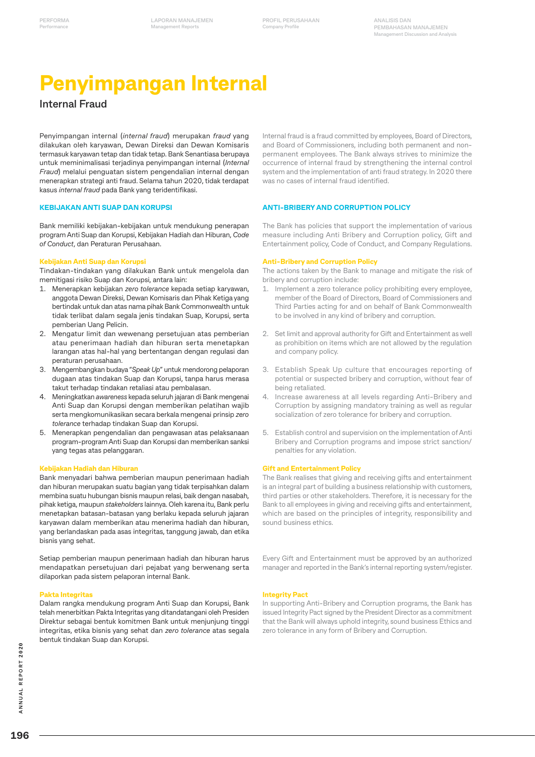# **Penyimpangan Internal**

# **Internal Fraud**

Penyimpangan internal (*internal fraud*) merupakan *fraud* yang dilakukan oleh karyawan, Dewan Direksi dan Dewan Komisaris termasuk karyawan tetap dan tidak tetap. Bank Senantiasa berupaya untuk meminimalisasi terjadinya penyimpangan internal (*Internal Fraud*) melalui penguatan sistem pengendalian internal dengan menerapkan strategi anti fraud. Selama tahun 2020, tidak terdapat kasus *internal fraud* pada Bank yang teridentifikasi.

#### **KEBIJAKAN ANTI SUAP DAN KORUPSI**

Bank memiliki kebijakan-kebijakan untuk mendukung penerapan program Anti Suap dan Korupsi, Kebijakan Hadiah dan Hiburan, *Code of Conduct*, dan Peraturan Perusahaan.

#### **Kebijakan Anti Suap dan Korupsi**

Tindakan-tindakan yang dilakukan Bank untuk mengelola dan memitigasi risiko Suap dan Korupsi, antara lain:

- 1. Menerapkan kebijakan *zero tolerance* kepada setiap karyawan, anggota Dewan Direksi, Dewan Komisaris dan Pihak Ketiga yang bertindak untuk dan atas nama pihak Bank Commonwealth untuk tidak terlibat dalam segala jenis tindakan Suap, Korupsi, serta pemberian Uang Pelicin.
- 2. Mengatur limit dan wewenang persetujuan atas pemberian atau penerimaan hadiah dan hiburan serta menetapkan larangan atas hal-hal yang bertentangan dengan regulasi dan peraturan perusahaan.
- 3. Mengembangkan budaya "*Speak Up*" untuk mendorong pelaporan dugaan atas tindakan Suap dan Korupsi, tanpa harus merasa takut terhadap tindakan retaliasi atau pembalasan.
- 4. Meningkatkan *awareness* kepada seluruh jajaran di Bank mengenai Anti Suap dan Korupsi dengan memberikan pelatihan wajib serta mengkomunikasikan secara berkala mengenai prinsip *zero tolerance* terhadap tindakan Suap dan Korupsi.
- 5. Menerapkan pengendalian dan pengawasan atas pelaksanaan program-program Anti Suap dan Korupsi dan memberikan sanksi yang tegas atas pelanggaran.

#### **Kebijakan Hadiah dan Hiburan**

Bank menyadari bahwa pemberian maupun penerimaan hadiah dan hiburan merupakan suatu bagian yang tidak terpisahkan dalam membina suatu hubungan bisnis maupun relasi, baik dengan nasabah, pihak ketiga, maupun *stakeholders* lainnya. Oleh karena itu, Bank perlu menetapkan batasan-batasan yang berlaku kepada seluruh jajaran karyawan dalam memberikan atau menerima hadiah dan hiburan, yang berlandaskan pada asas integritas, tanggung jawab, dan etika bisnis yang sehat.

Setiap pemberian maupun penerimaan hadiah dan hiburan harus mendapatkan persetujuan dari pejabat yang berwenang serta dilaporkan pada sistem pelaporan internal Bank.

#### **Pakta Integritas**

Dalam rangka mendukung program Anti Suap dan Korupsi, Bank telah menerbitkan Pakta Integritas yang ditandatangani oleh Presiden Direktur sebagai bentuk komitmen Bank untuk menjunjung tinggi integritas, etika bisnis yang sehat dan *zero tolerance* atas segala bentuk tindakan Suap dan Korupsi.

Internal fraud is a fraud committed by employees, Board of Directors, and Board of Commissioners, including both permanent and nonpermanent employees. The Bank always strives to minimize the occurrence of internal fraud by strengthening the internal control system and the implementation of anti fraud strategy. In 2020 there was no cases of internal fraud identified.

#### **ANTI-BRIBERY AND CORRUPTION POLICY**

The Bank has policies that support the implementation of various measure including Anti Bribery and Corruption policy, Gift and Entertainment policy, Code of Conduct, and Company Regulations.

#### **Anti-Bribery and Corruption Policy**

The actions taken by the Bank to manage and mitigate the risk of bribery and corruption include:

- 1. Implement a zero tolerance policy prohibiting every employee, member of the Board of Directors, Board of Commissioners and Third Parties acting for and on behalf of Bank Commonwealth to be involved in any kind of bribery and corruption.
- 2. Set limit and approval authority for Gift and Entertainment as well as prohibition on items which are not allowed by the regulation and company policy.
- 3. Establish Speak Up culture that encourages reporting of potential or suspected bribery and corruption, without fear of being retaliated.
- 4. Increase awareness at all levels regarding Anti-Bribery and Corruption by assigning mandatory training as well as regular socialization of zero tolerance for bribery and corruption.
- 5. Establish control and supervision on the implementation of Anti Bribery and Corruption programs and impose strict sanction/ penalties for any violation.

#### **Gift and Entertainment Policy**

The Bank realises that giving and receiving gifts and entertainment is an integral part of building a business relationship with customers, third parties or other stakeholders. Therefore, it is necessary for the Bank to all employees in giving and receiving gifts and entertainment, which are based on the principles of integrity, responsibility and sound business ethics.

Every Gift and Entertainment must be approved by an authorized manager and reported in the Bank's internal reporting system/register.

#### **Integrity Pact**

In supporting Anti-Bribery and Corruption programs, the Bank has issued Integrity Pact signed by the President Director as a commitment that the Bank will always uphold integrity, sound business Ethics and zero tolerance in any form of Bribery and Corruption.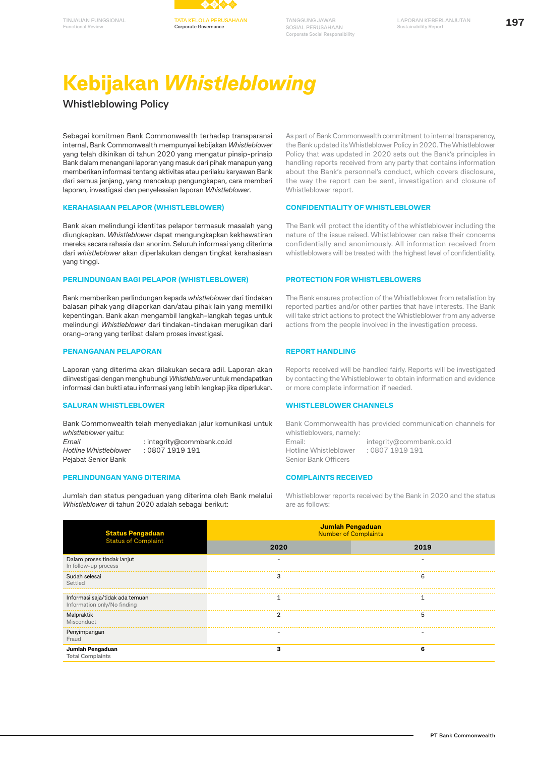

# **Kebijakan** *Whistleblowing*

**Whistleblowing Policy**

**Functional Review**

Sebagai komitmen Bank Commonwealth terhadap transparansi internal, Bank Commonwealth mempunyai kebijakan *Whistleblower* yang telah dikinikan di tahun 2020 yang mengatur pinsip-prinsip Bank dalam menangani laporan yang masuk dari pihak manapun yang memberikan informasi tentang aktivitas atau perilaku karyawan Bank dari semua jenjang, yang mencakup pengungkapan, cara memberi laporan, investigasi dan penyelesaian laporan *Whistleblower*.

#### **KERAHASIAAN PELAPOR (WHISTLEBLOWER)**

Bank akan melindungi identitas pelapor termasuk masalah yang diungkapkan. *Whistleblower* dapat mengungkapkan kekhawatiran mereka secara rahasia dan anonim. Seluruh informasi yang diterima dari *whistleblower* akan diperlakukan dengan tingkat kerahasiaan yang tinggi.

#### **PERLINDUNGAN BAGI PELAPOR (WHISTLEBLOWER)**

Bank memberikan perlindungan kepada *whistleblower* dari tindakan balasan pihak yang dilaporkan dan/atau pihak lain yang memiliki kepentingan. Bank akan mengambil langkah-langkah tegas untuk melindungi *Whistleblower* dari tindakan-tindakan merugikan dari orang-orang yang terlibat dalam proses investigasi.

#### **PENANGANAN PELAPORAN**

Laporan yang diterima akan dilakukan secara adil. Laporan akan diinvestigasi dengan menghubungi *Whistleblower* untuk mendapatkan informasi dan bukti atau informasi yang lebih lengkap jika diperlukan.

#### **SALURAN WHISTLEBLOWER**

Bank Commonwealth telah menyediakan jalur komunikasi untuk *whistleblower* yaitu: *Email* : integrity@commbank.co.id *Hotline Whistleblower* : 0807 1919 191 Pejabat Senior Bank

#### **PERLINDUNGAN YANG DITERIMA**

Jumlah dan status pengaduan yang diterima oleh Bank melalui *Whistleblower* di tahun 2020 adalah sebagai berikut:

As part of Bank Commonwealth commitment to internal transparency, the Bank updated its Whistleblower Policy in 2020. The Whistleblower Policy that was updated in 2020 sets out the Bank's principles in handling reports received from any party that contains information about the Bank's personnel's conduct, which covers disclosure, the way the report can be sent, investigation and closure of Whistleblower report.

#### **CONFIDENTIALITY OF WHISTLEBLOWER**

The Bank will protect the identity of the whistleblower including the nature of the issue raised. Whistleblower can raise their concerns confidentially and anonimously. All information received from whistleblowers will be treated with the highest level of confidentiality.

#### **PROTECTION FOR WHISTLEBLOWERS**

The Bank ensures protection of the Whistleblower from retaliation by reported parties and/or other parties that have interests. The Bank will take strict actions to protect the Whistleblower from any adverse actions from the people involved in the investigation process.

#### **REPORT HANDLING**

Reports received will be handled fairly. Reports will be investigated by contacting the Whistleblower to obtain information and evidence or more complete information if needed.

#### **WHISTLEBLOWER CHANNELS**

Bank Commonwealth has provided communication channels for whistleblowers, namely: Email: integrity@commbank.co.id<br>
Hotline Whistleblower : 0807 1919 191 Hotline Whistleblower Senior Bank Officers

#### **COMPLAINTS RECEIVED**

Whistleblower reports received by the Bank in 2020 and the status are as follows:

| <b>Status Pengaduan</b><br><b>Status of Complaint</b>          | Jumlah Pengaduan<br><b>Number of Complaints</b> |      |  |
|----------------------------------------------------------------|-------------------------------------------------|------|--|
|                                                                | 2020                                            | 2019 |  |
| Dalam proses tindak lanjut<br>In follow-up process             |                                                 |      |  |
| Sudah selesai<br>Settled                                       |                                                 | n    |  |
| Informasi saja/tidak ada temuan<br>Information only/No finding |                                                 |      |  |
| Malpraktik<br>Misconduct                                       |                                                 |      |  |
| Penyimpangan<br>Fraud                                          |                                                 |      |  |
| Jumlah Pengaduan<br><b>Total Complaints</b>                    |                                                 |      |  |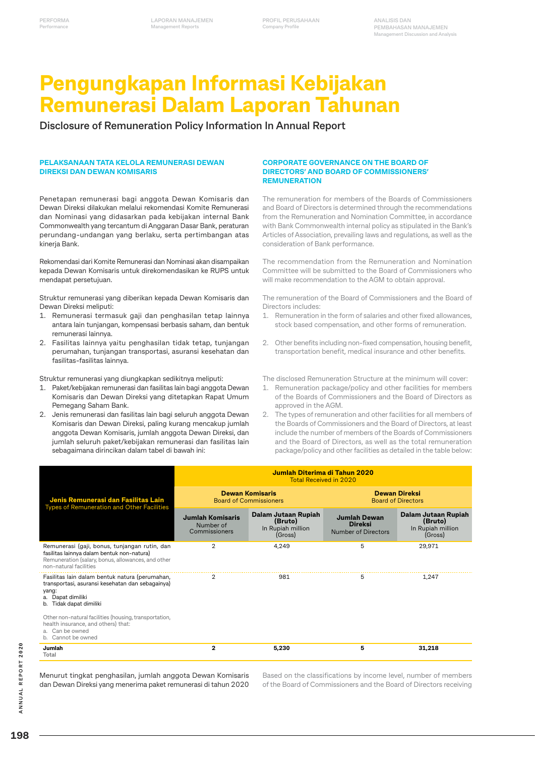**PROFIL PERUSAHAAN Company Profile**

# **Pengungkapan Informasi Kebijakan Remunerasi Dalam Laporan Tahunan**

**Disclosure of Remuneration Policy Information In Annual Report**

#### **PELAKSANAAN TATA KELOLA REMUNERASI DEWAN DIREKSI DAN DEWAN KOMISARIS**

Penetapan remunerasi bagi anggota Dewan Komisaris dan Dewan Direksi dilakukan melalui rekomendasi Komite Remunerasi dan Nominasi yang didasarkan pada kebijakan internal Bank Commonwealth yang tercantum di Anggaran Dasar Bank, peraturan perundang-undangan yang berlaku, serta pertimbangan atas kineria Bank.

Rekomendasi dari Komite Remunerasi dan Nominasi akan disampaikan kepada Dewan Komisaris untuk direkomendasikan ke RUPS untuk mendapat persetujuan.

Struktur remunerasi yang diberikan kepada Dewan Komisaris dan Dewan Direksi meliputi:

- 1. Remunerasi termasuk gaji dan penghasilan tetap lainnya antara lain tunjangan, kompensasi berbasis saham, dan bentuk remunerasi lainnya.
- 2. Fasilitas lainnya yaitu penghasilan tidak tetap, tunjangan perumahan, tunjangan transportasi, asuransi kesehatan dan fasilitas-fasilitas lainnya.

Struktur remunerasi yang diungkapkan sedikitnya meliputi:

- 1. Paket/kebijakan remunerasi dan fasilitas lain bagi anggota Dewan Komisaris dan Dewan Direksi yang ditetapkan Rapat Umum Pemegang Saham Bank.
- 2. Jenis remunerasi dan fasilitas lain bagi seluruh anggota Dewan Komisaris dan Dewan Direksi, paling kurang mencakup jumlah anggota Dewan Komisaris, jumlah anggota Dewan Direksi, dan jumlah seluruh paket/kebijakan remunerasi dan fasilitas lain sebagaimana dirincikan dalam tabel di bawah ini:

#### **CORPORATE GOVERNANCE ON THE BOARD OF DIRECTORS' AND BOARD OF COMMISSIONERS' REMUNERATION**

The remuneration for members of the Boards of Commissioners and Board of Directors is determined through the recommendations from the Remuneration and Nomination Committee, in accordance with Bank Commonwealth internal policy as stipulated in the Bank's Articles of Association, prevailing laws and regulations, as well as the consideration of Bank performance.

The recommendation from the Remuneration and Nomination Committee will be submitted to the Board of Commissioners who will make recommendation to the AGM to obtain approval.

The remuneration of the Board of Commissioners and the Board of Directors includes:

- 1. Remuneration in the form of salaries and other fixed allowances, stock based compensation, and other forms of remuneration.
- 2. Other benefits including non-fixed compensation, housing benefit, transportation benefit, medical insurance and other benefits.

The disclosed Remuneration Structure at the minimum will cover:

- 1. Remuneration package/policy and other facilities for members of the Boards of Commissioners and the Board of Directors as approved in the AGM.
- 2. The types of remuneration and other facilities for all members of the Boards of Commissioners and the Board of Directors, at least include the number of members of the Boards of Commissioners and the Board of Directors, as well as the total remuneration package/policy and other facilities as detailed in the table below:

|                                                                                                                                                                             | Jumlah Diterima di Tahun 2020<br><b>Total Received in 2020</b> |                                                                |                                                              |                                                                |
|-----------------------------------------------------------------------------------------------------------------------------------------------------------------------------|----------------------------------------------------------------|----------------------------------------------------------------|--------------------------------------------------------------|----------------------------------------------------------------|
| Jenis Remunerasi dan Fasilitas Lain<br><b>Types of Remuneration and Other Facilities</b>                                                                                    | <b>Dewan Komisaris</b><br><b>Board of Commissioners</b>        |                                                                | <b>Dewan Direksi</b><br><b>Board of Directors</b>            |                                                                |
|                                                                                                                                                                             | <b>Jumlah Komisaris</b><br>Number of<br>Commissioners          | Dalam Jutaan Rupiah<br>(Bruto)<br>In Rupiah million<br>(Gross) | <b>Jumlah Dewan</b><br><b>Direksi</b><br>Number of Directors | Dalam Jutaan Rupiah<br>(Bruto)<br>In Rupiah million<br>(Gross) |
| Remunerasi (gaji, bonus, tunjangan rutin, dan<br>fasilitas lainnya dalam bentuk non-natura)<br>Remuneration (salary, bonus, allowances, and other<br>non-natural facilities | $\overline{2}$                                                 | 4,249                                                          | 5                                                            | 29,971                                                         |
| Fasilitas lain dalam bentuk natura (perumahan,<br>transportasi, asuransi kesehatan dan sebagainya)<br>yang:<br>Dapat dimiliki<br>b. Tidak dapat dimiliki                    | $\overline{2}$                                                 | 981                                                            | 5                                                            | 1.247                                                          |
| Other non-natural facilities (housing, transportation,<br>health insurance, and others) that:<br>a. Can be owned<br>b. Cannot be owned                                      |                                                                |                                                                |                                                              |                                                                |
| Jumlah<br>Total                                                                                                                                                             | 2                                                              | 5,230                                                          | 5                                                            | 31,218                                                         |

Menurut tingkat penghasilan, jumlah anggota Dewan Komisaris dan Dewan Direksi yang menerima paket remunerasi di tahun 2020 Based on the classifications by income level, number of members of the Board of Commissioners and the Board of Directors receiving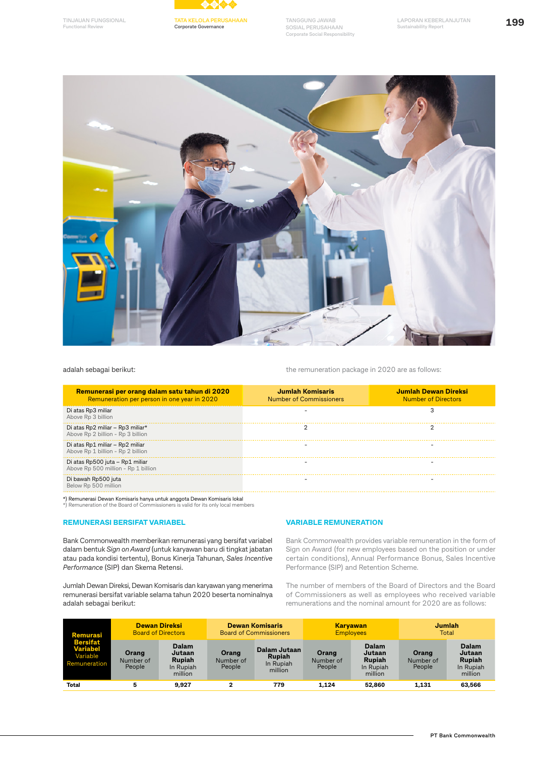

**Corporate Governance**

**TANGGUNG JAWAB SOSIAL PERUSAHAAN Corporate Social Responsibility**





adalah sebagai berikut:

the remuneration package in 2020 are as follows:

| Remunerasi per orang dalam satu tahun di 2020<br>Remuneration per person in one year in 2020 | Jumlah Komisaris<br><b>Number of Commissioners</b> | Jumlah Dewan Direksi<br><b>Number of Directors</b> |
|----------------------------------------------------------------------------------------------|----------------------------------------------------|----------------------------------------------------|
| Di atas Rp3 miliar<br>Above Rp 3 billion                                                     |                                                    |                                                    |
| Di atas Rp2 miliar - Rp3 miliar*<br>Above Rp 2 billion - Rp 3 billion                        |                                                    |                                                    |
| Di atas Rp1 miliar - Rp2 miliar<br>Above Rp 1 billion - Rp 2 billion                         |                                                    |                                                    |
| Di atas Rp500 juta - Rp1 miliar<br>Above Rp 500 million - Rp 1 billion                       |                                                    |                                                    |
| Di bawah Rp500 juta<br>Below Rp 500 million                                                  |                                                    |                                                    |
| *) Remunerasi Dewan Komisaris hanya untuk anggota Dewan Komisaris lokal                      |                                                    |                                                    |

\*) Remunerasi Dewan Komisaris hanya untuk anggota Dewan Komisaris lokal \*) Remuneration of the Board of Commissioners is valid for its only local members

#### **REMUNERASI BERSIFAT VARIABEL**

Bank Commonwealth memberikan remunerasi yang bersifat variabel dalam bentuk *Sign on Award* (untuk karyawan baru di tingkat jabatan atau pada kondisi tertentu), Bonus Kinerja Tahunan, *Sales Incentive Performance* (SIP) dan Skema Retensi.

Jumlah Dewan Direksi, Dewan Komisaris dan karyawan yang menerima remunerasi bersifat variable selama tahun 2020 beserta nominalnya adalah sebagai berikut:

#### **VARIABLE REMUNERATION**

Bank Commonwealth provides variable remuneration in the form of Sign on Award (for new employees based on the position or under certain conditions), Annual Performance Bonus, Sales Incentive Performance (SIP) and Retention Scheme.

The number of members of the Board of Directors and the Board of Commissioners as well as employees who received variable remunerations and the nominal amount for 2020 are as follows:

| Remurasi                                                       | <b>Dewan Direksi</b><br><b>Board of Directors</b> |                                                                 | <b>Dewan Komisaris</b><br><b>Board of Commissioners</b> |                                                       | <b>Karyawan</b><br><b>Employees</b> |                                                                 | Jumlah<br>Total              |                                                                 |
|----------------------------------------------------------------|---------------------------------------------------|-----------------------------------------------------------------|---------------------------------------------------------|-------------------------------------------------------|-------------------------------------|-----------------------------------------------------------------|------------------------------|-----------------------------------------------------------------|
| <b>Bersifat</b><br><b>Variabel</b><br>Variable<br>Remuneration | Orang<br>Number of<br>People                      | <b>Dalam</b><br>Jutaan<br><b>Rupiah</b><br>In Rupiah<br>million | Orang<br>Number of<br>People                            | Dalam Jutaan<br><b>Rupiah</b><br>In Rupiah<br>million | Orang<br>Number of<br>People        | <b>Dalam</b><br>Jutaan<br><b>Rupiah</b><br>In Rupiah<br>million | Orang<br>Number of<br>People | <b>Dalam</b><br>Jutaan<br><b>Rupiah</b><br>In Rupiah<br>million |
| <b>Total</b>                                                   | 5                                                 | 9,927                                                           | ີ                                                       | 779                                                   | 1.124                               | 52,860                                                          | 1,131                        | 63,566                                                          |